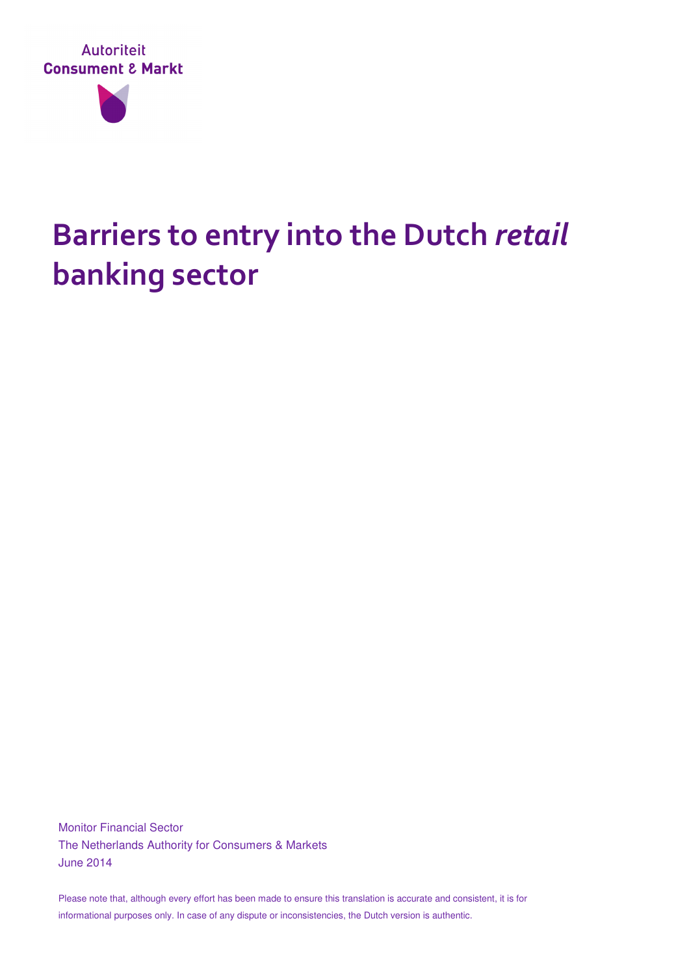

## **Barriers to entry into the Dutch** *retail* **banking sector**

Monitor Financial Sector The Netherlands Authority for Consumers & Markets June 2014

Please note that, although every effort has been made to ensure this translation is accurate and consistent, it is for informational purposes only. In case of any dispute or inconsistencies, the Dutch version is authentic.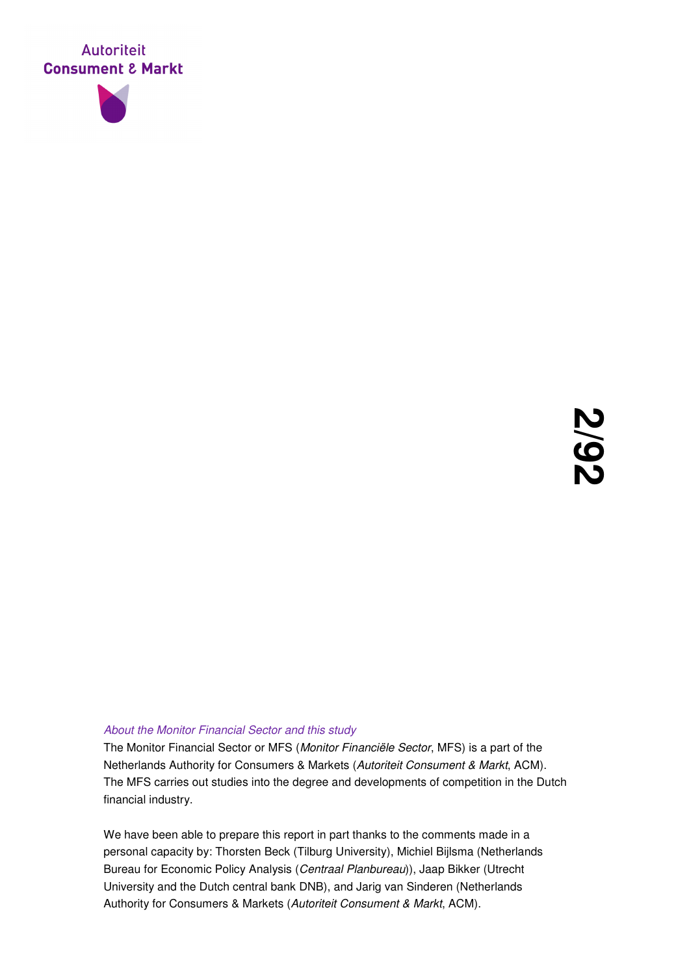



#### About the Monitor Financial Sector and this study

The Monitor Financial Sector or MFS (Monitor Financiële Sector, MFS) is a part of the Netherlands Authority for Consumers & Markets (Autoriteit Consument & Markt, ACM). The MFS carries out studies into the degree and developments of competition in the Dutch financial industry.

We have been able to prepare this report in part thanks to the comments made in a personal capacity by: Thorsten Beck (Tilburg University), Michiel Bijlsma (Netherlands Bureau for Economic Policy Analysis (Centraal Planbureau)), Jaap Bikker (Utrecht University and the Dutch central bank DNB), and Jarig van Sinderen (Netherlands Authority for Consumers & Markets (Autoriteit Consument & Markt, ACM).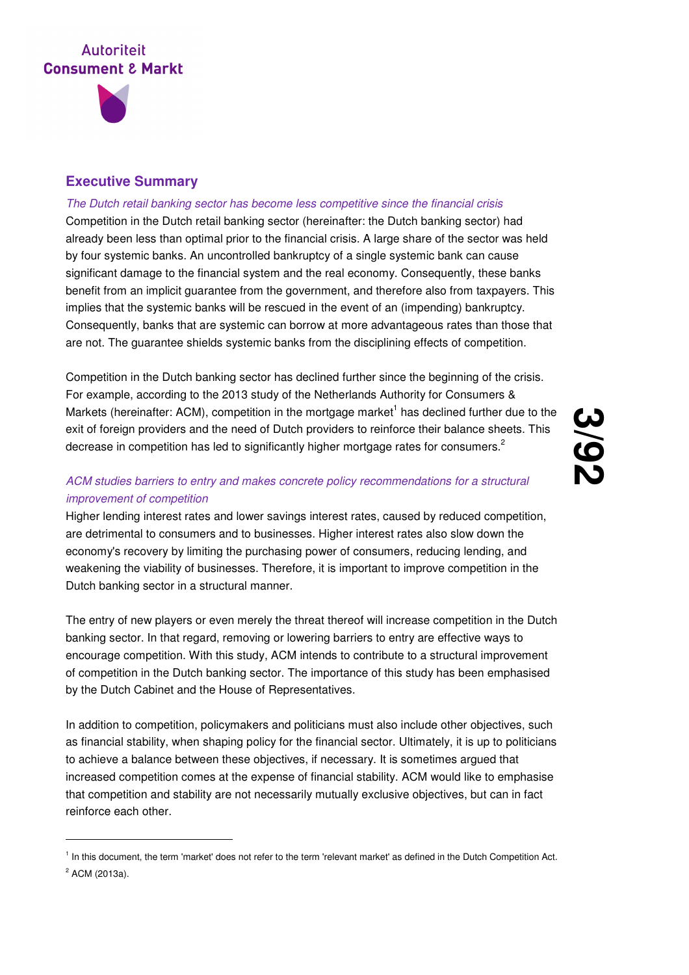

-

#### **Executive Summary**

#### The Dutch retail banking sector has become less competitive since the financial crisis

Competition in the Dutch retail banking sector (hereinafter: the Dutch banking sector) had already been less than optimal prior to the financial crisis. A large share of the sector was held by four systemic banks. An uncontrolled bankruptcy of a single systemic bank can cause significant damage to the financial system and the real economy. Consequently, these banks benefit from an implicit guarantee from the government, and therefore also from taxpayers. This implies that the systemic banks will be rescued in the event of an (impending) bankruptcy. Consequently, banks that are systemic can borrow at more advantageous rates than those that are not. The guarantee shields systemic banks from the disciplining effects of competition.

Competition in the Dutch banking sector has declined further since the beginning of the crisis. For example, according to the 2013 study of the Netherlands Authority for Consumers & Markets (hereinafter: ACM), competition in the mortgage market<sup>1</sup> has declined further due to the exit of foreign providers and the need of Dutch providers to reinforce their balance sheets. This decrease in competition has led to significantly higher mortgage rates for consumers.<sup>2</sup>

#### ACM studies barriers to entry and makes concrete policy recommendations for a structural improvement of competition

Higher lending interest rates and lower savings interest rates, caused by reduced competition, are detrimental to consumers and to businesses. Higher interest rates also slow down the economy's recovery by limiting the purchasing power of consumers, reducing lending, and weakening the viability of businesses. Therefore, it is important to improve competition in the Dutch banking sector in a structural manner.

The entry of new players or even merely the threat thereof will increase competition in the Dutch banking sector. In that regard, removing or lowering barriers to entry are effective ways to encourage competition. With this study, ACM intends to contribute to a structural improvement of competition in the Dutch banking sector. The importance of this study has been emphasised by the Dutch Cabinet and the House of Representatives.

In addition to competition, policymakers and politicians must also include other objectives, such as financial stability, when shaping policy for the financial sector. Ultimately, it is up to politicians to achieve a balance between these objectives, if necessary. It is sometimes argued that increased competition comes at the expense of financial stability. ACM would like to emphasise that competition and stability are not necessarily mutually exclusive objectives, but can in fact reinforce each other.

<sup>&</sup>lt;sup>1</sup> In this document, the term 'market' does not refer to the term 'relevant market' as defined in the Dutch Competition Act. <sup>2</sup> ACM (2013a).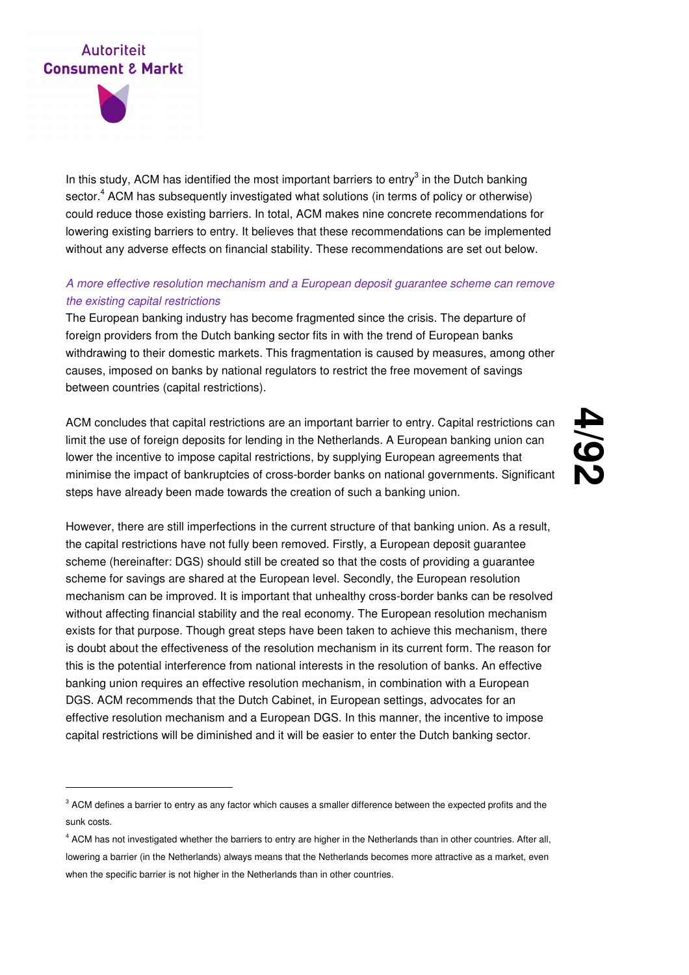

-

In this study, ACM has identified the most important barriers to entry $3$  in the Dutch banking sector.<sup>4</sup> ACM has subsequently investigated what solutions (in terms of policy or otherwise) could reduce those existing barriers. In total, ACM makes nine concrete recommendations for lowering existing barriers to entry. It believes that these recommendations can be implemented without any adverse effects on financial stability. These recommendations are set out below.

#### A more effective resolution mechanism and a European deposit guarantee scheme can remove the existing capital restrictions

The European banking industry has become fragmented since the crisis. The departure of foreign providers from the Dutch banking sector fits in with the trend of European banks withdrawing to their domestic markets. This fragmentation is caused by measures, among other causes, imposed on banks by national regulators to restrict the free movement of savings between countries (capital restrictions).

ACM concludes that capital restrictions are an important barrier to entry. Capital restrictions can limit the use of foreign deposits for lending in the Netherlands. A European banking union can lower the incentive to impose capital restrictions, by supplying European agreements that minimise the impact of bankruptcies of cross-border banks on national governments. Significant steps have already been made towards the creation of such a banking union.

## **4 /92**

However, there are still imperfections in the current structure of that banking union. As a result, the capital restrictions have not fully been removed. Firstly, a European deposit guarantee scheme (hereinafter: DGS) should still be created so that the costs of providing a guarantee scheme for savings are shared at the European level. Secondly, the European resolution mechanism can be improved. It is important that unhealthy cross-border banks can be resolved without affecting financial stability and the real economy. The European resolution mechanism exists for that purpose. Though great steps have been taken to achieve this mechanism, there is doubt about the effectiveness of the resolution mechanism in its current form. The reason for this is the potential interference from national interests in the resolution of banks. An effective banking union requires an effective resolution mechanism, in combination with a European DGS. ACM recommends that the Dutch Cabinet, in European settings, advocates for an effective resolution mechanism and a European DGS. In this manner, the incentive to impose capital restrictions will be diminished and it will be easier to enter the Dutch banking sector.

 $3$  ACM defines a barrier to entry as any factor which causes a smaller difference between the expected profits and the sunk costs.

<sup>4</sup> ACM has not investigated whether the barriers to entry are higher in the Netherlands than in other countries. After all, lowering a barrier (in the Netherlands) always means that the Netherlands becomes more attractive as a market, even when the specific barrier is not higher in the Netherlands than in other countries.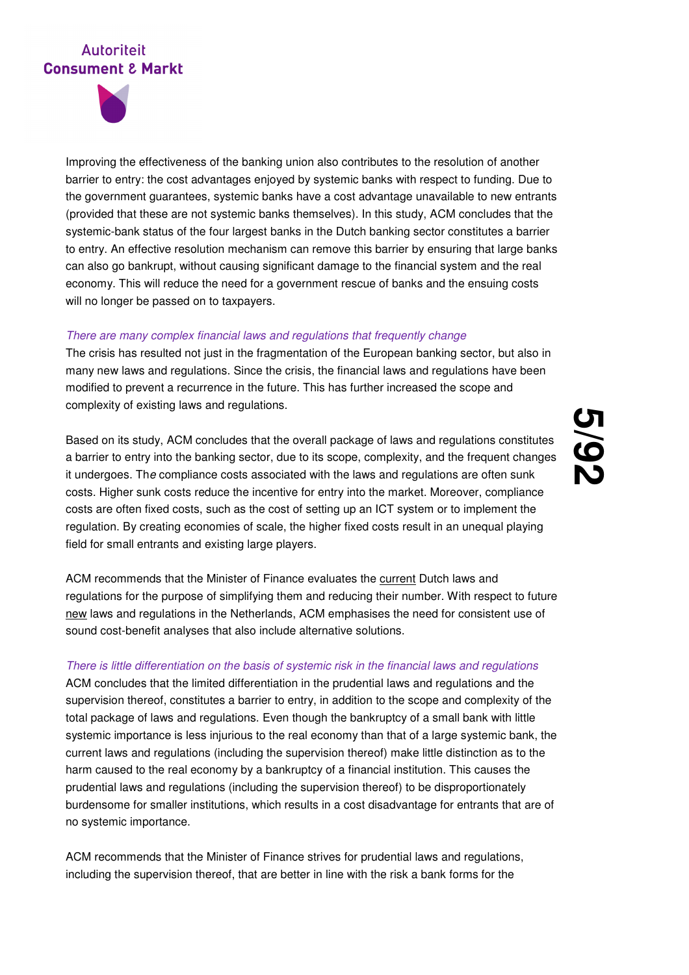

Improving the effectiveness of the banking union also contributes to the resolution of another barrier to entry: the cost advantages enjoyed by systemic banks with respect to funding. Due to the government guarantees, systemic banks have a cost advantage unavailable to new entrants (provided that these are not systemic banks themselves). In this study, ACM concludes that the systemic-bank status of the four largest banks in the Dutch banking sector constitutes a barrier to entry. An effective resolution mechanism can remove this barrier by ensuring that large banks can also go bankrupt, without causing significant damage to the financial system and the real economy. This will reduce the need for a government rescue of banks and the ensuing costs will no longer be passed on to taxpayers.

#### There are many complex financial laws and regulations that frequently change

The crisis has resulted not just in the fragmentation of the European banking sector, but also in many new laws and regulations. Since the crisis, the financial laws and regulations have been modified to prevent a recurrence in the future. This has further increased the scope and complexity of existing laws and regulations.

Based on its study, ACM concludes that the overall package of laws and regulations constitutes a barrier to entry into the banking sector, due to its scope, complexity, and the frequent changes it undergoes. The compliance costs associated with the laws and regulations are often sunk costs. Higher sunk costs reduce the incentive for entry into the market. Moreover, compliance costs are often fixed costs, such as the cost of setting up an ICT system or to implement the regulation. By creating economies of scale, the higher fixed costs result in an unequal playing field for small entrants and existing large players.

**5 /92**

ACM recommends that the Minister of Finance evaluates the current Dutch laws and regulations for the purpose of simplifying them and reducing their number. With respect to future new laws and regulations in the Netherlands, ACM emphasises the need for consistent use of sound cost-benefit analyses that also include alternative solutions.

#### There is little differentiation on the basis of systemic risk in the financial laws and regulations

ACM concludes that the limited differentiation in the prudential laws and regulations and the supervision thereof, constitutes a barrier to entry, in addition to the scope and complexity of the total package of laws and regulations. Even though the bankruptcy of a small bank with little systemic importance is less injurious to the real economy than that of a large systemic bank, the current laws and regulations (including the supervision thereof) make little distinction as to the harm caused to the real economy by a bankruptcy of a financial institution. This causes the prudential laws and regulations (including the supervision thereof) to be disproportionately burdensome for smaller institutions, which results in a cost disadvantage for entrants that are of no systemic importance.

ACM recommends that the Minister of Finance strives for prudential laws and regulations, including the supervision thereof, that are better in line with the risk a bank forms for the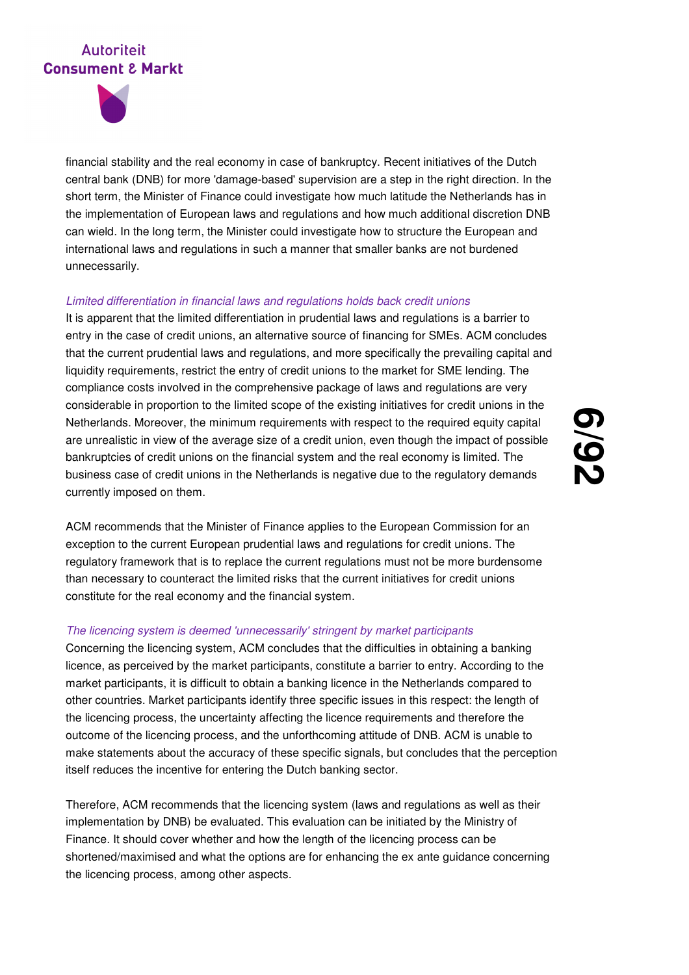

financial stability and the real economy in case of bankruptcy. Recent initiatives of the Dutch central bank (DNB) for more 'damage-based' supervision are a step in the right direction. In the short term, the Minister of Finance could investigate how much latitude the Netherlands has in the implementation of European laws and regulations and how much additional discretion DNB can wield. In the long term, the Minister could investigate how to structure the European and international laws and regulations in such a manner that smaller banks are not burdened unnecessarily.

#### Limited differentiation in financial laws and regulations holds back credit unions

It is apparent that the limited differentiation in prudential laws and regulations is a barrier to entry in the case of credit unions, an alternative source of financing for SMEs. ACM concludes that the current prudential laws and regulations, and more specifically the prevailing capital and liquidity requirements, restrict the entry of credit unions to the market for SME lending. The compliance costs involved in the comprehensive package of laws and regulations are very considerable in proportion to the limited scope of the existing initiatives for credit unions in the Netherlands. Moreover, the minimum requirements with respect to the required equity capital are unrealistic in view of the average size of a credit union, even though the impact of possible bankruptcies of credit unions on the financial system and the real economy is limited. The business case of credit unions in the Netherlands is negative due to the regulatory demands currently imposed on them.

**6 /92**

ACM recommends that the Minister of Finance applies to the European Commission for an exception to the current European prudential laws and regulations for credit unions. The regulatory framework that is to replace the current regulations must not be more burdensome than necessary to counteract the limited risks that the current initiatives for credit unions constitute for the real economy and the financial system.

#### The licencing system is deemed 'unnecessarily' stringent by market participants

Concerning the licencing system, ACM concludes that the difficulties in obtaining a banking licence, as perceived by the market participants, constitute a barrier to entry. According to the market participants, it is difficult to obtain a banking licence in the Netherlands compared to other countries. Market participants identify three specific issues in this respect: the length of the licencing process, the uncertainty affecting the licence requirements and therefore the outcome of the licencing process, and the unforthcoming attitude of DNB. ACM is unable to make statements about the accuracy of these specific signals, but concludes that the perception itself reduces the incentive for entering the Dutch banking sector.

Therefore, ACM recommends that the licencing system (laws and regulations as well as their implementation by DNB) be evaluated. This evaluation can be initiated by the Ministry of Finance. It should cover whether and how the length of the licencing process can be shortened/maximised and what the options are for enhancing the ex ante guidance concerning the licencing process, among other aspects.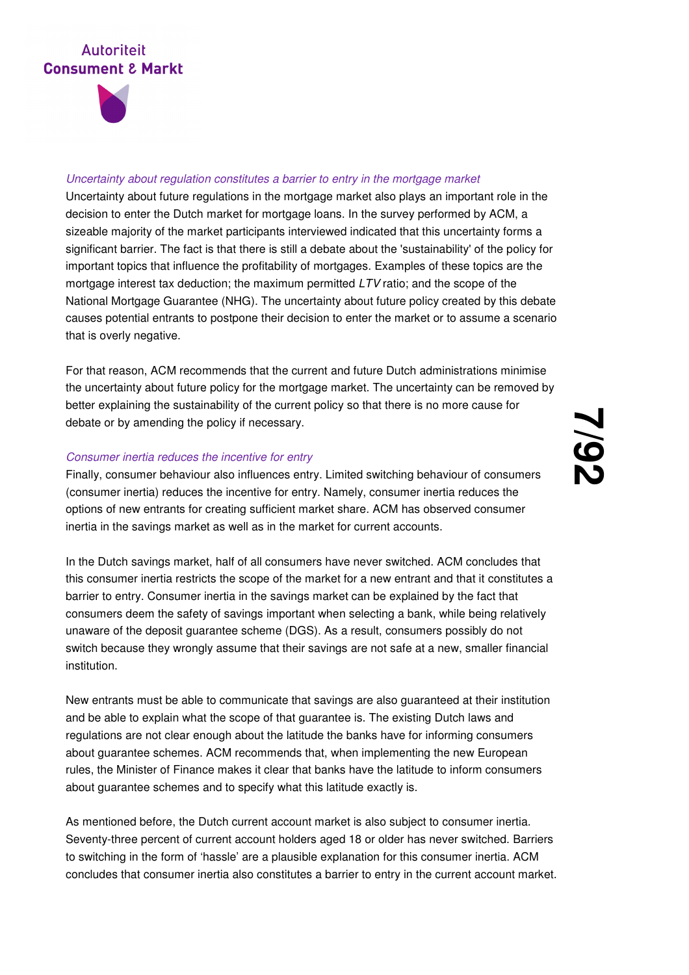

#### Uncertainty about regulation constitutes a barrier to entry in the mortgage market

Uncertainty about future regulations in the mortgage market also plays an important role in the decision to enter the Dutch market for mortgage loans. In the survey performed by ACM, a sizeable majority of the market participants interviewed indicated that this uncertainty forms a significant barrier. The fact is that there is still a debate about the 'sustainability' of the policy for important topics that influence the profitability of mortgages. Examples of these topics are the mortgage interest tax deduction; the maximum permitted LTV ratio; and the scope of the National Mortgage Guarantee (NHG). The uncertainty about future policy created by this debate causes potential entrants to postpone their decision to enter the market or to assume a scenario that is overly negative.

For that reason, ACM recommends that the current and future Dutch administrations minimise the uncertainty about future policy for the mortgage market. The uncertainty can be removed by better explaining the sustainability of the current policy so that there is no more cause for debate or by amending the policy if necessary.

#### Consumer inertia reduces the incentive for entry

Finally, consumer behaviour also influences entry. Limited switching behaviour of consumers (consumer inertia) reduces the incentive for entry. Namely, consumer inertia reduces the options of new entrants for creating sufficient market share. ACM has observed consumer inertia in the savings market as well as in the market for current accounts.

In the Dutch savings market, half of all consumers have never switched. ACM concludes that this consumer inertia restricts the scope of the market for a new entrant and that it constitutes a barrier to entry. Consumer inertia in the savings market can be explained by the fact that consumers deem the safety of savings important when selecting a bank, while being relatively unaware of the deposit guarantee scheme (DGS). As a result, consumers possibly do not switch because they wrongly assume that their savings are not safe at a new, smaller financial institution.

New entrants must be able to communicate that savings are also guaranteed at their institution and be able to explain what the scope of that guarantee is. The existing Dutch laws and regulations are not clear enough about the latitude the banks have for informing consumers about guarantee schemes. ACM recommends that, when implementing the new European rules, the Minister of Finance makes it clear that banks have the latitude to inform consumers about guarantee schemes and to specify what this latitude exactly is.

As mentioned before, the Dutch current account market is also subject to consumer inertia. Seventy-three percent of current account holders aged 18 or older has never switched. Barriers to switching in the form of 'hassle' are a plausible explanation for this consumer inertia. ACM concludes that consumer inertia also constitutes a barrier to entry in the current account market.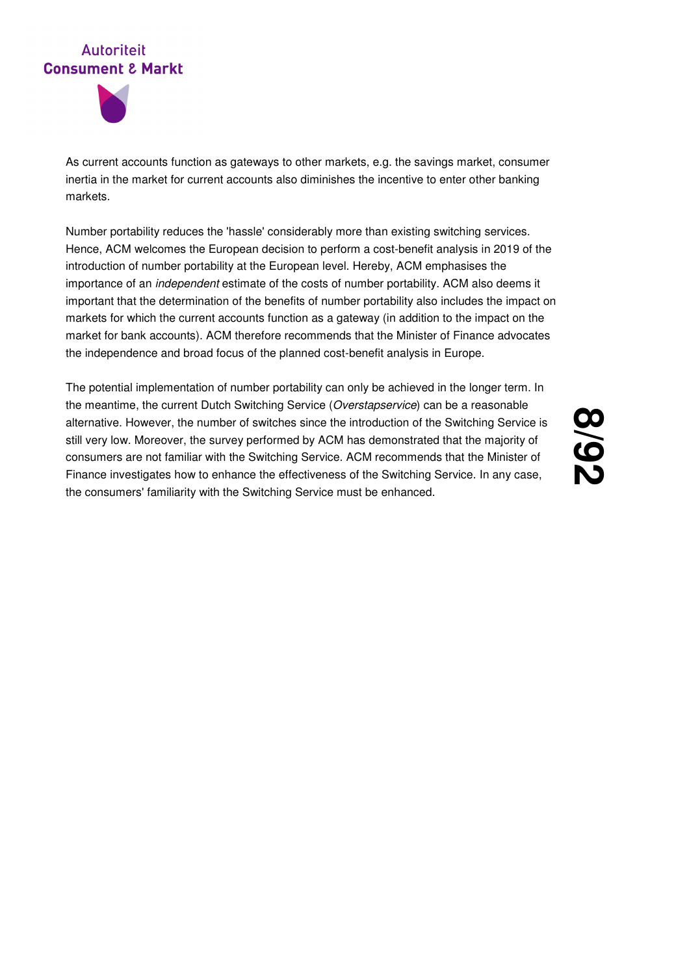



As current accounts function as gateways to other markets, e.g. the savings market, consumer inertia in the market for current accounts also diminishes the incentive to enter other banking markets.

Number portability reduces the 'hassle' considerably more than existing switching services. Hence, ACM welcomes the European decision to perform a cost-benefit analysis in 2019 of the introduction of number portability at the European level. Hereby, ACM emphasises the importance of an independent estimate of the costs of number portability. ACM also deems it important that the determination of the benefits of number portability also includes the impact on markets for which the current accounts function as a gateway (in addition to the impact on the market for bank accounts). ACM therefore recommends that the Minister of Finance advocates the independence and broad focus of the planned cost-benefit analysis in Europe.

The potential implementation of number portability can only be achieved in the longer term. In the meantime, the current Dutch Switching Service (Overstapservice) can be a reasonable alternative. However, the number of switches since the introduction of the Switching Service is still very low. Moreover, the survey performed by ACM has demonstrated that the majority of consumers are not familiar with the Switching Service. ACM recommends that the Minister of Finance investigates how to enhance the effectiveness of the Switching Service. In any case, the consumers' familiarity with the Switching Service must be enhanced.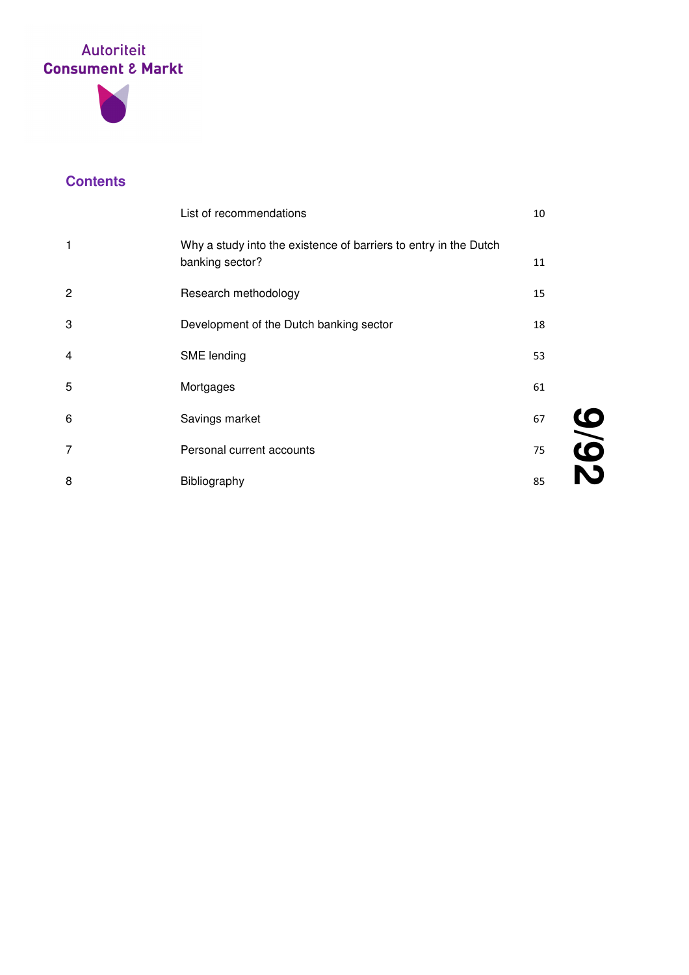



## **Contents**

|                | List of recommendations                                                             | 10 |
|----------------|-------------------------------------------------------------------------------------|----|
| 1              | Why a study into the existence of barriers to entry in the Dutch<br>banking sector? | 11 |
| $\overline{c}$ | Research methodology                                                                | 15 |
| 3              | Development of the Dutch banking sector                                             | 18 |
| 4              | SME lending                                                                         | 53 |
| 5              | Mortgages                                                                           | 61 |
| 6              | Savings market                                                                      | 67 |
| 7              | Personal current accounts                                                           | 75 |
| 8              | Bibliography                                                                        | 85 |

**9**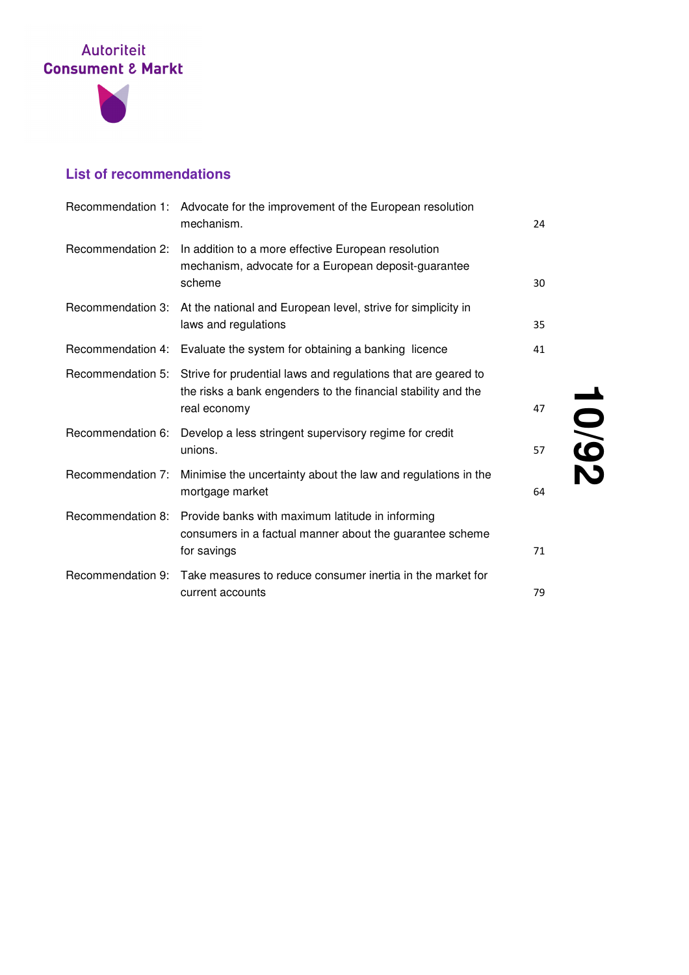



## **List of recommendations**

|                   | Recommendation 1: Advocate for the improvement of the European resolution<br>mechanism.                                                        | 24 |
|-------------------|------------------------------------------------------------------------------------------------------------------------------------------------|----|
|                   | Recommendation 2: In addition to a more effective European resolution<br>mechanism, advocate for a European deposit-guarantee<br>scheme        | 30 |
| Recommendation 3: | At the national and European level, strive for simplicity in<br>laws and regulations                                                           | 35 |
|                   | Recommendation 4: Evaluate the system for obtaining a banking licence                                                                          | 41 |
| Recommendation 5: | Strive for prudential laws and regulations that are geared to<br>the risks a bank engenders to the financial stability and the<br>real economy | 47 |
| Recommendation 6: | Develop a less stringent supervisory regime for credit<br>unions.                                                                              | 57 |
| Recommendation 7: | Minimise the uncertainty about the law and regulations in the<br>mortgage market                                                               | 64 |
| Recommendation 8: | Provide banks with maximum latitude in informing<br>consumers in a factual manner about the guarantee scheme<br>for savings                    | 71 |
|                   | Recommendation 9: Take measures to reduce consumer inertia in the market for<br>current accounts                                               | 79 |

**10**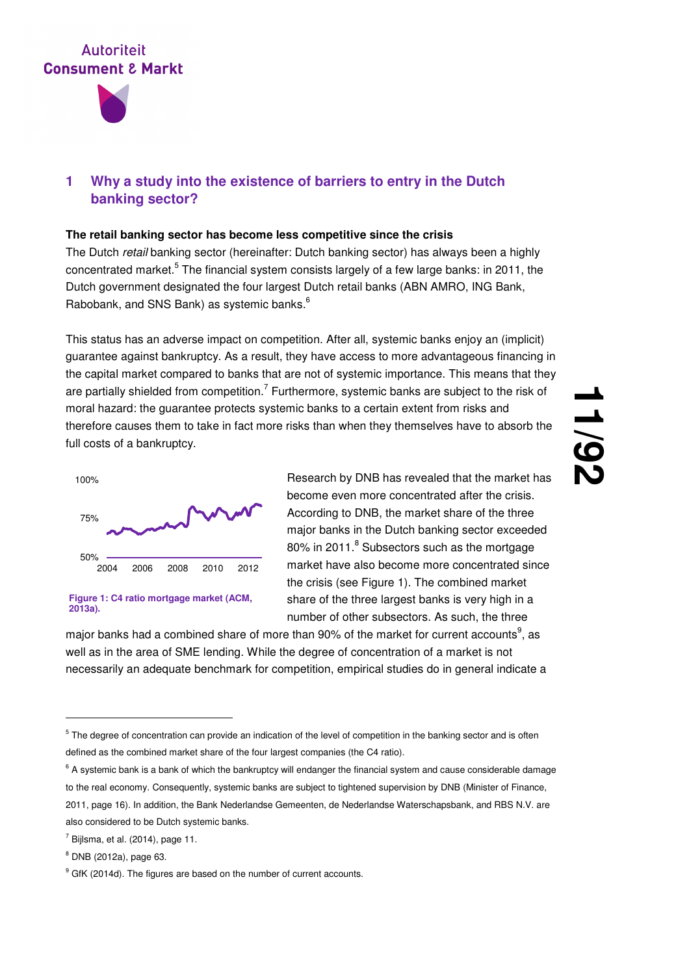

#### **1 Why a study into the existence of barriers to entry in the Dutch banking sector?**

#### **The retail banking sector has become less competitive since the crisis**

The Dutch retail banking sector (hereinafter: Dutch banking sector) has always been a highly concentrated market.<sup>5</sup> The financial system consists largely of a few large banks: in 2011, the Dutch government designated the four largest Dutch retail banks (ABN AMRO, ING Bank, Rabobank, and SNS Bank) as systemic banks. $6$ 

This status has an adverse impact on competition. After all, systemic banks enjoy an (implicit) guarantee against bankruptcy. As a result, they have access to more advantageous financing in the capital market compared to banks that are not of systemic importance. This means that they are partially shielded from competition.<sup>7</sup> Furthermore, systemic banks are subject to the risk of moral hazard: the guarantee protects systemic banks to a certain extent from risks and therefore causes them to take in fact more risks than when they themselves have to absorb the full costs of a bankruptcy.



**Figure 1: C4 ratio mortgage market (ACM, 2013a).**

Research by DNB has revealed that the market has become even more concentrated after the crisis. According to DNB, the market share of the three major banks in the Dutch banking sector exceeded 80% in 2011.<sup>8</sup> Subsectors such as the mortgage market have also become more concentrated since the crisis (see Figure 1). The combined market share of the three largest banks is very high in a number of other subsectors. As such, the three

major banks had a combined share of more than 90% of the market for current accounts $^9$ , as well as in the area of SME lending. While the degree of concentration of a market is not necessarily an adequate benchmark for competition, empirical studies do in general indicate a

<sup>&</sup>lt;sup>5</sup> The degree of concentration can provide an indication of the level of competition in the banking sector and is often defined as the combined market share of the four largest companies (the C4 ratio).

<sup>&</sup>lt;sup>6</sup> A systemic bank is a bank of which the bankruptcy will endanger the financial system and cause considerable damage to the real economy. Consequently, systemic banks are subject to tightened supervision by DNB (Minister of Finance, 2011, page 16). In addition, the Bank Nederlandse Gemeenten, de Nederlandse Waterschapsbank, and RBS N.V. are also considered to be Dutch systemic banks.

 $<sup>7</sup>$  Bijlsma, et al. (2014), page 11.</sup>

<sup>8</sup> DNB (2012a), page 63.

<sup>&</sup>lt;sup>9</sup> GfK (2014d). The figures are based on the number of current accounts.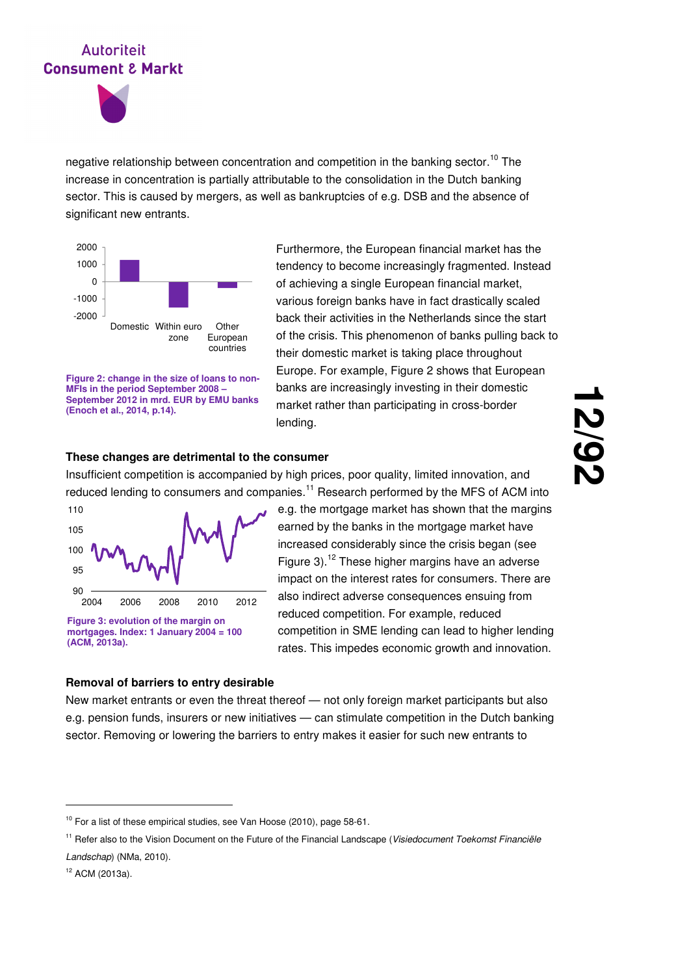

negative relationship between concentration and competition in the banking sector.<sup>10</sup> The increase in concentration is partially attributable to the consolidation in the Dutch banking sector. This is caused by mergers, as well as bankruptcies of e.g. DSB and the absence of significant new entrants.



**Figure 2: change in the size of loans to non-MFIs in the period September 2008 – September 2012 in mrd. EUR by EMU banks (Enoch et al., 2014, p.14).**

Furthermore, the European financial market has the tendency to become increasingly fragmented. Instead of achieving a single European financial market, various foreign banks have in fact drastically scaled back their activities in the Netherlands since the start of the crisis. This phenomenon of banks pulling back to their domestic market is taking place throughout Europe. For example, Figure 2 shows that European banks are increasingly investing in their domestic market rather than participating in cross-border lending.

# **12 /92**

#### **These changes are detrimental to the consumer**

Insufficient competition is accompanied by high prices, poor quality, limited innovation, and reduced lending to consumers and companies.<sup>11</sup> Research performed by the MFS of ACM into



**Figure 3: evolution of the margin on mortgages. Index: 1 January 2004 = 100 (ACM, 2013a).**

e.g. the mortgage market has shown that the margins earned by the banks in the mortgage market have increased considerably since the crisis began (see Figure 3).<sup>12</sup> These higher margins have an adverse impact on the interest rates for consumers. There are also indirect adverse consequences ensuing from reduced competition. For example, reduced competition in SME lending can lead to higher lending rates. This impedes economic growth and innovation.

#### **Removal of barriers to entry desirable**

New market entrants or even the threat thereof — not only foreign market participants but also e.g. pension funds, insurers or new initiatives — can stimulate competition in the Dutch banking sector. Removing or lowering the barriers to entry makes it easier for such new entrants to

<sup>&</sup>lt;sup>10</sup> For a list of these empirical studies, see Van Hoose (2010), page 58-61.

<sup>&</sup>lt;sup>11</sup> Refer also to the Vision Document on the Future of the Financial Landscape (Visiedocument Toekomst Financiële Landschap) (NMa, 2010).

<sup>12</sup> ACM (2013a).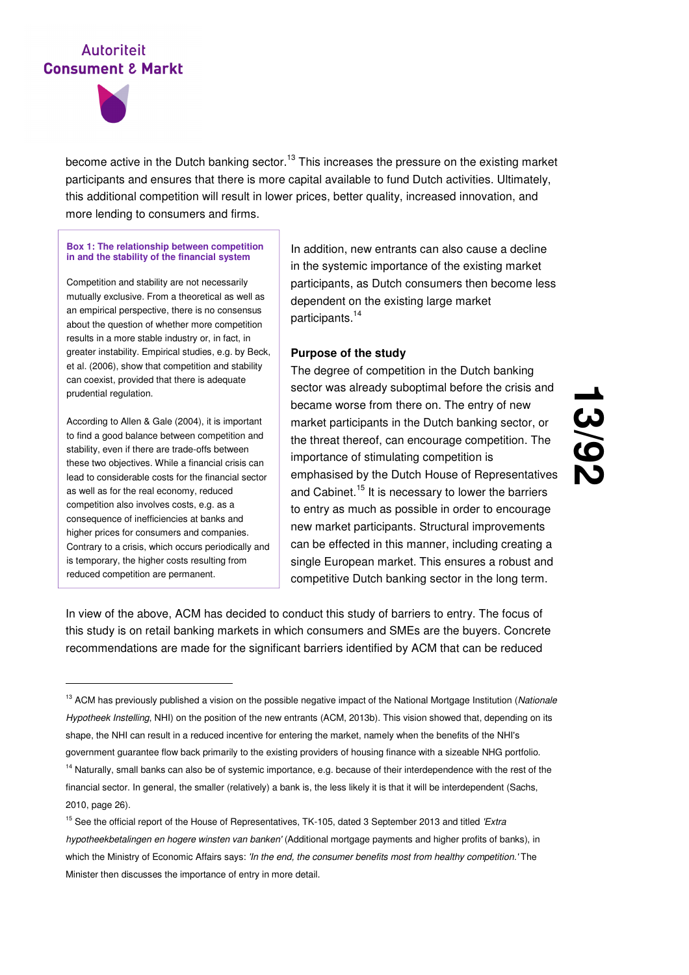

become active in the Dutch banking sector.<sup>13</sup> This increases the pressure on the existing market participants and ensures that there is more capital available to fund Dutch activities. Ultimately, this additional competition will result in lower prices, better quality, increased innovation, and more lending to consumers and firms.

#### **Box 1: The relationship between competition in and the stability of the financial system**

Competition and stability are not necessarily mutually exclusive. From a theoretical as well as an empirical perspective, there is no consensus about the question of whether more competition results in a more stable industry or, in fact, in greater instability. Empirical studies, e.g. by Beck, et al. (2006), show that competition and stability can coexist, provided that there is adequate prudential regulation.

According to Allen & Gale (2004), it is important to find a good balance between competition and stability, even if there are trade-offs between these two objectives. While a financial crisis can lead to considerable costs for the financial sector as well as for the real economy, reduced competition also involves costs, e.g. as a consequence of inefficiencies at banks and higher prices for consumers and companies. Contrary to a crisis, which occurs periodically and is temporary, the higher costs resulting from reduced competition are permanent.

-

In addition, new entrants can also cause a decline in the systemic importance of the existing market participants, as Dutch consumers then become less dependent on the existing large market participants.<sup>14</sup>

#### **Purpose of the study**

The degree of competition in the Dutch banking sector was already suboptimal before the crisis and became worse from there on. The entry of new market participants in the Dutch banking sector, or the threat thereof, can encourage competition. The importance of stimulating competition is emphasised by the Dutch House of Representatives and Cabinet.<sup>15</sup> It is necessary to lower the barriers to entry as much as possible in order to encourage new market participants. Structural improvements can be effected in this manner, including creating a single European market. This ensures a robust and competitive Dutch banking sector in the long term.

<u>اب</u> **/92**

In view of the above, ACM has decided to conduct this study of barriers to entry. The focus of this study is on retail banking markets in which consumers and SMEs are the buyers. Concrete recommendations are made for the significant barriers identified by ACM that can be reduced

<sup>&</sup>lt;sup>13</sup> ACM has previously published a vision on the possible negative impact of the National Mortgage Institution (Nationale Hypotheek Instelling, NHI) on the position of the new entrants (ACM, 2013b). This vision showed that, depending on its shape, the NHI can result in a reduced incentive for entering the market, namely when the benefits of the NHI's government guarantee flow back primarily to the existing providers of housing finance with a sizeable NHG portfolio.

<sup>&</sup>lt;sup>14</sup> Naturally, small banks can also be of systemic importance, e.g. because of their interdependence with the rest of the financial sector. In general, the smaller (relatively) a bank is, the less likely it is that it will be interdependent (Sachs, 2010, page 26).

<sup>&</sup>lt;sup>15</sup> See the official report of the House of Representatives, TK-105, dated 3 September 2013 and titled 'Extra hypotheekbetalingen en hogere winsten van banken' (Additional mortgage payments and higher profits of banks), in which the Ministry of Economic Affairs says: 'In the end, the consumer benefits most from healthy competition.' The Minister then discusses the importance of entry in more detail.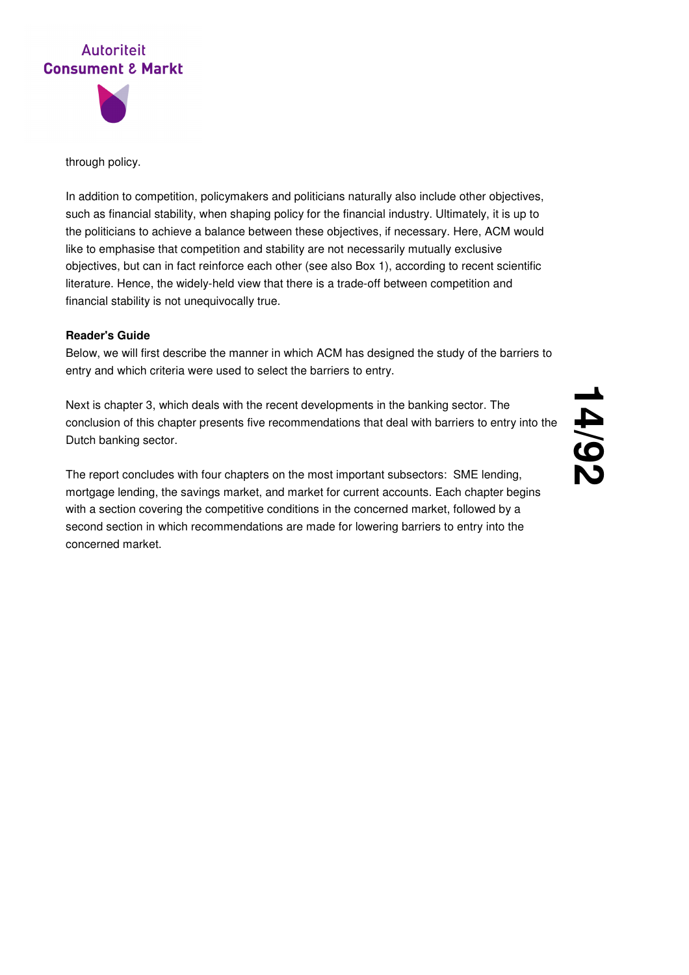



through policy.

In addition to competition, policymakers and politicians naturally also include other objectives, such as financial stability, when shaping policy for the financial industry. Ultimately, it is up to the politicians to achieve a balance between these objectives, if necessary. Here, ACM would like to emphasise that competition and stability are not necessarily mutually exclusive objectives, but can in fact reinforce each other (see also Box 1), according to recent scientific literature. Hence, the widely-held view that there is a trade-off between competition and financial stability is not unequivocally true.

#### **Reader's Guide**

Below, we will first describe the manner in which ACM has designed the study of the barriers to entry and which criteria were used to select the barriers to entry.

Next is chapter 3, which deals with the recent developments in the banking sector. The conclusion of this chapter presents five recommendations that deal with barriers to entry into the Dutch banking sector.

The report concludes with four chapters on the most important subsectors: SME lending, mortgage lending, the savings market, and market for current accounts. Each chapter begins with a section covering the competitive conditions in the concerned market, followed by a second section in which recommendations are made for lowering barriers to entry into the concerned market.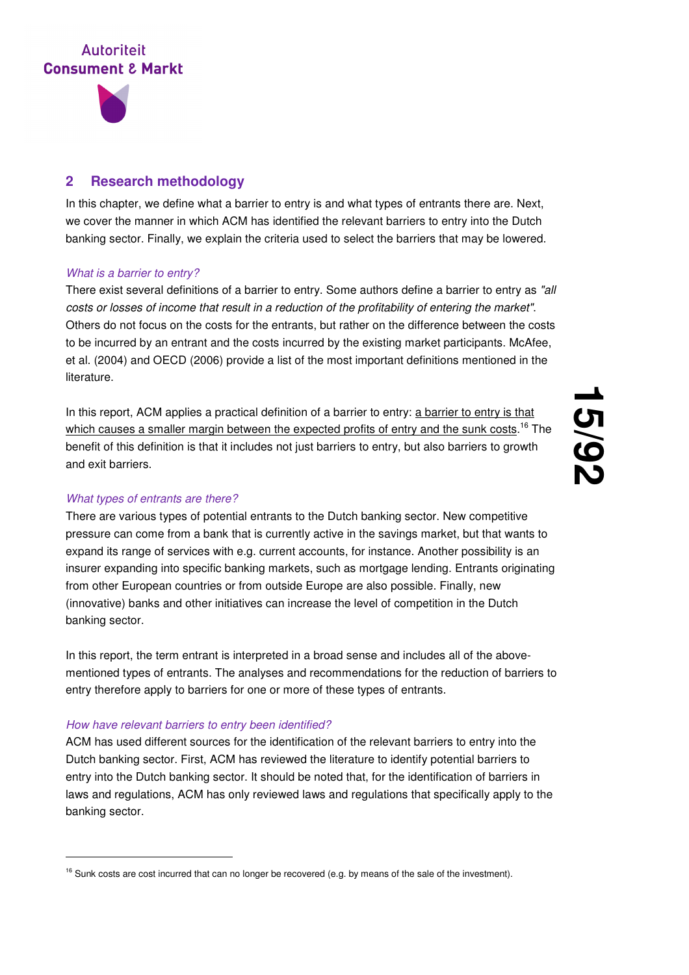

#### **2 Research methodology**

In this chapter, we define what a barrier to entry is and what types of entrants there are. Next, we cover the manner in which ACM has identified the relevant barriers to entry into the Dutch banking sector. Finally, we explain the criteria used to select the barriers that may be lowered.

#### What is a barrier to entry?

There exist several definitions of a barrier to entry. Some authors define a barrier to entry as "all costs or losses of income that result in a reduction of the profitability of entering the market". Others do not focus on the costs for the entrants, but rather on the difference between the costs to be incurred by an entrant and the costs incurred by the existing market participants. McAfee, et al. (2004) and OECD (2006) provide a list of the most important definitions mentioned in the literature.

In this report, ACM applies a practical definition of a barrier to entry: a barrier to entry is that which causes a smaller margin between the expected profits of entry and the sunk costs.<sup>16</sup> The benefit of this definition is that it includes not just barriers to entry, but also barriers to growth and exit barriers.

# <u>ب</u><br>55 **/92**

#### What types of entrants are there?

-

There are various types of potential entrants to the Dutch banking sector. New competitive pressure can come from a bank that is currently active in the savings market, but that wants to expand its range of services with e.g. current accounts, for instance. Another possibility is an insurer expanding into specific banking markets, such as mortgage lending. Entrants originating from other European countries or from outside Europe are also possible. Finally, new (innovative) banks and other initiatives can increase the level of competition in the Dutch banking sector.

In this report, the term entrant is interpreted in a broad sense and includes all of the abovementioned types of entrants. The analyses and recommendations for the reduction of barriers to entry therefore apply to barriers for one or more of these types of entrants.

#### How have relevant barriers to entry been identified?

ACM has used different sources for the identification of the relevant barriers to entry into the Dutch banking sector. First, ACM has reviewed the literature to identify potential barriers to entry into the Dutch banking sector. It should be noted that, for the identification of barriers in laws and regulations, ACM has only reviewed laws and regulations that specifically apply to the banking sector.

<sup>&</sup>lt;sup>16</sup> Sunk costs are cost incurred that can no longer be recovered (e.g. by means of the sale of the investment).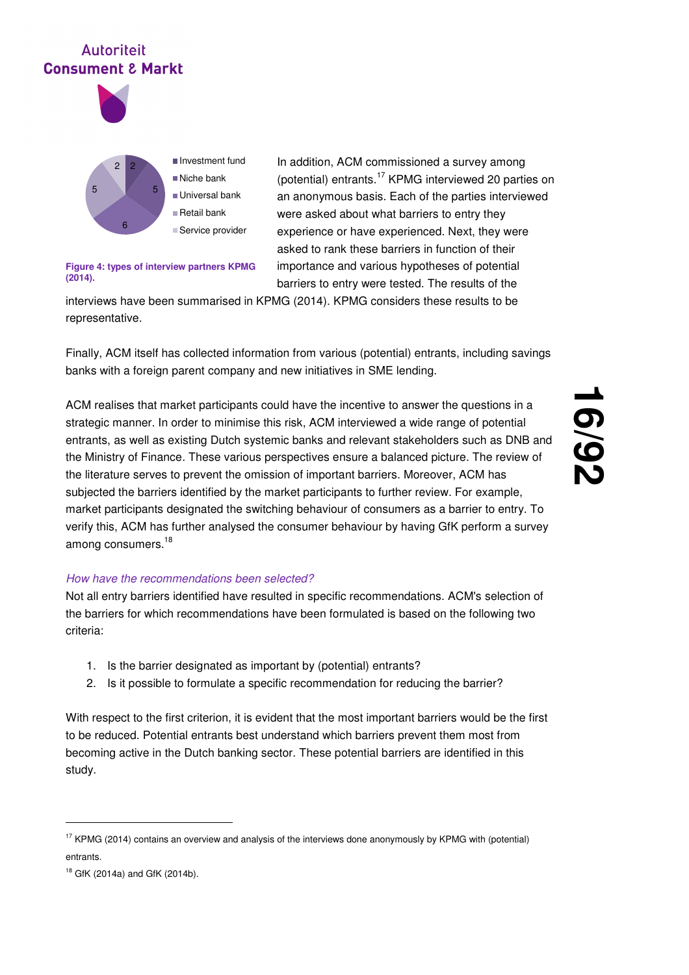

2 5 6 5 2 Investment fund ■Niche bank Universal bank Retail bank ■ Service provider

In addition, ACM commissioned a survey among (potential) entrants.<sup>17</sup> KPMG interviewed 20 parties on an anonymous basis. Each of the parties interviewed were asked about what barriers to entry they experience or have experienced. Next, they were asked to rank these barriers in function of their importance and various hypotheses of potential barriers to entry were tested. The results of the

#### **Figure 4: types of interview partners KPMG (2014).**

interviews have been summarised in KPMG (2014). KPMG considers these results to be representative.

Finally, ACM itself has collected information from various (potential) entrants, including savings banks with a foreign parent company and new initiatives in SME lending.

ACM realises that market participants could have the incentive to answer the questions in a strategic manner. In order to minimise this risk, ACM interviewed a wide range of potential entrants, as well as existing Dutch systemic banks and relevant stakeholders such as DNB and the Ministry of Finance. These various perspectives ensure a balanced picture. The review of the literature serves to prevent the omission of important barriers. Moreover, ACM has subjected the barriers identified by the market participants to further review. For example, market participants designated the switching behaviour of consumers as a barrier to entry. To verify this, ACM has further analysed the consumer behaviour by having GfK perform a survey among consumers.<sup>18</sup>

# **16 /92**

#### How have the recommendations been selected?

Not all entry barriers identified have resulted in specific recommendations. ACM's selection of the barriers for which recommendations have been formulated is based on the following two criteria:

- 1. Is the barrier designated as important by (potential) entrants?
- 2. Is it possible to formulate a specific recommendation for reducing the barrier?

With respect to the first criterion, it is evident that the most important barriers would be the first to be reduced. Potential entrants best understand which barriers prevent them most from becoming active in the Dutch banking sector. These potential barriers are identified in this study.

<sup>&</sup>lt;sup>17</sup> KPMG (2014) contains an overview and analysis of the interviews done anonymously by KPMG with (potential) entrants.

<sup>18</sup> GfK (2014a) and GfK (2014b).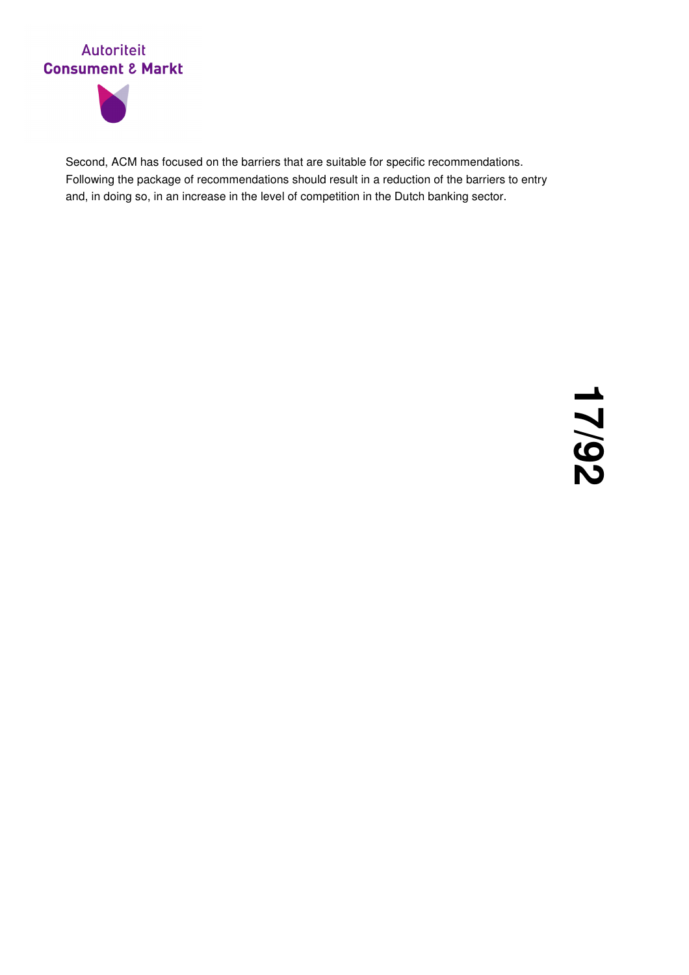



Second, ACM has focused on the barriers that are suitable for specific recommendations. Following the package of recommendations should result in a reduction of the barriers to entry and, in doing so, in an increase in the level of competition in the Dutch banking sector.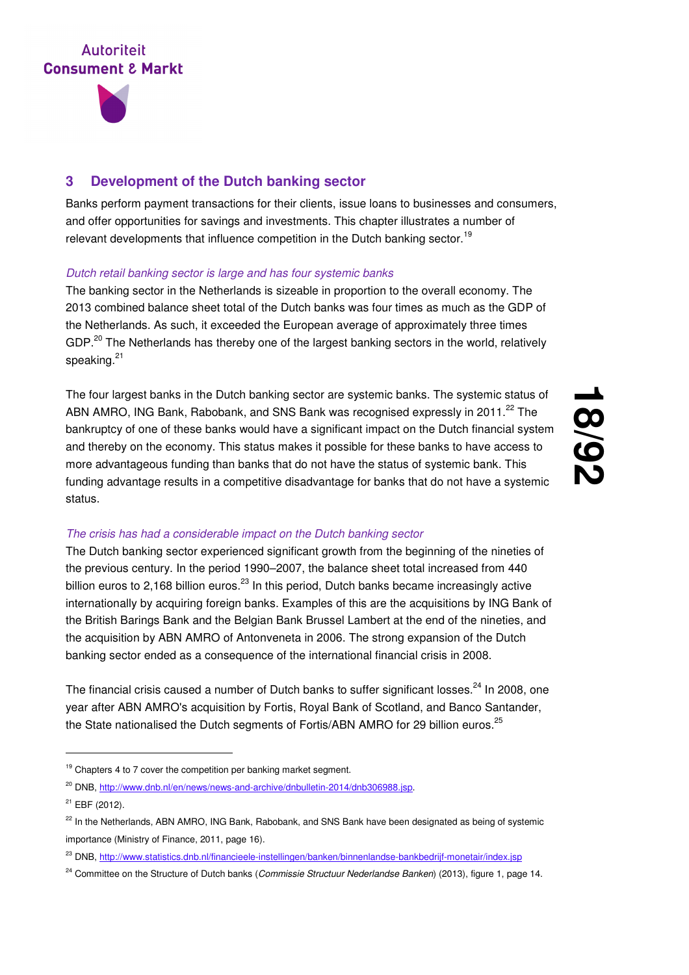

#### **3 Development of the Dutch banking sector**

Banks perform payment transactions for their clients, issue loans to businesses and consumers, and offer opportunities for savings and investments. This chapter illustrates a number of relevant developments that influence competition in the Dutch banking sector.<sup>19</sup>

#### Dutch retail banking sector is large and has four systemic banks

The banking sector in the Netherlands is sizeable in proportion to the overall economy. The 2013 combined balance sheet total of the Dutch banks was four times as much as the GDP of the Netherlands. As such, it exceeded the European average of approximately three times GDP.<sup>20</sup> The Netherlands has thereby one of the largest banking sectors in the world, relatively speaking.<sup>21</sup>

The four largest banks in the Dutch banking sector are systemic banks. The systemic status of ABN AMRO, ING Bank, Rabobank, and SNS Bank was recognised expressly in 2011.<sup>22</sup> The bankruptcy of one of these banks would have a significant impact on the Dutch financial system and thereby on the economy. This status makes it possible for these banks to have access to more advantageous funding than banks that do not have the status of systemic bank. This funding advantage results in a competitive disadvantage for banks that do not have a systemic status.

## **18**<br>00 **/92**

#### The crisis has had a considerable impact on the Dutch banking sector

The Dutch banking sector experienced significant growth from the beginning of the nineties of the previous century. In the period 1990–2007, the balance sheet total increased from 440 billion euros to 2,168 billion euros.<sup>23</sup> In this period, Dutch banks became increasingly active internationally by acquiring foreign banks. Examples of this are the acquisitions by ING Bank of the British Barings Bank and the Belgian Bank Brussel Lambert at the end of the nineties, and the acquisition by ABN AMRO of Antonveneta in 2006. The strong expansion of the Dutch banking sector ended as a consequence of the international financial crisis in 2008.

The financial crisis caused a number of Dutch banks to suffer significant losses.<sup>24</sup> In 2008, one year after ABN AMRO's acquisition by Fortis, Royal Bank of Scotland, and Banco Santander, the State nationalised the Dutch segments of Fortis/ABN AMRO for 29 billion euros.<sup>25</sup>

 $19$  Chapters 4 to 7 cover the competition per banking market segment.

<sup>&</sup>lt;sup>20</sup> DNB, http://www.dnb.nl/en/news/news-and-archive/dnbulletin-2014/dnb306988.jsp.

<sup>21</sup> EBF (2012).

 $22$  In the Netherlands, ABN AMRO, ING Bank, Rabobank, and SNS Bank have been designated as being of systemic importance (Ministry of Finance, 2011, page 16).

<sup>&</sup>lt;sup>23</sup> DNB, http://www.statistics.dnb.nl/financieele-instellingen/banken/binnenlandse-bankbedrijf-monetair/index.jsp

<sup>&</sup>lt;sup>24</sup> Committee on the Structure of Dutch banks (Commissie Structuur Nederlandse Banken) (2013), figure 1, page 14.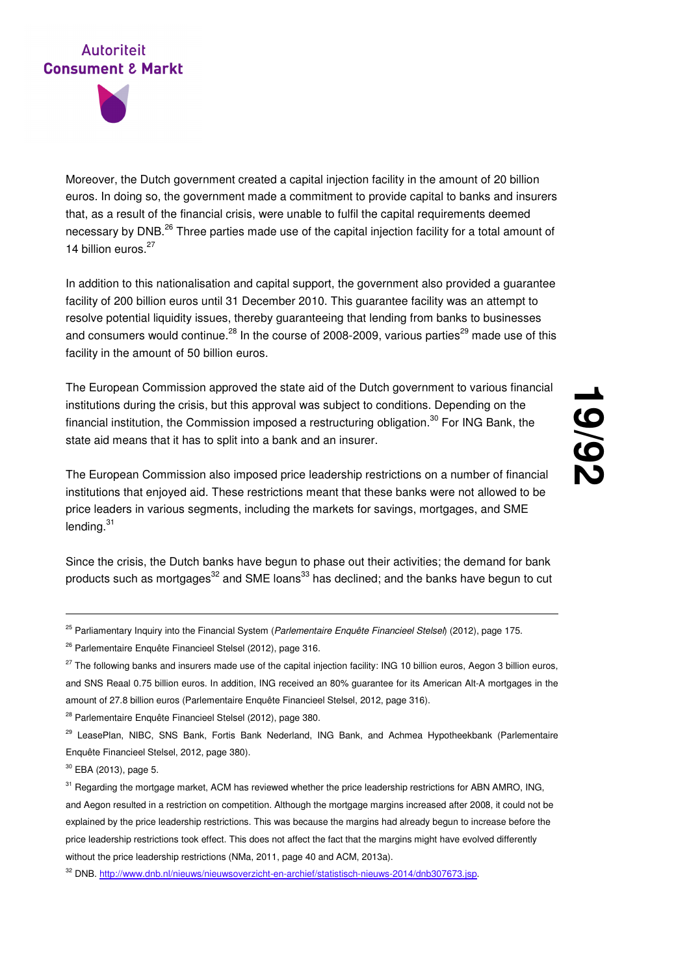Moreover, the Dutch government created a capital injection facility in the amount of 20 billion euros. In doing so, the government made a commitment to provide capital to banks and insurers that, as a result of the financial crisis, were unable to fulfil the capital requirements deemed necessary by DNB.<sup>26</sup> Three parties made use of the capital injection facility for a total amount of 14 billion euros.<sup>27</sup>

In addition to this nationalisation and capital support, the government also provided a guarantee facility of 200 billion euros until 31 December 2010. This guarantee facility was an attempt to resolve potential liquidity issues, thereby guaranteeing that lending from banks to businesses and consumers would continue.<sup>28</sup> In the course of 2008-2009, various parties<sup>29</sup> made use of this facility in the amount of 50 billion euros.

The European Commission approved the state aid of the Dutch government to various financial institutions during the crisis, but this approval was subject to conditions. Depending on the financial institution, the Commission imposed a restructuring obligation.<sup>30</sup> For ING Bank, the state aid means that it has to split into a bank and an insurer.

The European Commission also imposed price leadership restrictions on a number of financial institutions that enjoyed aid. These restrictions meant that these banks were not allowed to be price leaders in various segments, including the markets for savings, mortgages, and SME lending. $31$ 

Since the crisis, the Dutch banks have begun to phase out their activities; the demand for bank products such as mortgages<sup>32</sup> and SME loans<sup>33</sup> has declined; and the banks have begun to cut

<sup>28</sup> Parlementaire Enquête Financieel Stelsel (2012), page 380.

<sup>30</sup> EBA (2013), page 5.

<sup>&</sup>lt;sup>25</sup> Parliamentary Inquiry into the Financial System (Parlementaire Enquête Financieel Stelsel) (2012), page 175.

<sup>&</sup>lt;sup>26</sup> Parlementaire Enquête Financieel Stelsel (2012), page 316.

<sup>&</sup>lt;sup>27</sup> The following banks and insurers made use of the capital injection facility: ING 10 billion euros, Aegon 3 billion euros, and SNS Reaal 0.75 billion euros. In addition, ING received an 80% guarantee for its American Alt-A mortgages in the amount of 27.8 billion euros (Parlementaire Enquête Financieel Stelsel, 2012, page 316).

<sup>29</sup> LeasePlan, NIBC, SNS Bank, Fortis Bank Nederland, ING Bank, and Achmea Hypotheekbank (Parlementaire Enquête Financieel Stelsel, 2012, page 380).

<sup>&</sup>lt;sup>31</sup> Regarding the mortgage market, ACM has reviewed whether the price leadership restrictions for ABN AMRO, ING, and Aegon resulted in a restriction on competition. Although the mortgage margins increased after 2008, it could not be explained by the price leadership restrictions. This was because the margins had already begun to increase before the price leadership restrictions took effect. This does not affect the fact that the margins might have evolved differently without the price leadership restrictions (NMa, 2011, page 40 and ACM, 2013a).

<sup>32</sup> DNB. http://www.dnb.nl/nieuws/nieuwsoverzicht-en-archief/statistisch-nieuws-2014/dnb307673.jsp.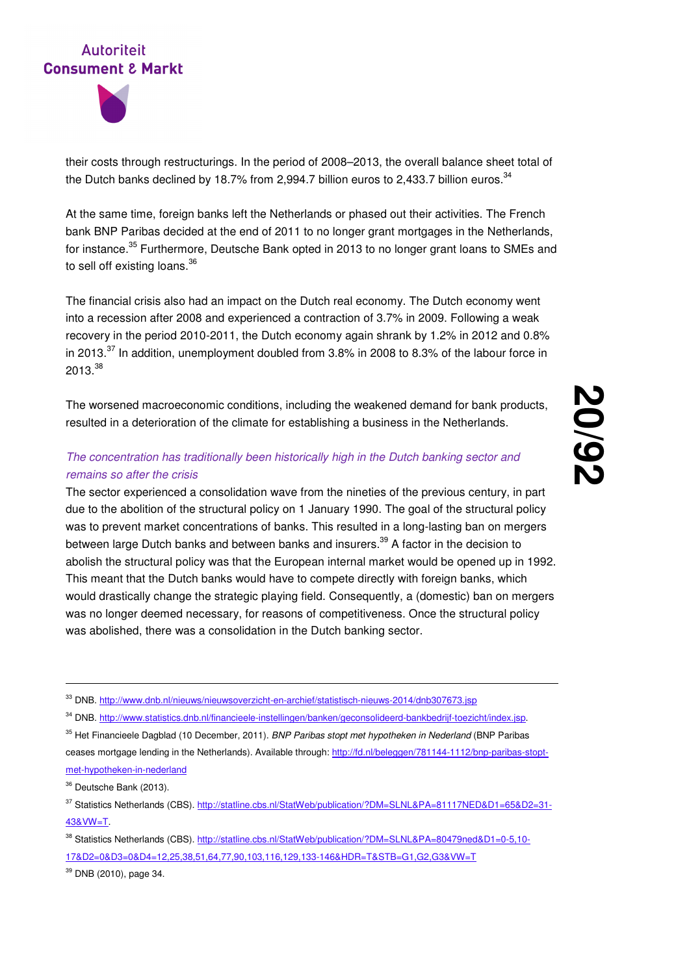

their costs through restructurings. In the period of 2008–2013, the overall balance sheet total of the Dutch banks declined by 18.7% from 2,994.7 billion euros to 2,433.7 billion euros.<sup>34</sup>

At the same time, foreign banks left the Netherlands or phased out their activities. The French bank BNP Paribas decided at the end of 2011 to no longer grant mortgages in the Netherlands, for instance.<sup>35</sup> Furthermore, Deutsche Bank opted in 2013 to no longer grant loans to SMEs and to sell off existing loans. $^{36}$ 

The financial crisis also had an impact on the Dutch real economy. The Dutch economy went into a recession after 2008 and experienced a contraction of 3.7% in 2009. Following a weak recovery in the period 2010-2011, the Dutch economy again shrank by 1.2% in 2012 and 0.8% in 2013. $^{37}$  In addition, unemployment doubled from 3.8% in 2008 to 8.3% of the labour force in 2013. $^{38}$ 

The worsened macroeconomic conditions, including the weakened demand for bank products, resulted in a deterioration of the climate for establishing a business in the Netherlands.

#### The concentration has traditionally been historically high in the Dutch banking sector and remains so after the crisis

The sector experienced a consolidation wave from the nineties of the previous century, in part due to the abolition of the structural policy on 1 January 1990. The goal of the structural policy was to prevent market concentrations of banks. This resulted in a long-lasting ban on mergers between large Dutch banks and between banks and insurers.<sup>39</sup> A factor in the decision to abolish the structural policy was that the European internal market would be opened up in 1992. This meant that the Dutch banks would have to compete directly with foreign banks, which would drastically change the strategic playing field. Consequently, a (domestic) ban on mergers was no longer deemed necessary, for reasons of competitiveness. Once the structural policy was abolished, there was a consolidation in the Dutch banking sector.

<sup>33</sup> DNB. http://www.dnb.nl/nieuws/nieuwsoverzicht-en-archief/statistisch-nieuws-2014/dnb307673.jsp

<sup>34</sup> DNB. http://www.statistics.dnb.nl/financieele-instellingen/banken/geconsolideerd-bankbedrijf-toezicht/index.jsp.

<sup>35</sup> Het Financieele Dagblad (10 December, 2011). BNP Paribas stopt met hypotheken in Nederland (BNP Paribas ceases mortgage lending in the Netherlands). Available through: http://fd.nl/beleggen/781144-1112/bnp-paribas-stoptmet-hypotheken-in-nederland

-

37 Statistics Netherlands (CBS). http://statline.cbs.nl/StatWeb/publication/?DM=SLNL&PA=81117NED&D1=65&D2=31-43&VW=T.

38 Statistics Netherlands (CBS). http://statline.cbs.nl/StatWeb/publication/?DM=SLNL&PA=80479ned&D1=0-5,10-17&D2=0&D3=0&D4=12,25,38,51,64,77,90,103,116,129,133-146&HDR=T&STB=G1,G2,G3&VW=T

<sup>39</sup> DNB (2010), page 34.

<sup>&</sup>lt;sup>36</sup> Deutsche Bank (2013).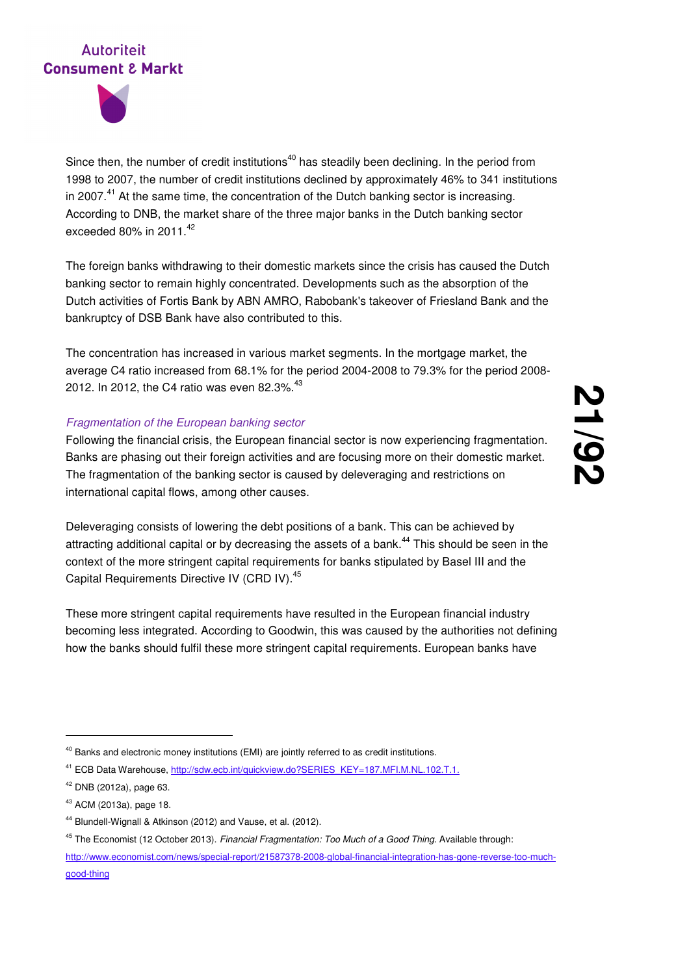



Since then, the number of credit institutions<sup>40</sup> has steadily been declining. In the period from 1998 to 2007, the number of credit institutions declined by approximately 46% to 341 institutions in 2007. $^{41}$  At the same time, the concentration of the Dutch banking sector is increasing. According to DNB, the market share of the three major banks in the Dutch banking sector exceeded 80% in 2011. $42$ 

The foreign banks withdrawing to their domestic markets since the crisis has caused the Dutch banking sector to remain highly concentrated. Developments such as the absorption of the Dutch activities of Fortis Bank by ABN AMRO, Rabobank's takeover of Friesland Bank and the bankruptcy of DSB Bank have also contributed to this.

The concentration has increased in various market segments. In the mortgage market, the average C4 ratio increased from 68.1% for the period 2004-2008 to 79.3% for the period 2008- 2012. In 2012, the C4 ratio was even 82.3%.<sup>43</sup>

#### Fragmentation of the European banking sector

Following the financial crisis, the European financial sector is now experiencing fragmentation. Banks are phasing out their foreign activities and are focusing more on their domestic market. The fragmentation of the banking sector is caused by deleveraging and restrictions on international capital flows, among other causes.

Deleveraging consists of lowering the debt positions of a bank. This can be achieved by attracting additional capital or by decreasing the assets of a bank.<sup>44</sup> This should be seen in the context of the more stringent capital requirements for banks stipulated by Basel III and the Capital Requirements Directive IV (CRD IV).<sup>45</sup>

These more stringent capital requirements have resulted in the European financial industry becoming less integrated. According to Goodwin, this was caused by the authorities not defining how the banks should fulfil these more stringent capital requirements. European banks have

-

http://www.economist.com/news/special-report/21587378-2008-global-financial-integration-has-gone-reverse-too-muchgood-thing

<sup>&</sup>lt;sup>40</sup> Banks and electronic money institutions (EMI) are jointly referred to as credit institutions.

<sup>&</sup>lt;sup>41</sup> ECB Data Warehouse, http://sdw.ecb.int/quickview.do?SERIES\_KEY=187.MFI.M.NL.102.T.1.

<sup>42</sup> DNB (2012a), page 63.

<sup>43</sup> ACM (2013a), page 18.

<sup>44</sup> Blundell-Wignall & Atkinson (2012) and Vause, et al. (2012).

<sup>&</sup>lt;sup>45</sup> The Economist (12 October 2013). Financial Fragmentation: Too Much of a Good Thing. Available through: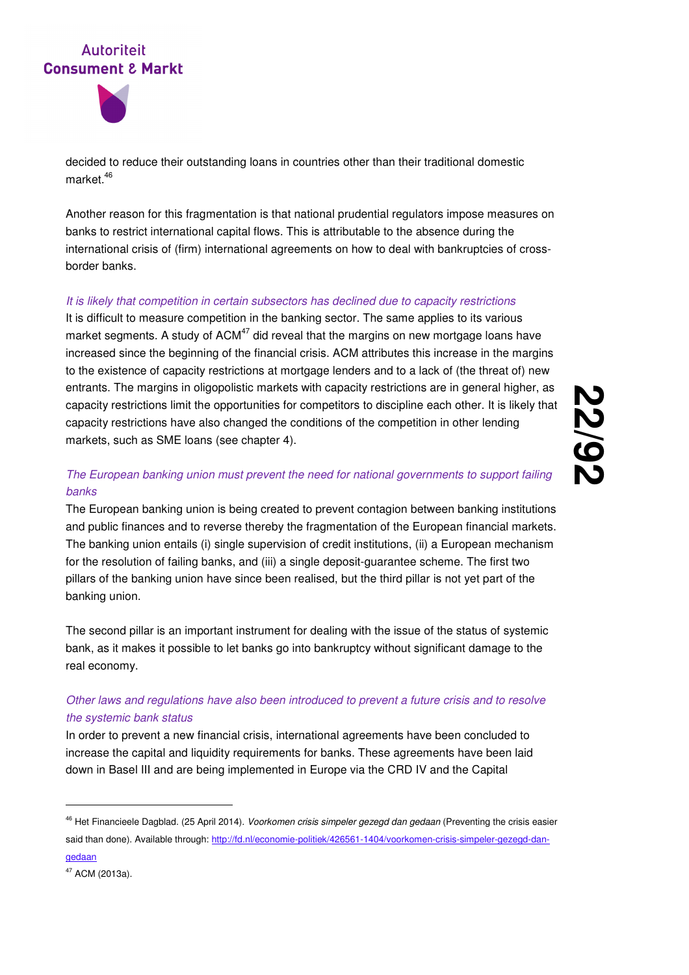



decided to reduce their outstanding loans in countries other than their traditional domestic market.<sup>46</sup>

Another reason for this fragmentation is that national prudential regulators impose measures on banks to restrict international capital flows. This is attributable to the absence during the international crisis of (firm) international agreements on how to deal with bankruptcies of crossborder banks.

#### It is likely that competition in certain subsectors has declined due to capacity restrictions

It is difficult to measure competition in the banking sector. The same applies to its various market segments. A study of  $ACM<sup>47</sup>$  did reveal that the margins on new mortgage loans have increased since the beginning of the financial crisis. ACM attributes this increase in the margins to the existence of capacity restrictions at mortgage lenders and to a lack of (the threat of) new entrants. The margins in oligopolistic markets with capacity restrictions are in general higher, as capacity restrictions limit the opportunities for competitors to discipline each other. It is likely that capacity restrictions have also changed the conditions of the competition in other lending markets, such as SME loans (see chapter 4).

#### The European banking union must prevent the need for national governments to support failing banks

The European banking union is being created to prevent contagion between banking institutions and public finances and to reverse thereby the fragmentation of the European financial markets. The banking union entails (i) single supervision of credit institutions, (ii) a European mechanism for the resolution of failing banks, and (iii) a single deposit-guarantee scheme. The first two pillars of the banking union have since been realised, but the third pillar is not yet part of the banking union.

The second pillar is an important instrument for dealing with the issue of the status of systemic bank, as it makes it possible to let banks go into bankruptcy without significant damage to the real economy.

#### Other laws and regulations have also been introduced to prevent a future crisis and to resolve the systemic bank status

In order to prevent a new financial crisis, international agreements have been concluded to increase the capital and liquidity requirements for banks. These agreements have been laid down in Basel III and are being implemented in Europe via the CRD IV and the Capital

<sup>&</sup>lt;sup>46</sup> Het Financieele Dagblad. (25 April 2014). Voorkomen crisis simpeler gezegd dan gedaan (Preventing the crisis easier said than done). Available through: http://fd.nl/economie-politiek/426561-1404/voorkomen-crisis-simpeler-gezegd-dangedaan

<sup>47</sup> ACM (2013a).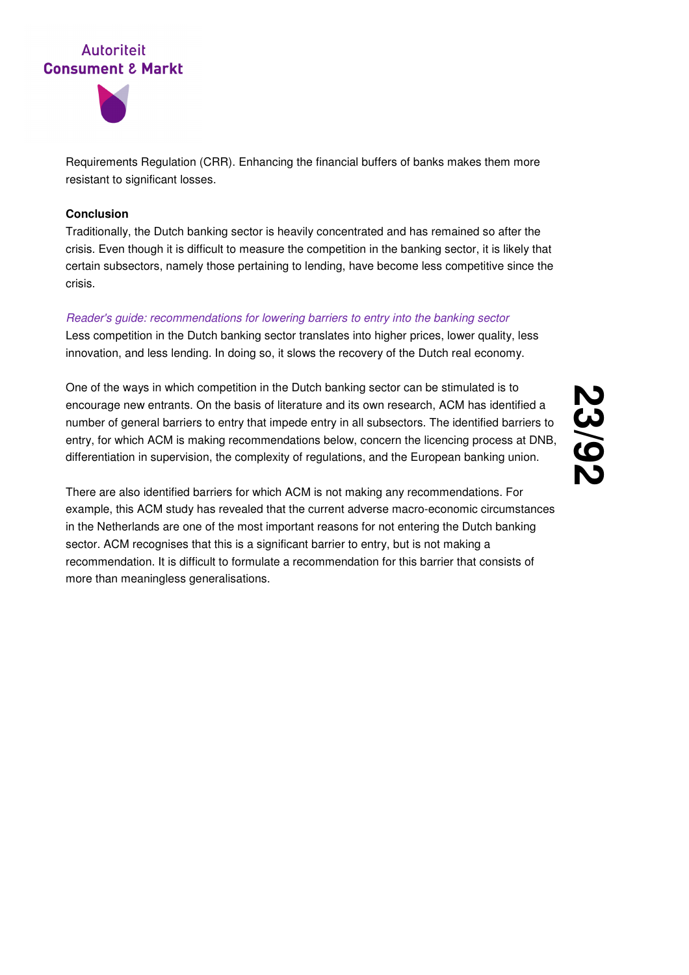



Requirements Regulation (CRR). Enhancing the financial buffers of banks makes them more resistant to significant losses.

#### **Conclusion**

Traditionally, the Dutch banking sector is heavily concentrated and has remained so after the crisis. Even though it is difficult to measure the competition in the banking sector, it is likely that certain subsectors, namely those pertaining to lending, have become less competitive since the crisis.

#### Reader's guide: recommendations for lowering barriers to entry into the banking sector

Less competition in the Dutch banking sector translates into higher prices, lower quality, less innovation, and less lending. In doing so, it slows the recovery of the Dutch real economy.

One of the ways in which competition in the Dutch banking sector can be stimulated is to encourage new entrants. On the basis of literature and its own research, ACM has identified a number of general barriers to entry that impede entry in all subsectors. The identified barriers to entry, for which ACM is making recommendations below, concern the licencing process at DNB, differentiation in supervision, the complexity of regulations, and the European banking union.

There are also identified barriers for which ACM is not making any recommendations. For example, this ACM study has revealed that the current adverse macro-economic circumstances in the Netherlands are one of the most important reasons for not entering the Dutch banking sector. ACM recognises that this is a significant barrier to entry, but is not making a recommendation. It is difficult to formulate a recommendation for this barrier that consists of more than meaningless generalisations.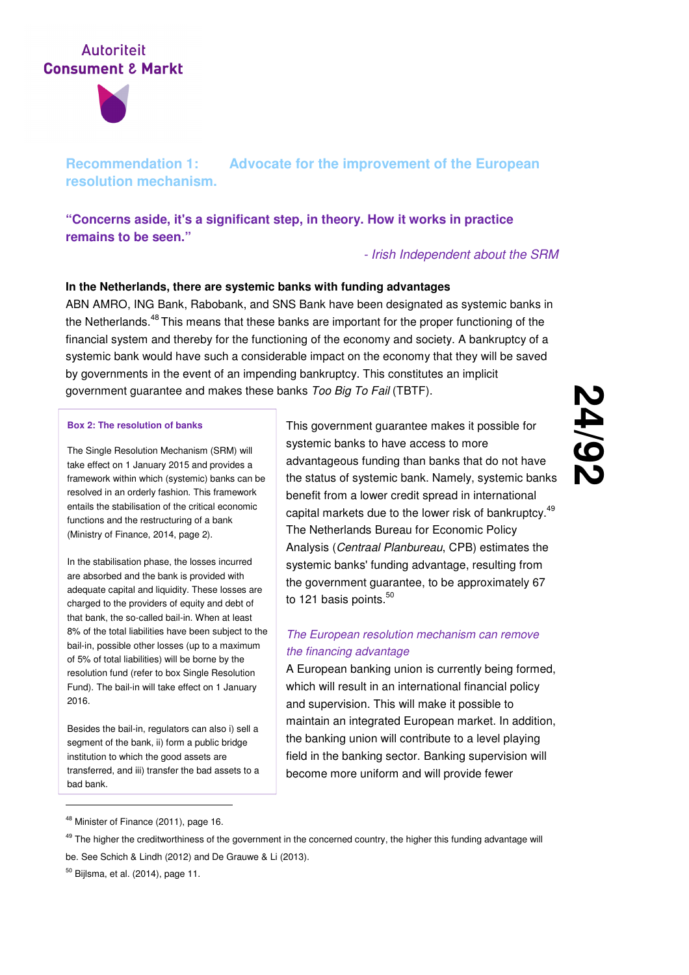

**Recommendation 1: Advocate for the improvement of the European resolution mechanism.** 

**"Concerns aside, it's a significant step, in theory. How it works in practice remains to be seen."** 

#### - Irish Independent about the SRM

#### **In the Netherlands, there are systemic banks with funding advantages**

ABN AMRO, ING Bank, Rabobank, and SNS Bank have been designated as systemic banks in the Netherlands.<sup>48</sup>This means that these banks are important for the proper functioning of the financial system and thereby for the functioning of the economy and society. A bankruptcy of a systemic bank would have such a considerable impact on the economy that they will be saved by governments in the event of an impending bankruptcy. This constitutes an implicit government guarantee and makes these banks Too Big To Fail (TBTF).

#### **Box 2: The resolution of banks**

The Single Resolution Mechanism (SRM) will take effect on 1 January 2015 and provides a framework within which (systemic) banks can be resolved in an orderly fashion. This framework entails the stabilisation of the critical economic functions and the restructuring of a bank (Ministry of Finance, 2014, page 2).

In the stabilisation phase, the losses incurred are absorbed and the bank is provided with adequate capital and liquidity. These losses are charged to the providers of equity and debt of that bank, the so-called bail-in. When at least 8% of the total liabilities have been subject to the bail-in, possible other losses (up to a maximum of 5% of total liabilities) will be borne by the resolution fund (refer to box Single Resolution Fund). The bail-in will take effect on 1 January 2016.

Besides the bail-in, regulators can also i) sell a segment of the bank, ii) form a public bridge institution to which the good assets are transferred, and iii) transfer the bad assets to a bad bank.

This government guarantee makes it possible for systemic banks to have access to more advantageous funding than banks that do not have the status of systemic bank. Namely, systemic banks benefit from a lower credit spread in international capital markets due to the lower risk of bankruptcy.<sup>49</sup> The Netherlands Bureau for Economic Policy Analysis (Centraal Planbureau, CPB) estimates the systemic banks' funding advantage, resulting from the government guarantee, to be approximately 67 to 121 basis points.<sup>50</sup>

#### The European resolution mechanism can remove the financing advantage

A European banking union is currently being formed, which will result in an international financial policy and supervision. This will make it possible to maintain an integrated European market. In addition, the banking union will contribute to a level playing field in the banking sector. Banking supervision will become more uniform and will provide fewer

<sup>48</sup> Minister of Finance (2011), page 16.

<sup>&</sup>lt;sup>49</sup> The higher the creditworthiness of the government in the concerned country, the higher this funding advantage will be. See Schich & Lindh (2012) and De Grauwe & Li (2013).

 $50$  Bijlsma, et al. (2014), page 11.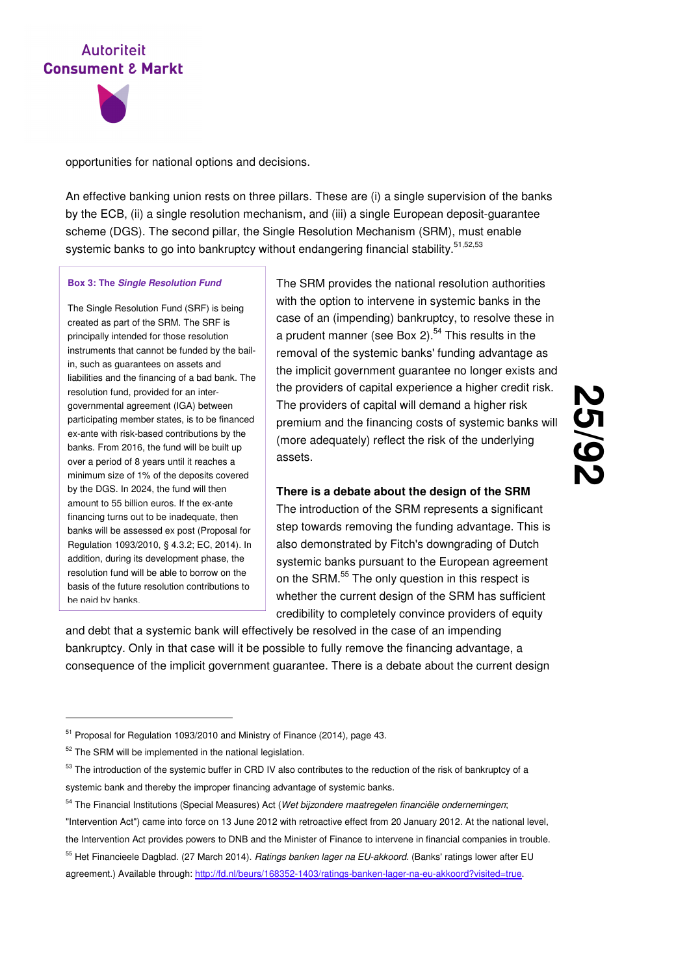



opportunities for national options and decisions.

An effective banking union rests on three pillars. These are (i) a single supervision of the banks by the ECB, (ii) a single resolution mechanism, and (iii) a single European deposit-guarantee scheme (DGS). The second pillar, the Single Resolution Mechanism (SRM), must enable systemic banks to go into bankruptcy without endangering financial stability.<sup>51,52,53</sup>

#### **Box 3: The Single Resolution Fund**

The Single Resolution Fund (SRF) is being created as part of the SRM. The SRF is principally intended for those resolution instruments that cannot be funded by the bailin, such as guarantees on assets and liabilities and the financing of a bad bank. The resolution fund, provided for an intergovernmental agreement (IGA) between participating member states, is to be financed ex-ante with risk-based contributions by the banks. From 2016, the fund will be built up over a period of 8 years until it reaches a minimum size of 1% of the deposits covered by the DGS. In 2024, the fund will then amount to 55 billion euros. If the ex-ante financing turns out to be inadequate, then banks will be assessed ex post (Proposal for Regulation 1093/2010, § 4.3.2; EC, 2014). In addition, during its development phase, the resolution fund will be able to borrow on the basis of the future resolution contributions to be paid by banks.

The SRM provides the national resolution authorities with the option to intervene in systemic banks in the case of an (impending) bankruptcy, to resolve these in a prudent manner (see Box 2).<sup>54</sup> This results in the removal of the systemic banks' funding advantage as the implicit government guarantee no longer exists and the providers of capital experience a higher credit risk. The providers of capital will demand a higher risk premium and the financing costs of systemic banks will (more adequately) reflect the risk of the underlying assets.

#### **There is a debate about the design of the SRM**

The introduction of the SRM represents a significant step towards removing the funding advantage. This is also demonstrated by Fitch's downgrading of Dutch systemic banks pursuant to the European agreement on the SRM.<sup>55</sup> The only question in this respect is whether the current design of the SRM has sufficient credibility to completely convince providers of equity

and debt that a systemic bank will effectively be resolved in the case of an impending bankruptcy. Only in that case will it be possible to fully remove the financing advantage, a consequence of the implicit government guarantee. There is a debate about the current design

- 54 The Financial Institutions (Special Measures) Act (Wet bijzondere maatregelen financiële ondernemingen; "Intervention Act") came into force on 13 June 2012 with retroactive effect from 20 January 2012. At the national level, the Intervention Act provides powers to DNB and the Minister of Finance to intervene in financial companies in trouble.
- <sup>55</sup> Het Financieele Dagblad. (27 March 2014). Ratings banken lager na EU-akkoord. (Banks' ratings lower after EU agreement.) Available through: http://fd.nl/beurs/168352-1403/ratings-banken-lager-na-eu-akkoord?visited=true.

<sup>&</sup>lt;sup>51</sup> Proposal for Regulation 1093/2010 and Ministry of Finance (2014), page 43.

<sup>&</sup>lt;sup>52</sup> The SRM will be implemented in the national legislation.

 $53$  The introduction of the systemic buffer in CRD IV also contributes to the reduction of the risk of bankruptcy of a systemic bank and thereby the improper financing advantage of systemic banks.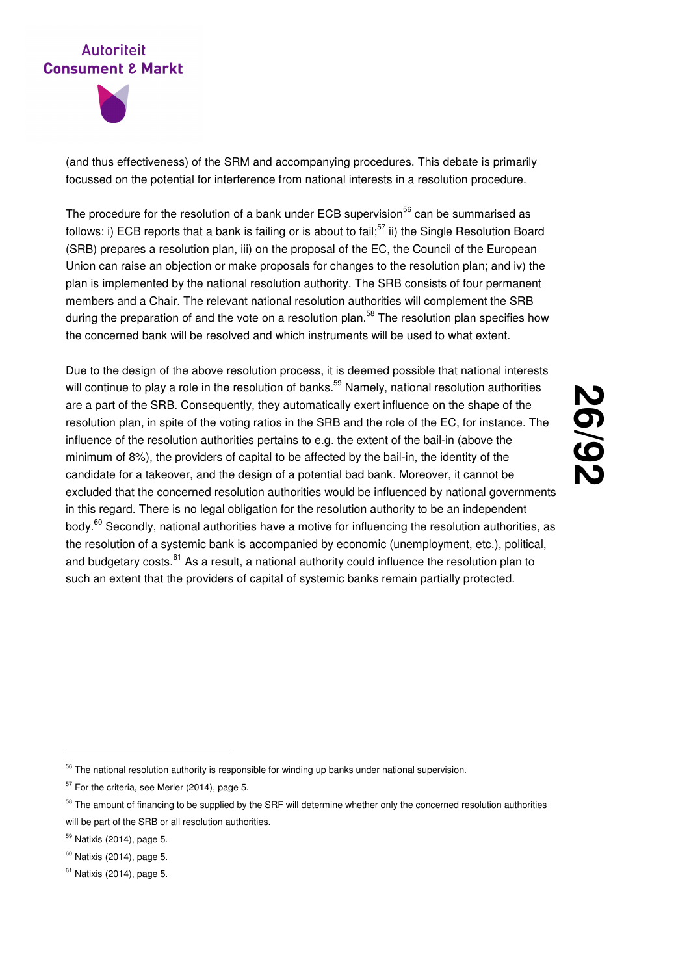

(and thus effectiveness) of the SRM and accompanying procedures. This debate is primarily focussed on the potential for interference from national interests in a resolution procedure.

The procedure for the resolution of a bank under ECB supervision<sup>56</sup> can be summarised as follows: i) ECB reports that a bank is failing or is about to fail:<sup>57</sup> ii) the Single Resolution Board (SRB) prepares a resolution plan, iii) on the proposal of the EC, the Council of the European Union can raise an objection or make proposals for changes to the resolution plan; and iv) the plan is implemented by the national resolution authority. The SRB consists of four permanent members and a Chair. The relevant national resolution authorities will complement the SRB during the preparation of and the vote on a resolution plan.<sup>58</sup> The resolution plan specifies how the concerned bank will be resolved and which instruments will be used to what extent.

Due to the design of the above resolution process, it is deemed possible that national interests will continue to play a role in the resolution of banks.<sup>59</sup> Namely, national resolution authorities are a part of the SRB. Consequently, they automatically exert influence on the shape of the resolution plan, in spite of the voting ratios in the SRB and the role of the EC, for instance. The influence of the resolution authorities pertains to e.g. the extent of the bail-in (above the minimum of 8%), the providers of capital to be affected by the bail-in, the identity of the candidate for a takeover, and the design of a potential bad bank. Moreover, it cannot be excluded that the concerned resolution authorities would be influenced by national governments in this regard. There is no legal obligation for the resolution authority to be an independent body.<sup>60</sup> Secondly, national authorities have a motive for influencing the resolution authorities, as the resolution of a systemic bank is accompanied by economic (unemployment, etc.), political, and budgetary costs.<sup>61</sup> As a result, a national authority could influence the resolution plan to such an extent that the providers of capital of systemic banks remain partially protected.

**26**

**/92**

#### $56$  The national resolution authority is responsible for winding up banks under national supervision.

 $57$  For the criteria, see Merler (2014), page 5.

<sup>&</sup>lt;sup>58</sup> The amount of financing to be supplied by the SRF will determine whether only the concerned resolution authorities will be part of the SRB or all resolution authorities.

<sup>59</sup> Natixis (2014), page 5.

 $60$  Natixis (2014), page 5.

 $61$  Natixis (2014), page 5.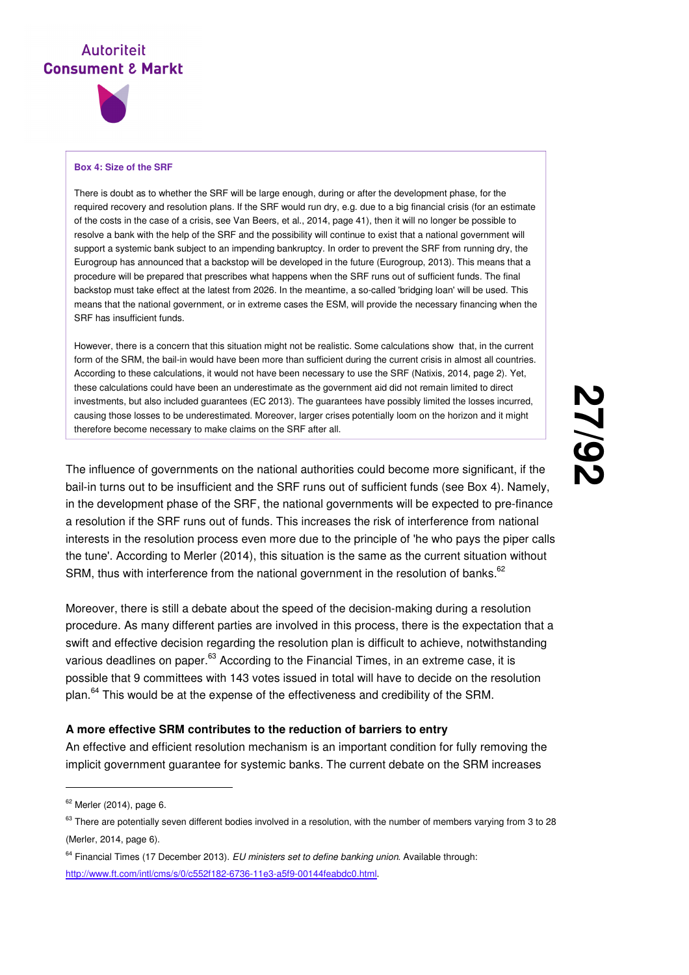

#### **Box 4: Size of the SRF**

There is doubt as to whether the SRF will be large enough, during or after the development phase, for the required recovery and resolution plans. If the SRF would run dry, e.g. due to a big financial crisis (for an estimate of the costs in the case of a crisis, see Van Beers, et al., 2014, page 41), then it will no longer be possible to resolve a bank with the help of the SRF and the possibility will continue to exist that a national government will support a systemic bank subject to an impending bankruptcy. In order to prevent the SRF from running dry, the Eurogroup has announced that a backstop will be developed in the future (Eurogroup, 2013). This means that a procedure will be prepared that prescribes what happens when the SRF runs out of sufficient funds. The final backstop must take effect at the latest from 2026. In the meantime, a so-called 'bridging loan' will be used. This means that the national government, or in extreme cases the ESM, will provide the necessary financing when the SRF has insufficient funds.

However, there is a concern that this situation might not be realistic. Some calculations show that, in the current form of the SRM, the bail-in would have been more than sufficient during the current crisis in almost all countries. According to these calculations, it would not have been necessary to use the SRF (Natixis, 2014, page 2). Yet, these calculations could have been an underestimate as the government aid did not remain limited to direct investments, but also included guarantees (EC 2013). The guarantees have possibly limited the losses incurred, causing those losses to be underestimated. Moreover, larger crises potentially loom on the horizon and it might therefore become necessary to make claims on the SRF after all.

The influence of governments on the national authorities could become more significant, if the bail-in turns out to be insufficient and the SRF runs out of sufficient funds (see Box 4). Namely, in the development phase of the SRF, the national governments will be expected to pre-finance a resolution if the SRF runs out of funds. This increases the risk of interference from national interests in the resolution process even more due to the principle of 'he who pays the piper calls the tune'. According to Merler (2014), this situation is the same as the current situation without SRM, thus with interference from the national government in the resolution of banks. $62$ 

Moreover, there is still a debate about the speed of the decision-making during a resolution procedure. As many different parties are involved in this process, there is the expectation that a swift and effective decision regarding the resolution plan is difficult to achieve, notwithstanding various deadlines on paper.<sup>63</sup> According to the Financial Times, in an extreme case, it is possible that 9 committees with 143 votes issued in total will have to decide on the resolution plan.<sup>64</sup> This would be at the expense of the effectiveness and credibility of the SRM.

#### **A more effective SRM contributes to the reduction of barriers to entry**

An effective and efficient resolution mechanism is an important condition for fully removing the implicit government guarantee for systemic banks. The current debate on the SRM increases

<sup>&</sup>lt;sup>62</sup> Merler (2014), page 6.

 $63$  There are potentially seven different bodies involved in a resolution, with the number of members varying from 3 to 28 (Merler, 2014, page 6).

 $64$  Financial Times (17 December 2013). EU ministers set to define banking union. Available through: http://www.ft.com/intl/cms/s/0/c552f182-6736-11e3-a5f9-00144feabdc0.html.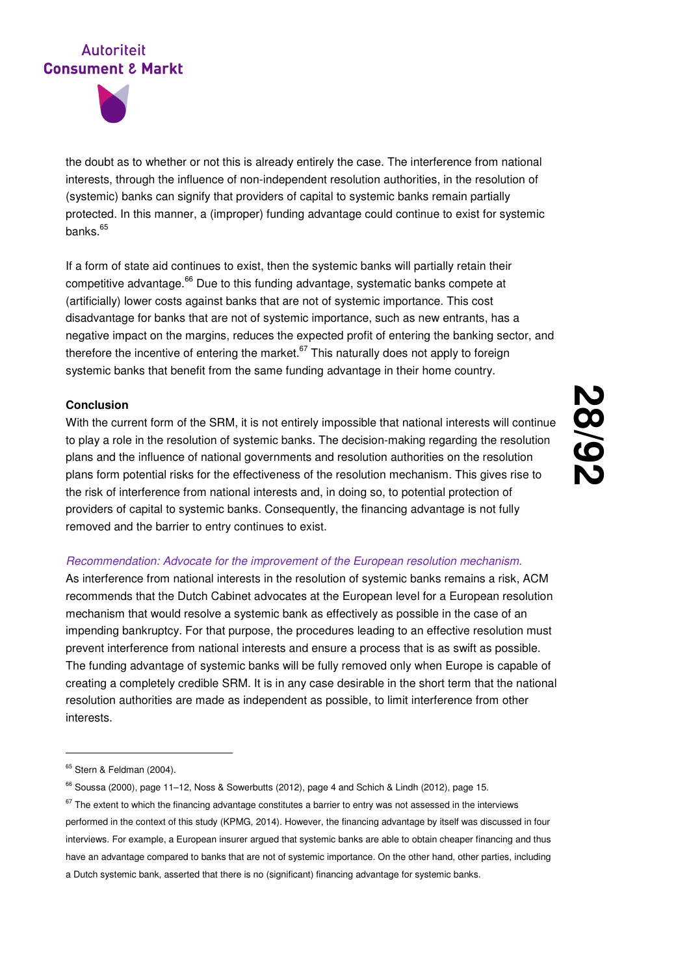



the doubt as to whether or not this is already entirely the case. The interference from national interests, through the influence of non-independent resolution authorities, in the resolution of (systemic) banks can signify that providers of capital to systemic banks remain partially protected. In this manner, a (improper) funding advantage could continue to exist for systemic banks. $65$ 

If a form of state aid continues to exist, then the systemic banks will partially retain their competitive advantage.<sup>66</sup> Due to this funding advantage, systematic banks compete at (artificially) lower costs against banks that are not of systemic importance. This cost disadvantage for banks that are not of systemic importance, such as new entrants, has a negative impact on the margins, reduces the expected profit of entering the banking sector, and therefore the incentive of entering the market. $67$  This naturally does not apply to foreign systemic banks that benefit from the same funding advantage in their home country.

#### **Conclusion**

With the current form of the SRM, it is not entirely impossible that national interests will continue to play a role in the resolution of systemic banks. The decision-making regarding the resolution plans and the influence of national governments and resolution authorities on the resolution plans form potential risks for the effectiveness of the resolution mechanism. This gives rise to the risk of interference from national interests and, in doing so, to potential protection of providers of capital to systemic banks. Consequently, the financing advantage is not fully removed and the barrier to entry continues to exist.

#### Recommendation: Advocate for the improvement of the European resolution mechanism.

As interference from national interests in the resolution of systemic banks remains a risk, ACM recommends that the Dutch Cabinet advocates at the European level for a European resolution mechanism that would resolve a systemic bank as effectively as possible in the case of an impending bankruptcy. For that purpose, the procedures leading to an effective resolution must prevent interference from national interests and ensure a process that is as swift as possible. The funding advantage of systemic banks will be fully removed only when Europe is capable of creating a completely credible SRM. It is in any case desirable in the short term that the national resolution authorities are made as independent as possible, to limit interference from other interests.

<sup>&</sup>lt;sup>65</sup> Stern & Feldman (2004).

<sup>&</sup>lt;sup>66</sup> Soussa (2000), page 11-12, Noss & Sowerbutts (2012), page 4 and Schich & Lindh (2012), page 15.

 $67$  The extent to which the financing advantage constitutes a barrier to entry was not assessed in the interviews performed in the context of this study (KPMG, 2014). However, the financing advantage by itself was discussed in four interviews. For example, a European insurer argued that systemic banks are able to obtain cheaper financing and thus have an advantage compared to banks that are not of systemic importance. On the other hand, other parties, including a Dutch systemic bank, asserted that there is no (significant) financing advantage for systemic banks.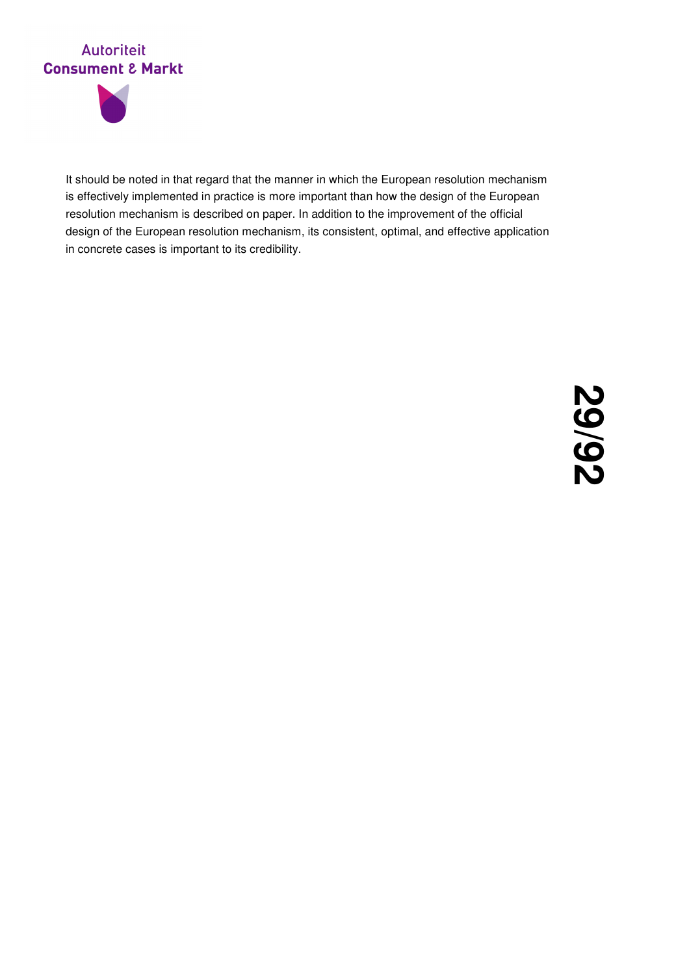



It should be noted in that regard that the manner in which the European resolution mechanism is effectively implemented in practice is more important than how the design of the European resolution mechanism is described on paper. In addition to the improvement of the official design of the European resolution mechanism, its consistent, optimal, and effective application in concrete cases is important to its credibility.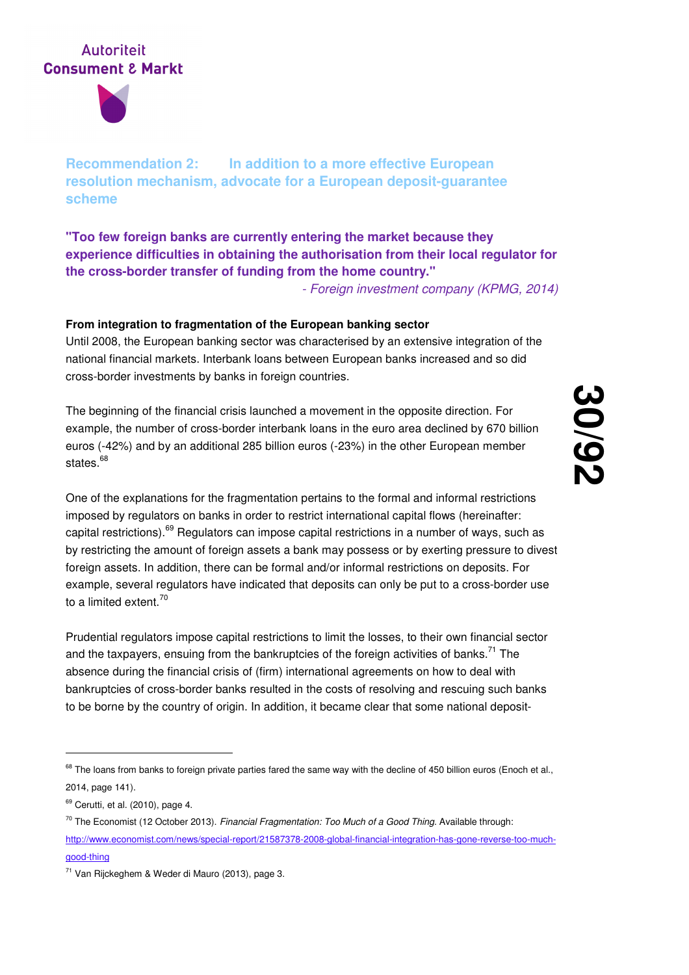

**Recommendation 2: In addition to a more effective European resolution mechanism, advocate for a European deposit-guarantee scheme** 

**"Too few foreign banks are currently entering the market because they experience difficulties in obtaining the authorisation from their local regulator for the cross-border transfer of funding from the home country."** 

- Foreign investment company (KPMG, 2014)

#### **From integration to fragmentation of the European banking sector**

Until 2008, the European banking sector was characterised by an extensive integration of the national financial markets. Interbank loans between European banks increased and so did cross-border investments by banks in foreign countries.

The beginning of the financial crisis launched a movement in the opposite direction. For example, the number of cross-border interbank loans in the euro area declined by 670 billion euros (-42%) and by an additional 285 billion euros (-23%) in the other European member states.<sup>68</sup>

**30 /92**

One of the explanations for the fragmentation pertains to the formal and informal restrictions imposed by regulators on banks in order to restrict international capital flows (hereinafter: capital restrictions).<sup>69</sup> Regulators can impose capital restrictions in a number of ways, such as by restricting the amount of foreign assets a bank may possess or by exerting pressure to divest foreign assets. In addition, there can be formal and/or informal restrictions on deposits. For example, several regulators have indicated that deposits can only be put to a cross-border use to a limited extent.<sup>70</sup>

Prudential regulators impose capital restrictions to limit the losses, to their own financial sector and the taxpayers, ensuing from the bankruptcies of the foreign activities of banks.<sup>71</sup> The absence during the financial crisis of (firm) international agreements on how to deal with bankruptcies of cross-border banks resulted in the costs of resolving and rescuing such banks to be borne by the country of origin. In addition, it became clear that some national deposit-

<sup>&</sup>lt;sup>68</sup> The loans from banks to foreign private parties fared the same way with the decline of 450 billion euros (Enoch et al., 2014, page 141).

<sup>&</sup>lt;sup>69</sup> Cerutti, et al. (2010), page 4.

 $70$  The Economist (12 October 2013). Financial Fragmentation: Too Much of a Good Thing. Available through:

http://www.economist.com/news/special-report/21587378-2008-global-financial-integration-has-gone-reverse-too-muchgood-thing

<sup>71</sup> Van Rijckeghem & Weder di Mauro (2013), page 3.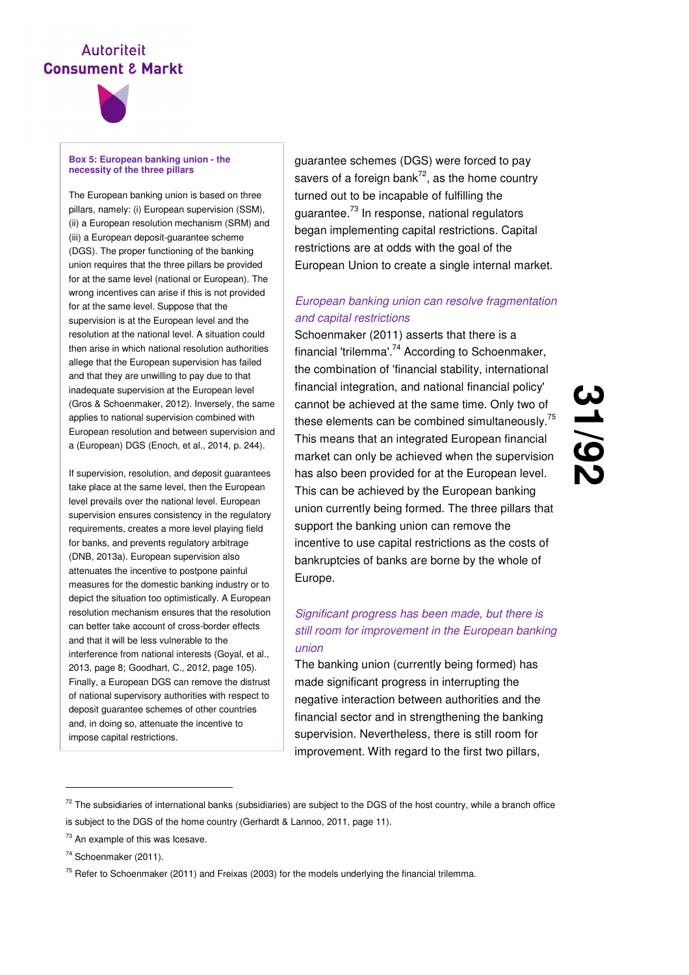

#### **Box 5: European banking union - the necessity of the three pillars**

The European banking union is based on three pillars, namely: (i) European supervision (SSM), (ii) a European resolution mechanism (SRM) and (iii) a European deposit-guarantee scheme (DGS). The proper functioning of the banking union requires that the three pillars be provided for at the same level (national or European). The wrong incentives can arise if this is not provided for at the same level. Suppose that the supervision is at the European level and the resolution at the national level. A situation could then arise in which national resolution authorities allege that the European supervision has failed and that they are unwilling to pay due to that inadequate supervision at the European level (Gros & Schoenmaker, 2012). Inversely, the same applies to national supervision combined with European resolution and between supervision and a (European) DGS (Enoch, et al., 2014, p. 244).

If supervision, resolution, and deposit guarantees take place at the same level, then the European level prevails over the national level. European supervision ensures consistency in the regulatory requirements, creates a more level playing field for banks, and prevents regulatory arbitrage (DNB, 2013a). European supervision also attenuates the incentive to postpone painful measures for the domestic banking industry or to depict the situation too optimistically. A European resolution mechanism ensures that the resolution can better take account of cross-border effects and that it will be less vulnerable to the interference from national interests (Goyal, et al., 2013, page 8; Goodhart, C., 2012, page 105). Finally, a European DGS can remove the distrust of national supervisory authorities with respect to deposit guarantee schemes of other countries and, in doing so, attenuate the incentive to impose capital restrictions.

guarantee schemes (DGS) were forced to pay savers of a foreign bank $7^2$ , as the home country turned out to be incapable of fulfilling the guarantee.<sup>73</sup> In response, national regulators began implementing capital restrictions. Capital restrictions are at odds with the goal of the European Union to create a single internal market.

#### European banking union can resolve fragmentation and capital restrictions

Schoenmaker (2011) asserts that there is a financial 'trilemma'.<sup>74</sup> According to Schoenmaker, the combination of 'financial stability, international financial integration, and national financial policy' cannot be achieved at the same time. Only two of these elements can be combined simultaneously.<sup>75</sup> This means that an integrated European financial market can only be achieved when the supervision has also been provided for at the European level. This can be achieved by the European banking union currently being formed. The three pillars that support the banking union can remove the incentive to use capital restrictions as the costs of bankruptcies of banks are borne by the whole of Europe.

<u>ပ</u>

**/92**

#### Significant progress has been made, but there is still room for improvement in the European banking union

The banking union (currently being formed) has made significant progress in interrupting the negative interaction between authorities and the financial sector and in strengthening the banking supervision. Nevertheless, there is still room for improvement. With regard to the first two pillars,

 $72$  The subsidiaries of international banks (subsidiaries) are subject to the DGS of the host country, while a branch office is subject to the DGS of the home country (Gerhardt & Lannoo, 2011, page 11).

<sup>&</sup>lt;sup>73</sup> An example of this was Icesave.

<sup>74</sup> Schoenmaker (2011).

 $75$  Refer to Schoenmaker (2011) and Freixas (2003) for the models underlying the financial trilemma.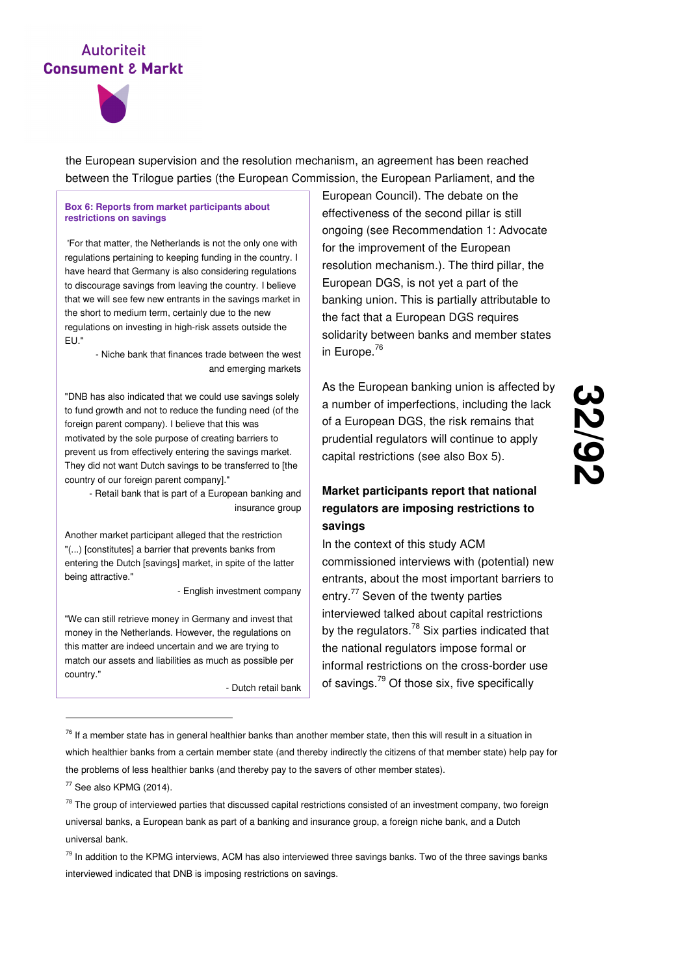

the European supervision and the resolution mechanism, an agreement has been reached between the Trilogue parties (the European Commission, the European Parliament, and the

#### **Box 6: Reports from market participants about restrictions on savings**

 'For that matter, the Netherlands is not the only one with regulations pertaining to keeping funding in the country. I have heard that Germany is also considering regulations to discourage savings from leaving the country. I believe that we will see few new entrants in the savings market in the short to medium term, certainly due to the new regulations on investing in high-risk assets outside the EU."

> - Niche bank that finances trade between the west and emerging markets

"DNB has also indicated that we could use savings solely to fund growth and not to reduce the funding need (of the foreign parent company). I believe that this was motivated by the sole purpose of creating barriers to prevent us from effectively entering the savings market. They did not want Dutch savings to be transferred to [the country of our foreign parent company]."

- Retail bank that is part of a European banking and insurance group

Another market participant alleged that the restriction "(...) [constitutes] a barrier that prevents banks from entering the Dutch [savings] market, in spite of the latter being attractive."

- English investment company

"We can still retrieve money in Germany and invest that money in the Netherlands. However, the regulations on this matter are indeed uncertain and we are trying to match our assets and liabilities as much as possible per country."

- Dutch retail bank

European Council). The debate on the effectiveness of the second pillar is still ongoing (see Recommendation 1: Advocate for the improvement of the European resolution mechanism.). The third pillar, the European DGS, is not yet a part of the banking union. This is partially attributable to the fact that a European DGS requires solidarity between banks and member states in Europe.<sup>76</sup>

As the European banking union is affected by a number of imperfections, including the lack of a European DGS, the risk remains that prudential regulators will continue to apply capital restrictions (see also Box 5).

#### **Market participants report that national regulators are imposing restrictions to savings**

In the context of this study ACM commissioned interviews with (potential) new entrants, about the most important barriers to entry.<sup>77</sup> Seven of the twenty parties interviewed talked about capital restrictions by the regulators.<sup>78</sup> Six parties indicated that the national regulators impose formal or informal restrictions on the cross-border use of savings.<sup>79</sup> Of those six, five specifically

<sup>2&</sup>lt;br>2<br>2 **/92**

 $76$  If a member state has in general healthier banks than another member state, then this will result in a situation in which healthier banks from a certain member state (and thereby indirectly the citizens of that member state) help pay for the problems of less healthier banks (and thereby pay to the savers of other member states).

 $77$  See also KPMG (2014).

 $78$  The group of interviewed parties that discussed capital restrictions consisted of an investment company, two foreign universal banks, a European bank as part of a banking and insurance group, a foreign niche bank, and a Dutch universal bank.

 $79$  In addition to the KPMG interviews, ACM has also interviewed three savings banks. Two of the three savings banks interviewed indicated that DNB is imposing restrictions on savings.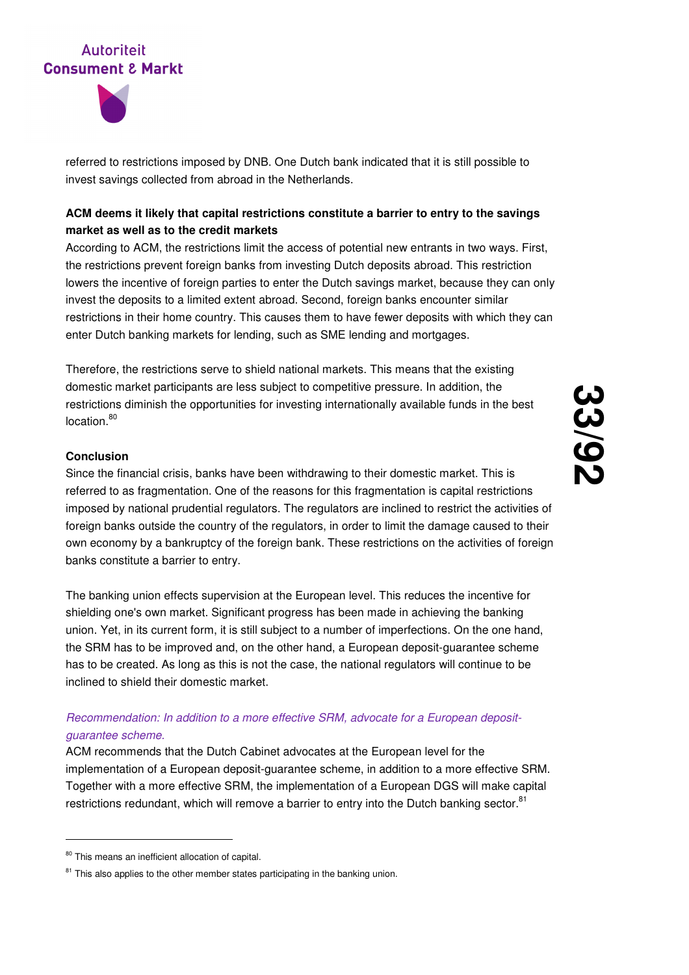



referred to restrictions imposed by DNB. One Dutch bank indicated that it is still possible to invest savings collected from abroad in the Netherlands.

#### **ACM deems it likely that capital restrictions constitute a barrier to entry to the savings market as well as to the credit markets**

According to ACM, the restrictions limit the access of potential new entrants in two ways. First, the restrictions prevent foreign banks from investing Dutch deposits abroad. This restriction lowers the incentive of foreign parties to enter the Dutch savings market, because they can only invest the deposits to a limited extent abroad. Second, foreign banks encounter similar restrictions in their home country. This causes them to have fewer deposits with which they can enter Dutch banking markets for lending, such as SME lending and mortgages.

Therefore, the restrictions serve to shield national markets. This means that the existing domestic market participants are less subject to competitive pressure. In addition, the restrictions diminish the opportunities for investing internationally available funds in the best location.<sup>80</sup>

#### **Conclusion**

Since the financial crisis, banks have been withdrawing to their domestic market. This is referred to as fragmentation. One of the reasons for this fragmentation is capital restrictions imposed by national prudential regulators. The regulators are inclined to restrict the activities of foreign banks outside the country of the regulators, in order to limit the damage caused to their own economy by a bankruptcy of the foreign bank. These restrictions on the activities of foreign banks constitute a barrier to entry.

The banking union effects supervision at the European level. This reduces the incentive for shielding one's own market. Significant progress has been made in achieving the banking union. Yet, in its current form, it is still subject to a number of imperfections. On the one hand, the SRM has to be improved and, on the other hand, a European deposit-guarantee scheme has to be created. As long as this is not the case, the national regulators will continue to be inclined to shield their domestic market.

#### Recommendation: In addition to a more effective SRM, advocate for a European depositguarantee scheme.

ACM recommends that the Dutch Cabinet advocates at the European level for the implementation of a European deposit-guarantee scheme, in addition to a more effective SRM. Together with a more effective SRM, the implementation of a European DGS will make capital restrictions redundant, which will remove a barrier to entry into the Dutch banking sector.<sup>81</sup>

<sup>80</sup> This means an inefficient allocation of capital.

 $81$  This also applies to the other member states participating in the banking union.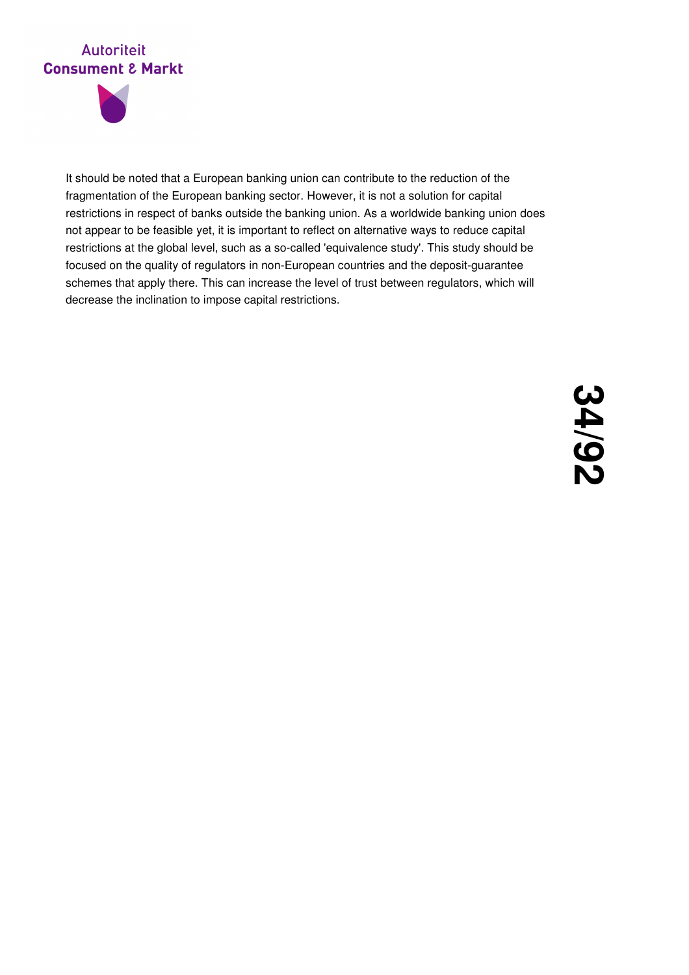

It should be noted that a European banking union can contribute to the reduction of the fragmentation of the European banking sector. However, it is not a solution for capital restrictions in respect of banks outside the banking union. As a worldwide banking union does not appear to be feasible yet, it is important to reflect on alternative ways to reduce capital restrictions at the global level, such as a so-called 'equivalence study'. This study should be focused on the quality of regulators in non-European countries and the deposit-guarantee schemes that apply there. This can increase the level of trust between regulators, which will decrease the inclination to impose capital restrictions.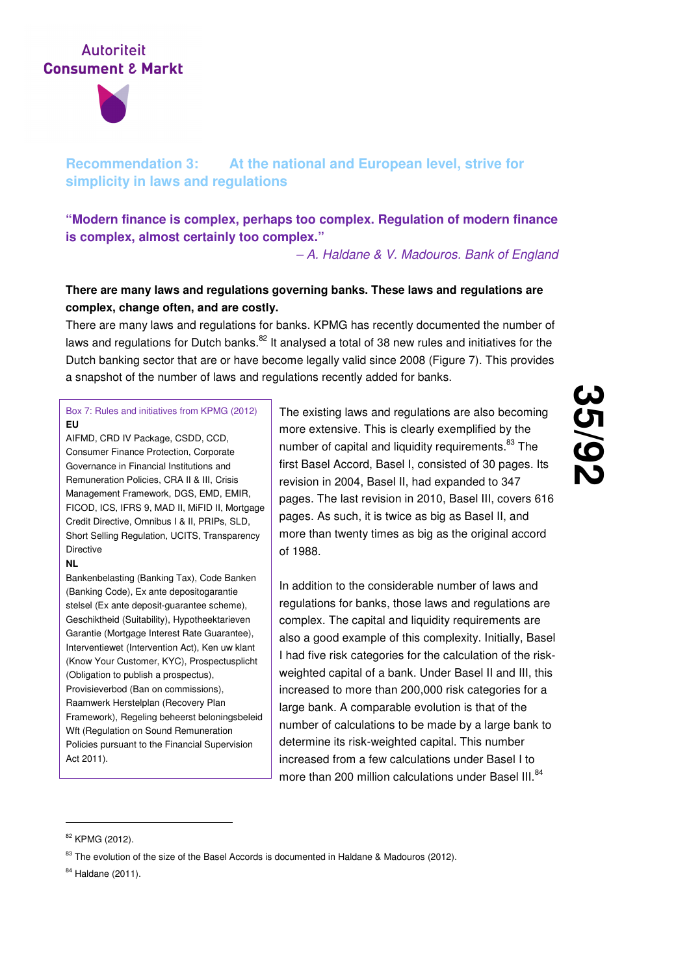

### **Recommendation 3: At the national and European level, strive for simplicity in laws and regulations**

**"Modern finance is complex, perhaps too complex. Regulation of modern finance is complex, almost certainly too complex."** 

– A. Haldane & V. Madouros. Bank of England

#### **There are many laws and regulations governing banks. These laws and regulations are complex, change often, and are costly.**

There are many laws and regulations for banks. KPMG has recently documented the number of laws and regulations for Dutch banks.<sup>82</sup> It analysed a total of 38 new rules and initiatives for the Dutch banking sector that are or have become legally valid since 2008 (Figure 7). This provides a snapshot of the number of laws and regulations recently added for banks.

#### Box 7: Rules and initiatives from KPMG (2012) **EU**

AIFMD, CRD IV Package, CSDD, CCD, Consumer Finance Protection, Corporate Governance in Financial Institutions and Remuneration Policies, CRA II & III, Crisis Management Framework, DGS, EMD, EMIR, FICOD, ICS, IFRS 9, MAD II, MiFID II, Mortgage Credit Directive, Omnibus I & II, PRIPs, SLD, Short Selling Regulation, UCITS, Transparency Directive

#### **NL**

Bankenbelasting (Banking Tax), Code Banken (Banking Code), Ex ante depositogarantie stelsel (Ex ante deposit-guarantee scheme), Geschiktheid (Suitability), Hypotheektarieven Garantie (Mortgage Interest Rate Guarantee), Interventiewet (Intervention Act), Ken uw klant (Know Your Customer, KYC), Prospectusplicht (Obligation to publish a prospectus), Provisieverbod (Ban on commissions), Raamwerk Herstelplan (Recovery Plan Framework), Regeling beheerst beloningsbeleid Wft (Regulation on Sound Remuneration Policies pursuant to the Financial Supervision Act 2011).

The existing laws and regulations are also becoming more extensive. This is clearly exemplified by the number of capital and liquidity requirements.<sup>83</sup> The first Basel Accord, Basel I, consisted of 30 pages. Its revision in 2004, Basel II, had expanded to 347 pages. The last revision in 2010, Basel III, covers 616 pages. As such, it is twice as big as Basel II, and more than twenty times as big as the original accord of 1988.

In addition to the considerable number of laws and regulations for banks, those laws and regulations are complex. The capital and liquidity requirements are also a good example of this complexity. Initially, Basel I had five risk categories for the calculation of the riskweighted capital of a bank. Under Basel II and III, this increased to more than 200,000 risk categories for a large bank. A comparable evolution is that of the number of calculations to be made by a large bank to determine its risk-weighted capital. This number increased from a few calculations under Basel I to more than 200 million calculations under Basel III.<sup>84</sup>

<sup>82</sup> KPMG (2012).

<sup>&</sup>lt;sup>83</sup> The evolution of the size of the Basel Accords is documented in Haldane & Madouros (2012).

<sup>84</sup> Haldane (2011).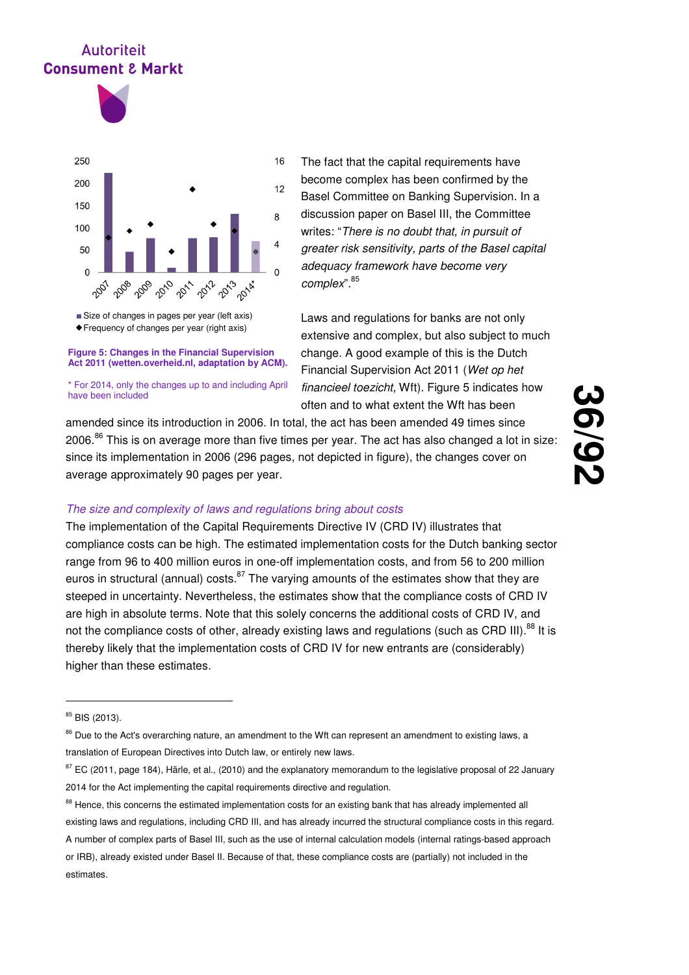

Frequency of changes per year (right axis) Size of changes in pages per year (left axis)

#### **Figure 5: Changes in the Financial Supervision Act 2011 (wetten.overheid.nl, adaptation by ACM).**

\* For 2014, only the changes up to and including April have been included

The fact that the capital requirements have become complex has been confirmed by the Basel Committee on Banking Supervision. In a discussion paper on Basel III, the Committee writes: "There is no doubt that, in pursuit of greater risk sensitivity, parts of the Basel capital adequacy framework have become very complex". 85

Laws and regulations for banks are not only extensive and complex, but also subject to much change. A good example of this is the Dutch Financial Supervision Act 2011 (Wet op het financieel toezicht, Wft). Figure 5 indicates how often and to what extent the Wft has been

**36**

**/92**

amended since its introduction in 2006. In total, the act has been amended 49 times since 2006. $86$  This is on average more than five times per year. The act has also changed a lot in size: since its implementation in 2006 (296 pages, not depicted in figure), the changes cover on average approximately 90 pages per year.

## The size and complexity of laws and regulations bring about costs

The implementation of the Capital Requirements Directive IV (CRD IV) illustrates that compliance costs can be high. The estimated implementation costs for the Dutch banking sector range from 96 to 400 million euros in one-off implementation costs, and from 56 to 200 million euros in structural (annual) costs. $87$  The varying amounts of the estimates show that they are steeped in uncertainty. Nevertheless, the estimates show that the compliance costs of CRD IV are high in absolute terms. Note that this solely concerns the additional costs of CRD IV, and not the compliance costs of other, already existing laws and regulations (such as CRD III).<sup>88</sup> It is thereby likely that the implementation costs of CRD IV for new entrants are (considerably) higher than these estimates.

<sup>85</sup> BIS (2013).

<sup>&</sup>lt;sup>86</sup> Due to the Act's overarching nature, an amendment to the Wft can represent an amendment to existing laws, a translation of European Directives into Dutch law, or entirely new laws.

<sup>&</sup>lt;sup>87</sup> EC (2011, page 184), Härle, et al., (2010) and the explanatory memorandum to the legislative proposal of 22 January 2014 for the Act implementing the capital requirements directive and regulation.

<sup>88</sup> Hence, this concerns the estimated implementation costs for an existing bank that has already implemented all existing laws and regulations, including CRD III, and has already incurred the structural compliance costs in this regard. A number of complex parts of Basel III, such as the use of internal calculation models (internal ratings-based approach or IRB), already existed under Basel II. Because of that, these compliance costs are (partially) not included in the estimates.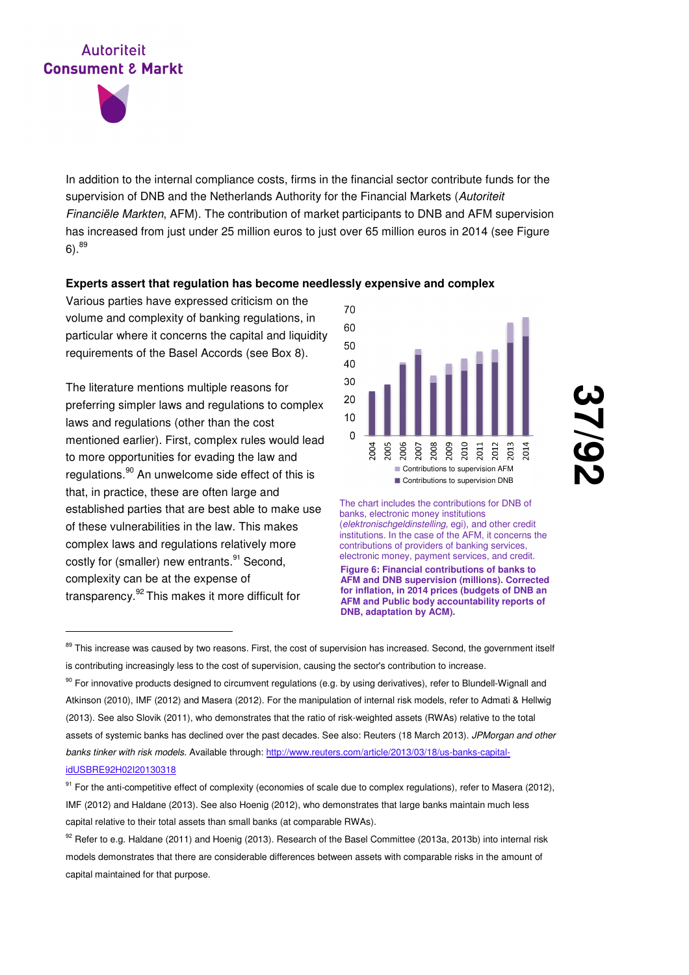In addition to the internal compliance costs, firms in the financial sector contribute funds for the supervision of DNB and the Netherlands Authority for the Financial Markets (Autoriteit Financiële Markten, AFM). The contribution of market participants to DNB and AFM supervision has increased from just under 25 million euros to just over 65 million euros in 2014 (see Figure  $6)$ .  $89$ 

### **Experts assert that regulation has become needlessly expensive and complex**

Various parties have expressed criticism on the volume and complexity of banking regulations, in particular where it concerns the capital and liquidity requirements of the Basel Accords (see Box 8).

The literature mentions multiple reasons for preferring simpler laws and regulations to complex laws and regulations (other than the cost mentioned earlier). First, complex rules would lead to more opportunities for evading the law and regulations.<sup>90</sup> An unwelcome side effect of this is that, in practice, these are often large and established parties that are best able to make use of these vulnerabilities in the law. This makes complex laws and regulations relatively more costly for (smaller) new entrants.<sup>91</sup> Second, complexity can be at the expense of transparency.<sup>92</sup> This makes it more difficult for

-



<u>ب</u><br>پ **/92**

**Figure 6: Financial contributions of banks to AFM and DNB supervision (millions). Corrected for inflation, in 2014 prices (budgets of DNB an AFM and Public body accountability reports of DNB, adaptation by ACM).** The chart includes the contributions for DNB of banks, electronic money institutions (elektronischgeldinstelling, egi), and other credit institutions. In the case of the AFM, it concerns the contributions of providers of banking services, electronic money, payment services, and credit.

<sup>89</sup> This increase was caused by two reasons. First, the cost of supervision has increased. Second, the government itself is contributing increasingly less to the cost of supervision, causing the sector's contribution to increase.

<sup>90</sup> For innovative products designed to circumvent regulations (e.g. by using derivatives), refer to Blundell-Wignall and Atkinson (2010), IMF (2012) and Masera (2012). For the manipulation of internal risk models, refer to Admati & Hellwig (2013). See also Slovik (2011), who demonstrates that the ratio of risk-weighted assets (RWAs) relative to the total assets of systemic banks has declined over the past decades. See also: Reuters (18 March 2013). JPMorgan and other banks tinker with risk models. Available through: http://www.reuters.com/article/2013/03/18/us-banks-capitalidUSBRE92H02I20130318

<sup>&</sup>lt;sup>91</sup> For the anti-competitive effect of complexity (economies of scale due to complex regulations), refer to Masera (2012), IMF (2012) and Haldane (2013). See also Hoenig (2012), who demonstrates that large banks maintain much less capital relative to their total assets than small banks (at comparable RWAs).

<sup>92</sup> Refer to e.g. Haldane (2011) and Hoenig (2013). Research of the Basel Committee (2013a, 2013b) into internal risk models demonstrates that there are considerable differences between assets with comparable risks in the amount of capital maintained for that purpose.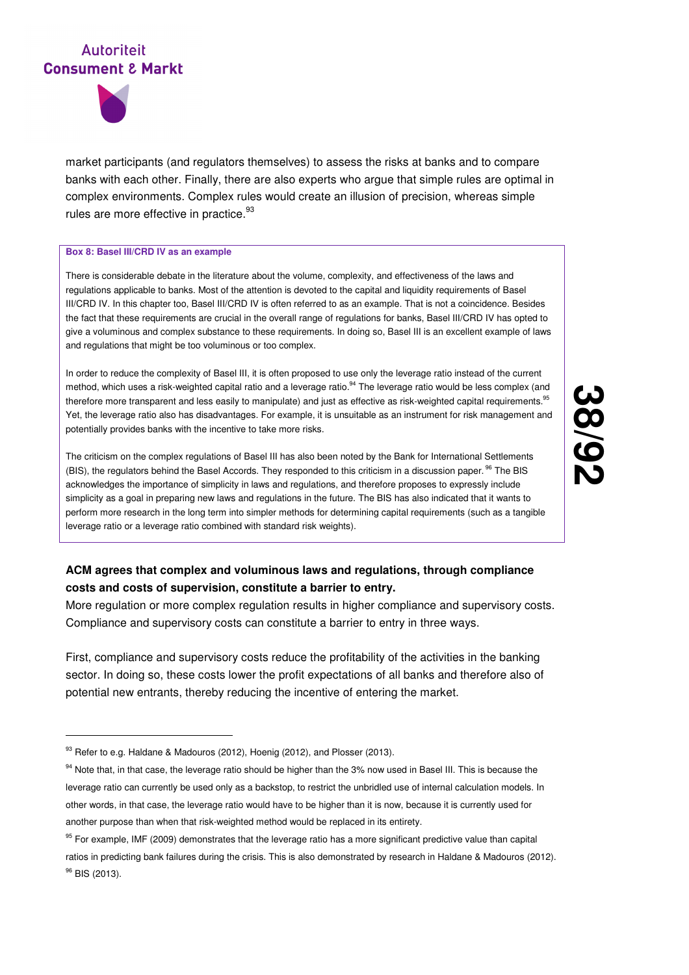

market participants (and regulators themselves) to assess the risks at banks and to compare banks with each other. Finally, there are also experts who argue that simple rules are optimal in complex environments. Complex rules would create an illusion of precision, whereas simple rules are more effective in practice. $^{93}$ 

#### **Box 8: Basel III/CRD IV as an example**

There is considerable debate in the literature about the volume, complexity, and effectiveness of the laws and regulations applicable to banks. Most of the attention is devoted to the capital and liquidity requirements of Basel III/CRD IV. In this chapter too, Basel III/CRD IV is often referred to as an example. That is not a coincidence. Besides the fact that these requirements are crucial in the overall range of regulations for banks, Basel III/CRD IV has opted to give a voluminous and complex substance to these requirements. In doing so, Basel III is an excellent example of laws and regulations that might be too voluminous or too complex.

In order to reduce the complexity of Basel III, it is often proposed to use only the leverage ratio instead of the current method, which uses a risk-weighted capital ratio and a leverage ratio.<sup>94</sup> The leverage ratio would be less complex (and therefore more transparent and less easily to manipulate) and just as effective as risk-weighted capital requirements.<sup>95</sup> Yet, the leverage ratio also has disadvantages. For example, it is unsuitable as an instrument for risk management and potentially provides banks with the incentive to take more risks.

The criticism on the complex regulations of Basel III has also been noted by the Bank for International Settlements (BIS), the regulators behind the Basel Accords. They responded to this criticism in a discussion paper.<sup>96</sup> The BIS acknowledges the importance of simplicity in laws and regulations, and therefore proposes to expressly include simplicity as a goal in preparing new laws and regulations in the future. The BIS has also indicated that it wants to perform more research in the long term into simpler methods for determining capital requirements (such as a tangible leverage ratio or a leverage ratio combined with standard risk weights).

## **ACM agrees that complex and voluminous laws and regulations, through compliance costs and costs of supervision, constitute a barrier to entry.**

More regulation or more complex regulation results in higher compliance and supervisory costs. Compliance and supervisory costs can constitute a barrier to entry in three ways.

First, compliance and supervisory costs reduce the profitability of the activities in the banking sector. In doing so, these costs lower the profit expectations of all banks and therefore also of potential new entrants, thereby reducing the incentive of entering the market.

<sup>93</sup> Refer to e.g. Haldane & Madouros (2012), Hoenig (2012), and Plosser (2013).

<sup>94</sup> Note that, in that case, the leverage ratio should be higher than the 3% now used in Basel III. This is because the leverage ratio can currently be used only as a backstop, to restrict the unbridled use of internal calculation models. In other words, in that case, the leverage ratio would have to be higher than it is now, because it is currently used for another purpose than when that risk-weighted method would be replaced in its entirety.

<sup>&</sup>lt;sup>95</sup> For example, IMF (2009) demonstrates that the leverage ratio has a more significant predictive value than capital ratios in predicting bank failures during the crisis. This is also demonstrated by research in Haldane & Madouros (2012). <sup>96</sup> BIS (2013).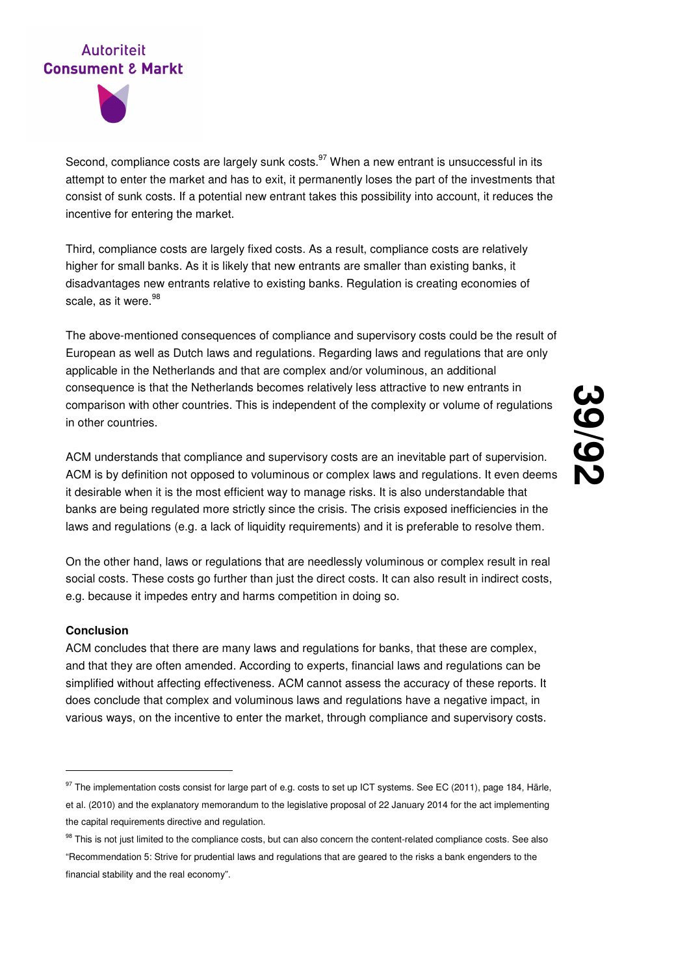

Second, compliance costs are largely sunk costs. $97$  When a new entrant is unsuccessful in its attempt to enter the market and has to exit, it permanently loses the part of the investments that consist of sunk costs. If a potential new entrant takes this possibility into account, it reduces the incentive for entering the market.

Third, compliance costs are largely fixed costs. As a result, compliance costs are relatively higher for small banks. As it is likely that new entrants are smaller than existing banks, it disadvantages new entrants relative to existing banks. Regulation is creating economies of scale, as it were.<sup>98</sup>

The above-mentioned consequences of compliance and supervisory costs could be the result of European as well as Dutch laws and regulations. Regarding laws and regulations that are only applicable in the Netherlands and that are complex and/or voluminous, an additional consequence is that the Netherlands becomes relatively less attractive to new entrants in comparison with other countries. This is independent of the complexity or volume of regulations in other countries.

ACM understands that compliance and supervisory costs are an inevitable part of supervision. ACM is by definition not opposed to voluminous or complex laws and regulations. It even deems it desirable when it is the most efficient way to manage risks. It is also understandable that banks are being regulated more strictly since the crisis. The crisis exposed inefficiencies in the laws and regulations (e.g. a lack of liquidity requirements) and it is preferable to resolve them.

On the other hand, laws or regulations that are needlessly voluminous or complex result in real social costs. These costs go further than just the direct costs. It can also result in indirect costs, e.g. because it impedes entry and harms competition in doing so.

### **Conclusion**

-

ACM concludes that there are many laws and regulations for banks, that these are complex, and that they are often amended. According to experts, financial laws and regulations can be simplified without affecting effectiveness. ACM cannot assess the accuracy of these reports. It does conclude that complex and voluminous laws and regulations have a negative impact, in various ways, on the incentive to enter the market, through compliance and supervisory costs.

<sup>97</sup> The implementation costs consist for large part of e.g. costs to set up ICT systems. See EC (2011), page 184, Härle, et al. (2010) and the explanatory memorandum to the legislative proposal of 22 January 2014 for the act implementing the capital requirements directive and regulation.

<sup>98</sup> This is not just limited to the compliance costs, but can also concern the content-related compliance costs. See also "Recommendation 5: Strive for prudential laws and regulations that are geared to the risks a bank engenders to the financial stability and the real economy".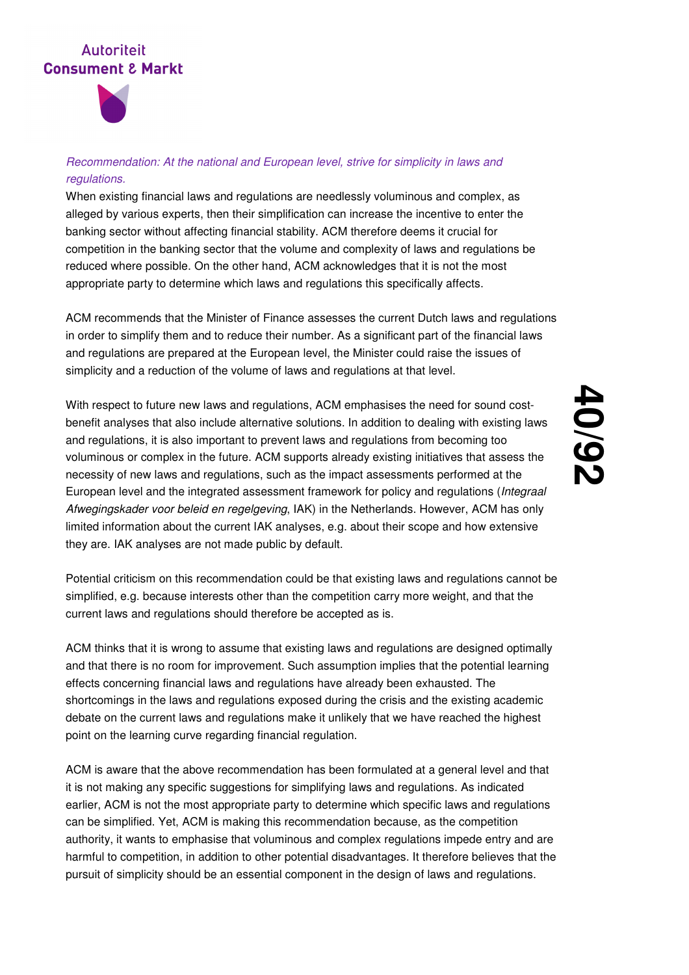

## Recommendation: At the national and European level, strive for simplicity in laws and regulations.

When existing financial laws and regulations are needlessly voluminous and complex, as alleged by various experts, then their simplification can increase the incentive to enter the banking sector without affecting financial stability. ACM therefore deems it crucial for competition in the banking sector that the volume and complexity of laws and regulations be reduced where possible. On the other hand, ACM acknowledges that it is not the most appropriate party to determine which laws and regulations this specifically affects.

ACM recommends that the Minister of Finance assesses the current Dutch laws and regulations in order to simplify them and to reduce their number. As a significant part of the financial laws and regulations are prepared at the European level, the Minister could raise the issues of simplicity and a reduction of the volume of laws and regulations at that level.

With respect to future new laws and regulations, ACM emphasises the need for sound costbenefit analyses that also include alternative solutions. In addition to dealing with existing laws and regulations, it is also important to prevent laws and regulations from becoming too voluminous or complex in the future. ACM supports already existing initiatives that assess the necessity of new laws and regulations, such as the impact assessments performed at the European level and the integrated assessment framework for policy and regulations (Integraal Afwegingskader voor beleid en regelgeving, IAK) in the Netherlands. However, ACM has only limited information about the current IAK analyses, e.g. about their scope and how extensive they are. IAK analyses are not made public by default.

Potential criticism on this recommendation could be that existing laws and regulations cannot be simplified, e.g. because interests other than the competition carry more weight, and that the current laws and regulations should therefore be accepted as is.

ACM thinks that it is wrong to assume that existing laws and regulations are designed optimally and that there is no room for improvement. Such assumption implies that the potential learning effects concerning financial laws and regulations have already been exhausted. The shortcomings in the laws and regulations exposed during the crisis and the existing academic debate on the current laws and regulations make it unlikely that we have reached the highest point on the learning curve regarding financial regulation.

ACM is aware that the above recommendation has been formulated at a general level and that it is not making any specific suggestions for simplifying laws and regulations. As indicated earlier, ACM is not the most appropriate party to determine which specific laws and regulations can be simplified. Yet, ACM is making this recommendation because, as the competition authority, it wants to emphasise that voluminous and complex regulations impede entry and are harmful to competition, in addition to other potential disadvantages. It therefore believes that the pursuit of simplicity should be an essential component in the design of laws and regulations.

# **40 /92**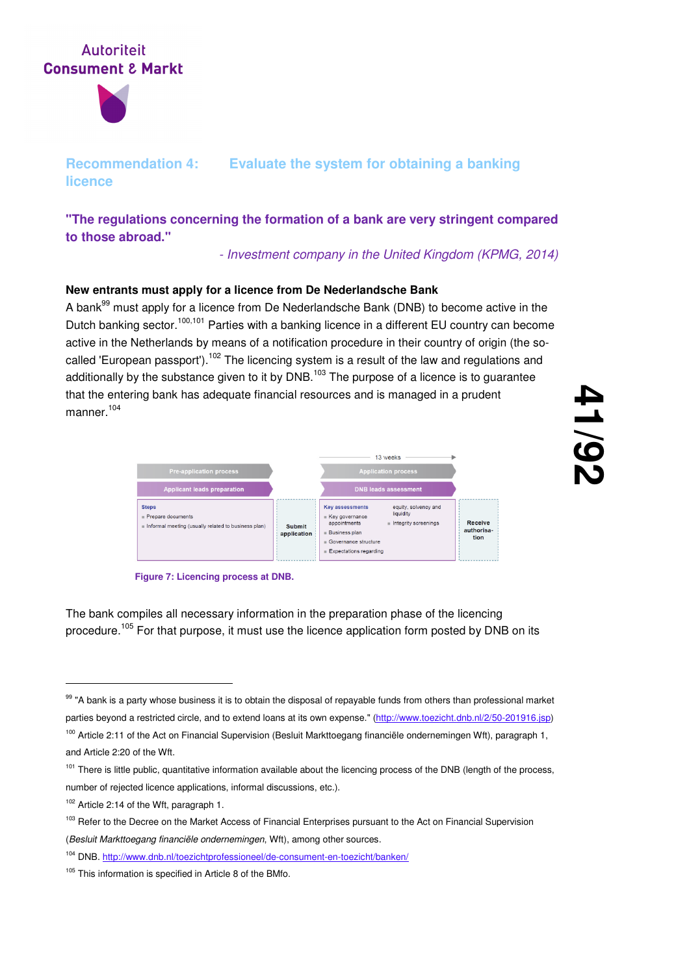

## **Recommendation 4: Evaluate the system for obtaining a banking licence**

**"The regulations concerning the formation of a bank are very stringent compared to those abroad."** 

- Investment company in the United Kingdom (KPMG, 2014)

## **New entrants must apply for a licence from De Nederlandsche Bank**

A bank<sup>99</sup> must apply for a licence from De Nederlandsche Bank (DNB) to become active in the Dutch banking sector.<sup>100,101</sup> Parties with a banking licence in a different EU country can become active in the Netherlands by means of a notification procedure in their country of origin (the socalled 'European passport').<sup>102</sup> The licencing system is a result of the law and regulations and additionally by the substance given to it by  $DNB$ <sup>103</sup> The purpose of a licence is to quarantee that the entering bank has adequate financial resources and is managed in a prudent manner.<sup>104</sup>





The bank compiles all necessary information in the preparation phase of the licencing procedure.<sup>105</sup> For that purpose, it must use the licence application form posted by DNB on its

<sup>101</sup> There is little public, quantitative information available about the licencing process of the DNB (length of the process, number of rejected licence applications, informal discussions, etc.).

<sup>99 &</sup>quot;A bank is a party whose business it is to obtain the disposal of repayable funds from others than professional market parties beyond a restricted circle, and to extend loans at its own expense." (http://www.toezicht.dnb.nl/2/50-201916.jsp)

<sup>&</sup>lt;sup>100</sup> Article 2:11 of the Act on Financial Supervision (Besluit Markttoegang financiële ondernemingen Wft), paragraph 1, and Article 2:20 of the Wft.

<sup>&</sup>lt;sup>102</sup> Article 2:14 of the Wft, paragraph 1.

<sup>&</sup>lt;sup>103</sup> Refer to the Decree on the Market Access of Financial Enterprises pursuant to the Act on Financial Supervision (Besluit Markttoegang financiële ondernemingen, Wft), among other sources.

<sup>104</sup> DNB. http://www.dnb.nl/toezichtprofessioneel/de-consument-en-toezicht/banken/

<sup>&</sup>lt;sup>105</sup> This information is specified in Article 8 of the BMfo.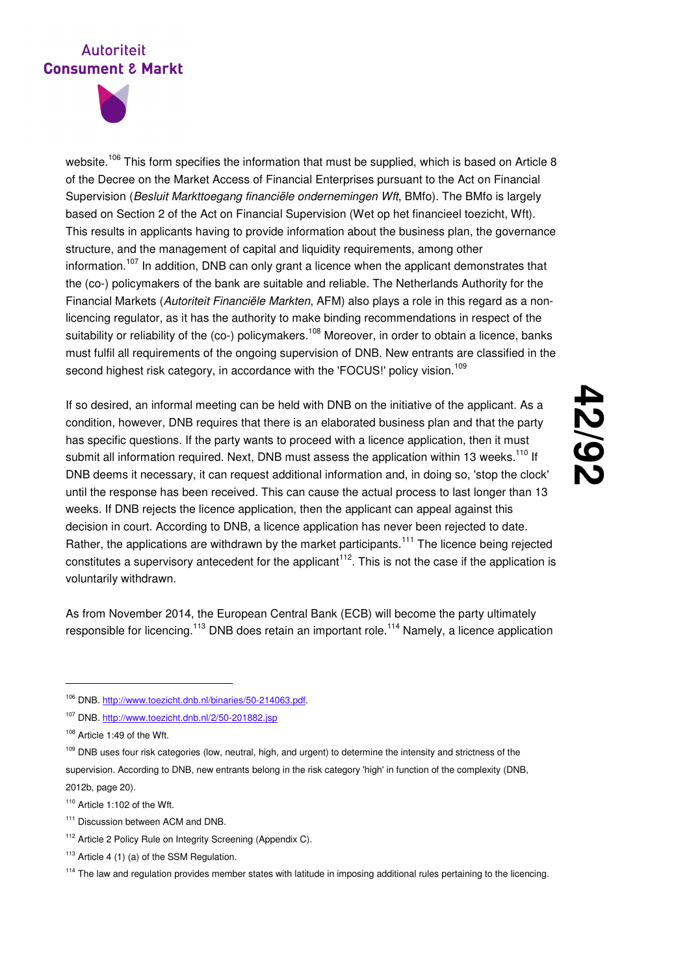

website.<sup>106</sup> This form specifies the information that must be supplied, which is based on Article 8 of the Decree on the Market Access of Financial Enterprises pursuant to the Act on Financial Supervision (Besluit Markttoegang financiële ondernemingen Wft, BMfo). The BMfo is largely based on Section 2 of the Act on Financial Supervision (Wet op het financieel toezicht, Wft). This results in applicants having to provide information about the business plan, the governance structure, and the management of capital and liquidity requirements, among other information.<sup>107</sup> In addition, DNB can only grant a licence when the applicant demonstrates that the (co-) policymakers of the bank are suitable and reliable. The Netherlands Authority for the Financial Markets (Autoriteit Financiële Markten, AFM) also plays a role in this regard as a nonlicencing regulator, as it has the authority to make binding recommendations in respect of the suitability or reliability of the (co-) policymakers.<sup>108</sup> Moreover, in order to obtain a licence, banks must fulfil all requirements of the ongoing supervision of DNB. New entrants are classified in the second highest risk category, in accordance with the 'FOCUS!' policy vision.<sup>109</sup>

If so desired, an informal meeting can be held with DNB on the initiative of the applicant. As a condition, however, DNB requires that there is an elaborated business plan and that the party has specific questions. If the party wants to proceed with a licence application, then it must submit all information required. Next, DNB must assess the application within 13 weeks.<sup>110</sup> If DNB deems it necessary, it can request additional information and, in doing so, 'stop the clock' until the response has been received. This can cause the actual process to last longer than 13 weeks. If DNB rejects the licence application, then the applicant can appeal against this decision in court. According to DNB, a licence application has never been rejected to date. Rather, the applications are withdrawn by the market participants.<sup>111</sup> The licence being rejected constitutes a supervisory antecedent for the applicant<sup>112</sup>. This is not the case if the application is voluntarily withdrawn.

As from November 2014, the European Central Bank (ECB) will become the party ultimately responsible for licencing.<sup>113</sup> DNB does retain an important role.<sup>114</sup> Namely, a licence application

<sup>106</sup> DNB. http://www.toezicht.dnb.nl/binaries/50-214063.pdf.

<sup>107</sup> DNB. http://www.toezicht.dnb.nl/2/50-201882.jsp

<sup>108</sup> Article 1:49 of the Wft.

<sup>&</sup>lt;sup>109</sup> DNB uses four risk categories (low, neutral, high, and urgent) to determine the intensity and strictness of the supervision. According to DNB, new entrants belong in the risk category 'high' in function of the complexity (DNB, 2012b, page 20).

<sup>110</sup> Article 1:102 of the Wft.

<sup>&</sup>lt;sup>111</sup> Discussion between ACM and DNB.

<sup>&</sup>lt;sup>112</sup> Article 2 Policy Rule on Integrity Screening (Appendix C).

 $113$  Article 4 (1) (a) of the SSM Regulation.

<sup>&</sup>lt;sup>114</sup> The law and regulation provides member states with latitude in imposing additional rules pertaining to the licencing.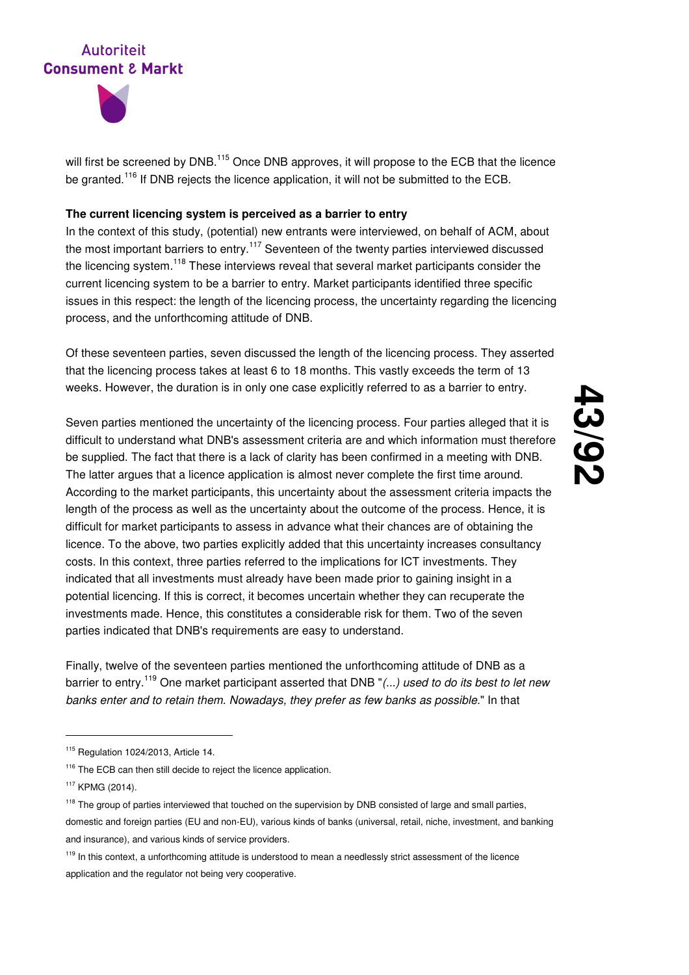



will first be screened by DNB.<sup>115</sup> Once DNB approves, it will propose to the ECB that the licence be granted.<sup>116</sup> If DNB rejects the licence application, it will not be submitted to the ECB.

### **The current licencing system is perceived as a barrier to entry**

In the context of this study, (potential) new entrants were interviewed, on behalf of ACM, about the most important barriers to entry.<sup>117</sup> Seventeen of the twenty parties interviewed discussed the licencing system.<sup>118</sup> These interviews reveal that several market participants consider the current licencing system to be a barrier to entry. Market participants identified three specific issues in this respect: the length of the licencing process, the uncertainty regarding the licencing process, and the unforthcoming attitude of DNB.

Of these seventeen parties, seven discussed the length of the licencing process. They asserted that the licencing process takes at least 6 to 18 months. This vastly exceeds the term of 13 weeks. However, the duration is in only one case explicitly referred to as a barrier to entry.

Seven parties mentioned the uncertainty of the licencing process. Four parties alleged that it is difficult to understand what DNB's assessment criteria are and which information must therefore be supplied. The fact that there is a lack of clarity has been confirmed in a meeting with DNB. The latter argues that a licence application is almost never complete the first time around. According to the market participants, this uncertainty about the assessment criteria impacts the length of the process as well as the uncertainty about the outcome of the process. Hence, it is difficult for market participants to assess in advance what their chances are of obtaining the licence. To the above, two parties explicitly added that this uncertainty increases consultancy costs. In this context, three parties referred to the implications for ICT investments. They indicated that all investments must already have been made prior to gaining insight in a potential licencing. If this is correct, it becomes uncertain whether they can recuperate the investments made. Hence, this constitutes a considerable risk for them. Two of the seven parties indicated that DNB's requirements are easy to understand.

Finally, twelve of the seventeen parties mentioned the unforthcoming attitude of DNB as a barrier to entry.<sup>119</sup> One market participant asserted that DNB " $($ ...) used to do its best to let new banks enter and to retain them. Nowadays, they prefer as few banks as possible." In that

<sup>115</sup> Regulation 1024/2013, Article 14.

<sup>&</sup>lt;sup>116</sup> The ECB can then still decide to reject the licence application.

<sup>117</sup> KPMG (2014).

<sup>&</sup>lt;sup>118</sup> The group of parties interviewed that touched on the supervision by DNB consisted of large and small parties, domestic and foreign parties (EU and non-EU), various kinds of banks (universal, retail, niche, investment, and banking and insurance), and various kinds of service providers.

<sup>&</sup>lt;sup>119</sup> In this context, a unforthcoming attitude is understood to mean a needlessly strict assessment of the licence application and the regulator not being very cooperative.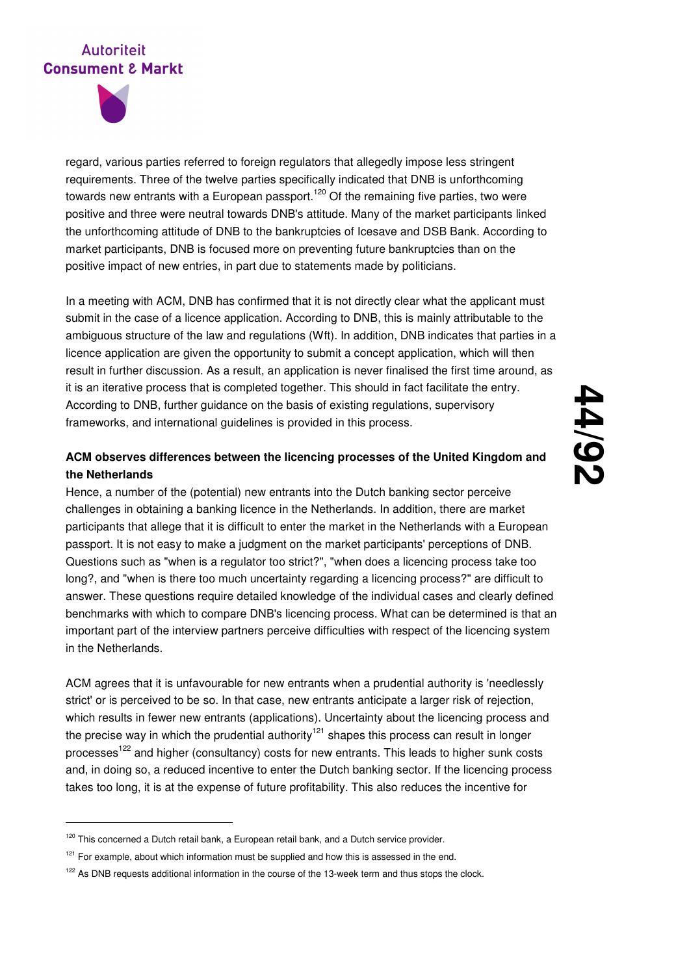

-

regard, various parties referred to foreign regulators that allegedly impose less stringent requirements. Three of the twelve parties specifically indicated that DNB is unforthcoming towards new entrants with a European passport.<sup>120</sup> Of the remaining five parties, two were positive and three were neutral towards DNB's attitude. Many of the market participants linked the unforthcoming attitude of DNB to the bankruptcies of Icesave and DSB Bank. According to market participants, DNB is focused more on preventing future bankruptcies than on the positive impact of new entries, in part due to statements made by politicians.

In a meeting with ACM, DNB has confirmed that it is not directly clear what the applicant must submit in the case of a licence application. According to DNB, this is mainly attributable to the ambiguous structure of the law and regulations (Wft). In addition, DNB indicates that parties in a licence application are given the opportunity to submit a concept application, which will then result in further discussion. As a result, an application is never finalised the first time around, as it is an iterative process that is completed together. This should in fact facilitate the entry. According to DNB, further guidance on the basis of existing regulations, supervisory frameworks, and international guidelines is provided in this process.

## **ACM observes differences between the licencing processes of the United Kingdom and the Netherlands**

Hence, a number of the (potential) new entrants into the Dutch banking sector perceive challenges in obtaining a banking licence in the Netherlands. In addition, there are market participants that allege that it is difficult to enter the market in the Netherlands with a European passport. It is not easy to make a judgment on the market participants' perceptions of DNB. Questions such as "when is a regulator too strict?", "when does a licencing process take too long?, and "when is there too much uncertainty regarding a licencing process?" are difficult to answer. These questions require detailed knowledge of the individual cases and clearly defined benchmarks with which to compare DNB's licencing process. What can be determined is that an important part of the interview partners perceive difficulties with respect of the licencing system in the Netherlands.

ACM agrees that it is unfavourable for new entrants when a prudential authority is 'needlessly strict' or is perceived to be so. In that case, new entrants anticipate a larger risk of rejection, which results in fewer new entrants (applications). Uncertainty about the licencing process and the precise way in which the prudential authority<sup>121</sup> shapes this process can result in longer processes<sup>122</sup> and higher (consultancy) costs for new entrants. This leads to higher sunk costs and, in doing so, a reduced incentive to enter the Dutch banking sector. If the licencing process takes too long, it is at the expense of future profitability. This also reduces the incentive for

<sup>&</sup>lt;sup>120</sup> This concerned a Dutch retail bank, a European retail bank, and a Dutch service provider.

 $121$  For example, about which information must be supplied and how this is assessed in the end.

<sup>&</sup>lt;sup>122</sup> As DNB requests additional information in the course of the 13-week term and thus stops the clock.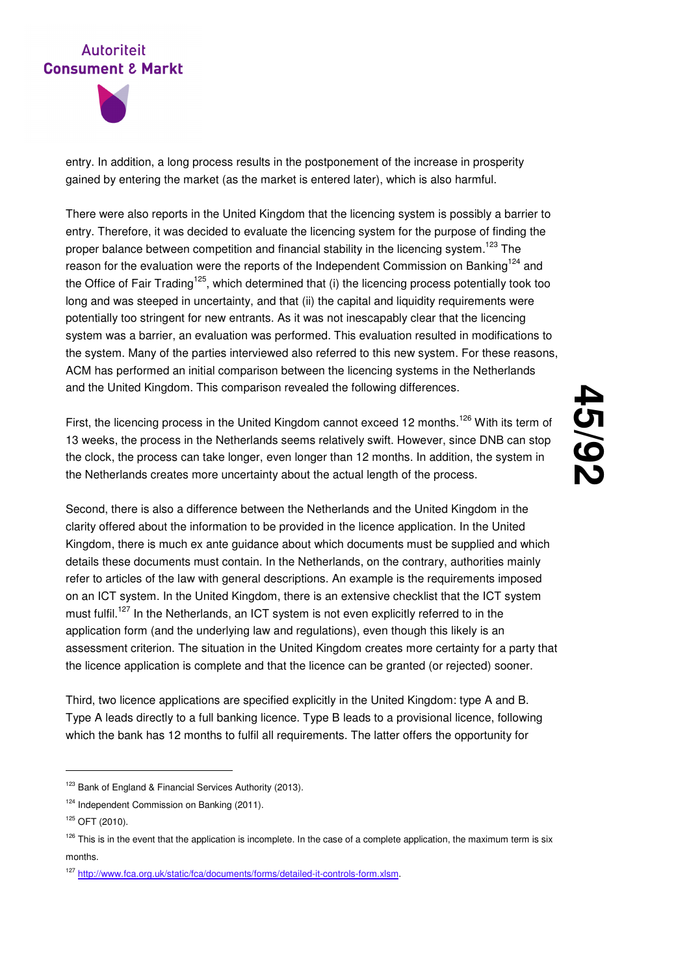

entry. In addition, a long process results in the postponement of the increase in prosperity gained by entering the market (as the market is entered later), which is also harmful.

There were also reports in the United Kingdom that the licencing system is possibly a barrier to entry. Therefore, it was decided to evaluate the licencing system for the purpose of finding the proper balance between competition and financial stability in the licencing system.<sup>123</sup> The reason for the evaluation were the reports of the Independent Commission on Banking<sup>124</sup> and the Office of Fair Trading<sup>125</sup>, which determined that (i) the licencing process potentially took too long and was steeped in uncertainty, and that (ii) the capital and liquidity requirements were potentially too stringent for new entrants. As it was not inescapably clear that the licencing system was a barrier, an evaluation was performed. This evaluation resulted in modifications to the system. Many of the parties interviewed also referred to this new system. For these reasons, ACM has performed an initial comparison between the licencing systems in the Netherlands and the United Kingdom. This comparison revealed the following differences.

First, the licencing process in the United Kingdom cannot exceed 12 months.<sup>126</sup> With its term of 13 weeks, the process in the Netherlands seems relatively swift. However, since DNB can stop the clock, the process can take longer, even longer than 12 months. In addition, the system in the Netherlands creates more uncertainty about the actual length of the process.

Second, there is also a difference between the Netherlands and the United Kingdom in the clarity offered about the information to be provided in the licence application. In the United Kingdom, there is much ex ante guidance about which documents must be supplied and which details these documents must contain. In the Netherlands, on the contrary, authorities mainly refer to articles of the law with general descriptions. An example is the requirements imposed on an ICT system. In the United Kingdom, there is an extensive checklist that the ICT system must fulfil.<sup>127</sup> In the Netherlands, an ICT system is not even explicitly referred to in the application form (and the underlying law and regulations), even though this likely is an assessment criterion. The situation in the United Kingdom creates more certainty for a party that the licence application is complete and that the licence can be granted (or rejected) sooner.

Third, two licence applications are specified explicitly in the United Kingdom: type A and B. Type A leads directly to a full banking licence. Type B leads to a provisional licence, following which the bank has 12 months to fulfil all requirements. The latter offers the opportunity for

<sup>&</sup>lt;sup>123</sup> Bank of England & Financial Services Authority (2013).

<sup>&</sup>lt;sup>124</sup> Independent Commission on Banking (2011).

 $125$  OFT (2010).

 $126$  This is in the event that the application is incomplete. In the case of a complete application, the maximum term is six months.

<sup>127</sup> http://www.fca.org.uk/static/fca/documents/forms/detailed-it-controls-form.xlsm.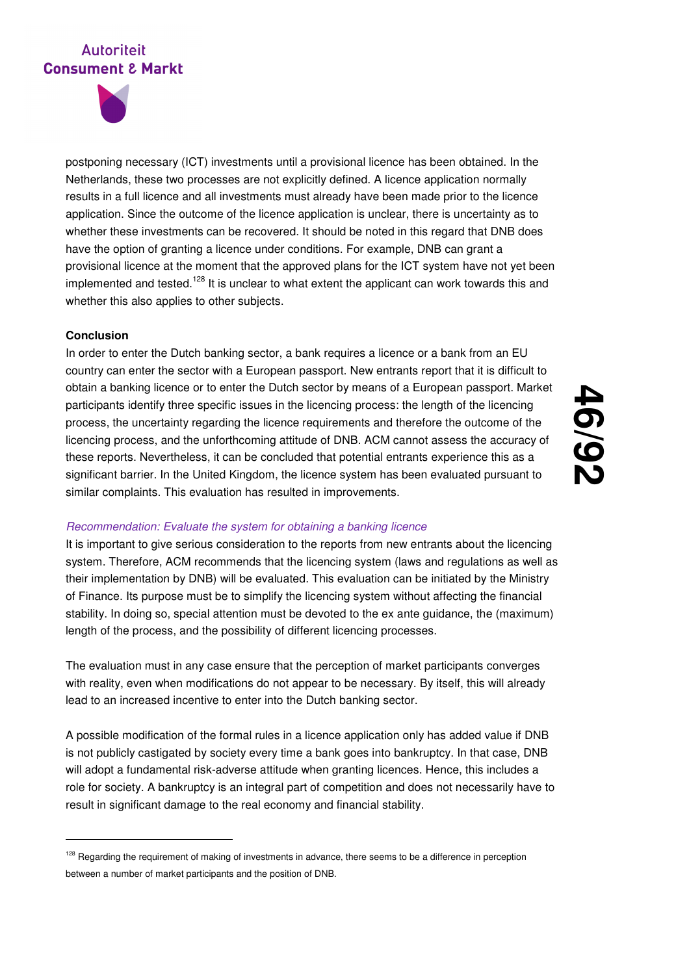

postponing necessary (ICT) investments until a provisional licence has been obtained. In the Netherlands, these two processes are not explicitly defined. A licence application normally results in a full licence and all investments must already have been made prior to the licence application. Since the outcome of the licence application is unclear, there is uncertainty as to whether these investments can be recovered. It should be noted in this regard that DNB does have the option of granting a licence under conditions. For example, DNB can grant a provisional licence at the moment that the approved plans for the ICT system have not yet been implemented and tested.<sup>128</sup> It is unclear to what extent the applicant can work towards this and whether this also applies to other subjects.

#### **Conclusion**

-

In order to enter the Dutch banking sector, a bank requires a licence or a bank from an EU country can enter the sector with a European passport. New entrants report that it is difficult to obtain a banking licence or to enter the Dutch sector by means of a European passport. Market participants identify three specific issues in the licencing process: the length of the licencing process, the uncertainty regarding the licence requirements and therefore the outcome of the licencing process, and the unforthcoming attitude of DNB. ACM cannot assess the accuracy of these reports. Nevertheless, it can be concluded that potential entrants experience this as a significant barrier. In the United Kingdom, the licence system has been evaluated pursuant to similar complaints. This evaluation has resulted in improvements.

# **46 /92**

#### Recommendation: Evaluate the system for obtaining a banking licence

It is important to give serious consideration to the reports from new entrants about the licencing system. Therefore, ACM recommends that the licencing system (laws and regulations as well as their implementation by DNB) will be evaluated. This evaluation can be initiated by the Ministry of Finance. Its purpose must be to simplify the licencing system without affecting the financial stability. In doing so, special attention must be devoted to the ex ante guidance, the (maximum) length of the process, and the possibility of different licencing processes.

The evaluation must in any case ensure that the perception of market participants converges with reality, even when modifications do not appear to be necessary. By itself, this will already lead to an increased incentive to enter into the Dutch banking sector.

A possible modification of the formal rules in a licence application only has added value if DNB is not publicly castigated by society every time a bank goes into bankruptcy. In that case, DNB will adopt a fundamental risk-adverse attitude when granting licences. Hence, this includes a role for society. A bankruptcy is an integral part of competition and does not necessarily have to result in significant damage to the real economy and financial stability.

<sup>&</sup>lt;sup>128</sup> Regarding the requirement of making of investments in advance, there seems to be a difference in perception between a number of market participants and the position of DNB.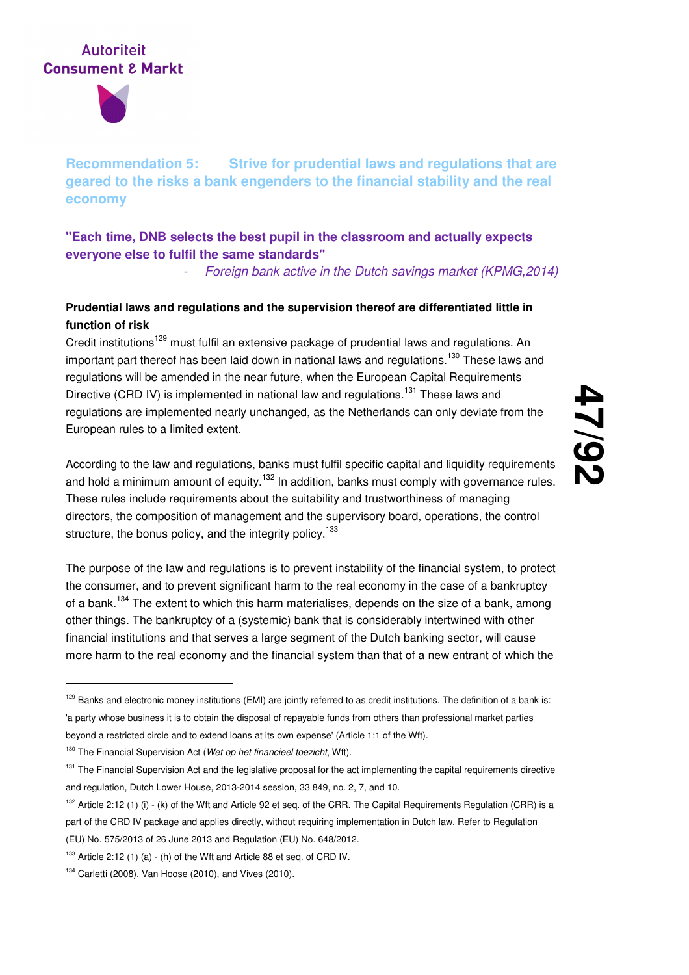

**Recommendation 5: Strive for prudential laws and regulations that are geared to the risks a bank engenders to the financial stability and the real economy** 

## **"Each time, DNB selects the best pupil in the classroom and actually expects everyone else to fulfil the same standards"**

Foreign bank active in the Dutch savings market (KPMG, 2014)

## **Prudential laws and regulations and the supervision thereof are differentiated little in function of risk**

Credit institutions<sup>129</sup> must fulfil an extensive package of prudential laws and regulations. An important part thereof has been laid down in national laws and regulations.<sup>130</sup> These laws and regulations will be amended in the near future, when the European Capital Requirements Directive (CRD IV) is implemented in national law and regulations.<sup>131</sup> These laws and regulations are implemented nearly unchanged, as the Netherlands can only deviate from the European rules to a limited extent.

According to the law and regulations, banks must fulfil specific capital and liquidity requirements and hold a minimum amount of equity.<sup>132</sup> In addition, banks must comply with governance rules. These rules include requirements about the suitability and trustworthiness of managing directors, the composition of management and the supervisory board, operations, the control structure, the bonus policy, and the integrity policy.<sup>133</sup>

The purpose of the law and regulations is to prevent instability of the financial system, to protect the consumer, and to prevent significant harm to the real economy in the case of a bankruptcy of a bank.<sup>134</sup> The extent to which this harm materialises, depends on the size of a bank, among other things. The bankruptcy of a (systemic) bank that is considerably intertwined with other financial institutions and that serves a large segment of the Dutch banking sector, will cause more harm to the real economy and the financial system than that of a new entrant of which the

<sup>&</sup>lt;sup>129</sup> Banks and electronic money institutions (EMI) are jointly referred to as credit institutions. The definition of a bank is: 'a party whose business it is to obtain the disposal of repayable funds from others than professional market parties beyond a restricted circle and to extend loans at its own expense' (Article 1:1 of the Wft).

 $130$  The Financial Supervision Act (Wet op het financieel toezicht, Wft).

<sup>&</sup>lt;sup>131</sup> The Financial Supervision Act and the legislative proposal for the act implementing the capital requirements directive and regulation, Dutch Lower House, 2013-2014 session, 33 849, no. 2, 7, and 10.

 $132$  Article 2:12 (1) (i) - (k) of the Wft and Article 92 et seq. of the CRR. The Capital Requirements Regulation (CRR) is a part of the CRD IV package and applies directly, without requiring implementation in Dutch law. Refer to Regulation (EU) No. 575/2013 of 26 June 2013 and Regulation (EU) No. 648/2012.

 $133$  Article 2:12 (1) (a) - (h) of the Wft and Article 88 et seq. of CRD IV.

 $134$  Carletti (2008), Van Hoose (2010), and Vives (2010).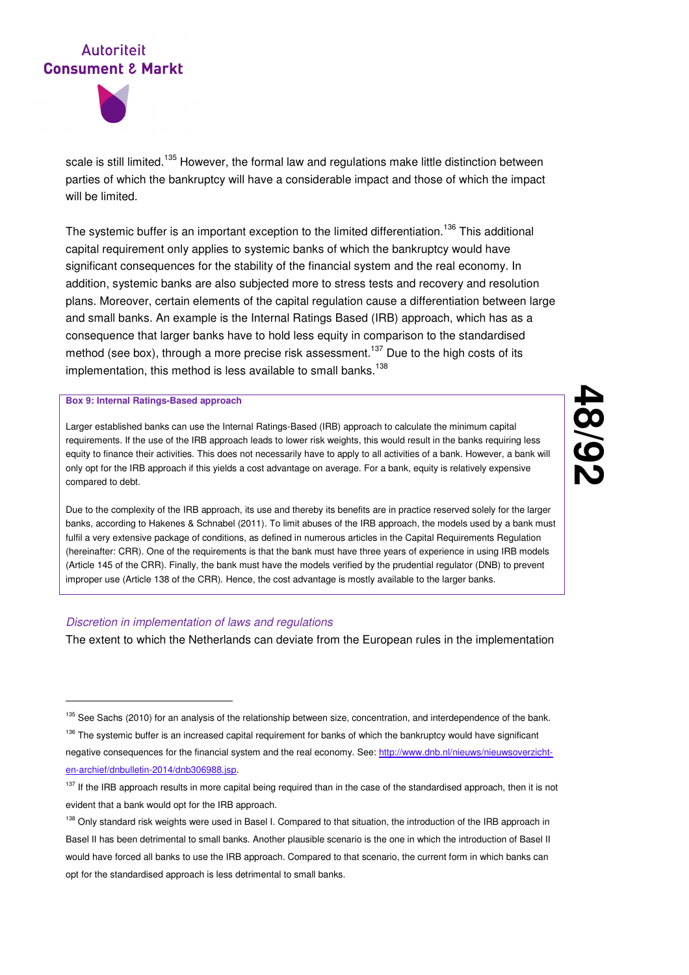



scale is still limited.<sup>135</sup> However, the formal law and regulations make little distinction between parties of which the bankruptcy will have a considerable impact and those of which the impact will be limited.

The systemic buffer is an important exception to the limited differentiation.<sup>136</sup> This additional capital requirement only applies to systemic banks of which the bankruptcy would have significant consequences for the stability of the financial system and the real economy. In addition, systemic banks are also subjected more to stress tests and recovery and resolution plans. Moreover, certain elements of the capital regulation cause a differentiation between large and small banks. An example is the Internal Ratings Based (IRB) approach, which has as a consequence that larger banks have to hold less equity in comparison to the standardised method (see box), through a more precise risk assessment.<sup>137</sup> Due to the high costs of its implementation, this method is less available to small banks.<sup>138</sup>

#### **Box 9: Internal Ratings-Based approach**

-

Larger established banks can use the Internal Ratings-Based (IRB) approach to calculate the minimum capital requirements. If the use of the IRB approach leads to lower risk weights, this would result in the banks requiring less equity to finance their activities. This does not necessarily have to apply to all activities of a bank. However, a bank will only opt for the IRB approach if this yields a cost advantage on average. For a bank, equity is relatively expensive compared to debt.

Due to the complexity of the IRB approach, its use and thereby its benefits are in practice reserved solely for the larger banks, according to Hakenes & Schnabel (2011). To limit abuses of the IRB approach, the models used by a bank must fulfil a very extensive package of conditions, as defined in numerous articles in the Capital Requirements Regulation (hereinafter: CRR). One of the requirements is that the bank must have three years of experience in using IRB models (Article 145 of the CRR). Finally, the bank must have the models verified by the prudential regulator (DNB) to prevent improper use (Article 138 of the CRR). Hence, the cost advantage is mostly available to the larger banks.

#### Discretion in implementation of laws and regulations

The extent to which the Netherlands can deviate from the European rules in the implementation

<sup>&</sup>lt;sup>135</sup> See Sachs (2010) for an analysis of the relationship between size, concentration, and interdependence of the bank.

<sup>&</sup>lt;sup>136</sup> The systemic buffer is an increased capital requirement for banks of which the bankruptcy would have significant negative consequences for the financial system and the real economy. See: http://www.dnb.nl/nieuws/nieuwsoverzichten-archief/dnbulletin-2014/dnb306988.jsp.

<sup>&</sup>lt;sup>137</sup> If the IRB approach results in more capital being required than in the case of the standardised approach, then it is not evident that a bank would opt for the IRB approach.

<sup>138</sup> Only standard risk weights were used in Basel I. Compared to that situation, the introduction of the IRB approach in Basel II has been detrimental to small banks. Another plausible scenario is the one in which the introduction of Basel II would have forced all banks to use the IRB approach. Compared to that scenario, the current form in which banks can opt for the standardised approach is less detrimental to small banks.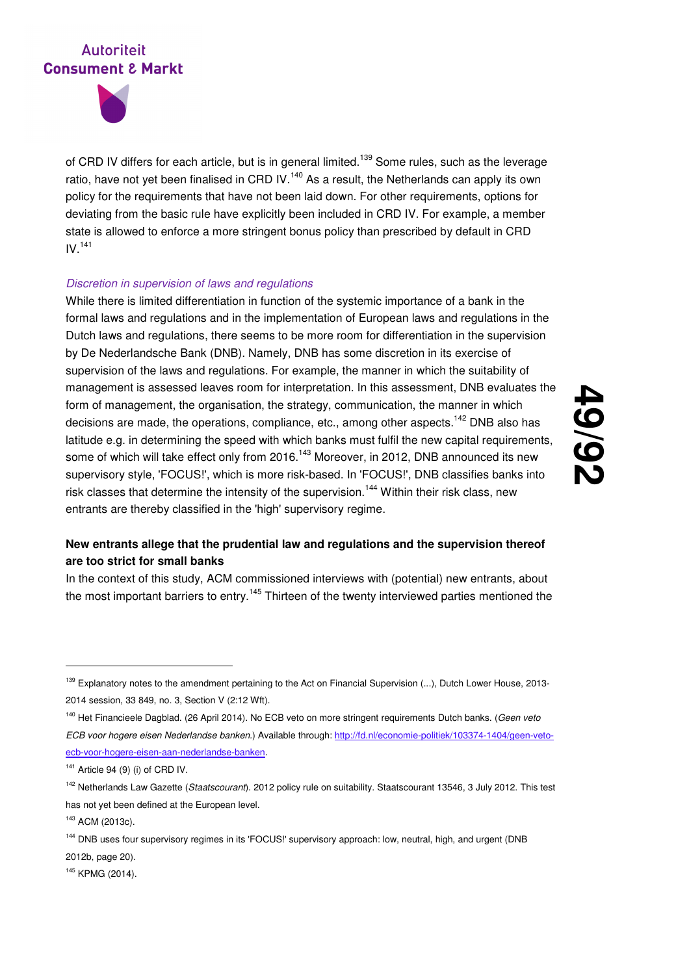

of CRD IV differs for each article, but is in general limited.<sup>139</sup> Some rules, such as the leverage ratio, have not yet been finalised in CRD IV.<sup>140</sup> As a result, the Netherlands can apply its own policy for the requirements that have not been laid down. For other requirements, options for deviating from the basic rule have explicitly been included in CRD IV. For example, a member state is allowed to enforce a more stringent bonus policy than prescribed by default in CRD  $IV.<sup>141</sup>$ 

#### Discretion in supervision of laws and regulations

While there is limited differentiation in function of the systemic importance of a bank in the formal laws and regulations and in the implementation of European laws and regulations in the Dutch laws and regulations, there seems to be more room for differentiation in the supervision by De Nederlandsche Bank (DNB). Namely, DNB has some discretion in its exercise of supervision of the laws and regulations. For example, the manner in which the suitability of management is assessed leaves room for interpretation. In this assessment, DNB evaluates the form of management, the organisation, the strategy, communication, the manner in which decisions are made, the operations, compliance, etc., among other aspects.<sup>142</sup> DNB also has latitude e.g. in determining the speed with which banks must fulfil the new capital requirements, some of which will take effect only from 2016.<sup>143</sup> Moreover, in 2012, DNB announced its new supervisory style, 'FOCUS!', which is more risk-based. In 'FOCUS!', DNB classifies banks into risk classes that determine the intensity of the supervision.<sup>144</sup> Within their risk class, new entrants are thereby classified in the 'high' supervisory regime.

# **49 /92**

## **New entrants allege that the prudential law and regulations and the supervision thereof are too strict for small banks**

In the context of this study, ACM commissioned interviews with (potential) new entrants, about the most important barriers to entry.<sup>145</sup> Thirteen of the twenty interviewed parties mentioned the

-

<sup>145</sup> KPMG (2014).

<sup>&</sup>lt;sup>139</sup> Explanatory notes to the amendment pertaining to the Act on Financial Supervision (...), Dutch Lower House, 2013-2014 session, 33 849, no. 3, Section V (2:12 Wft).

<sup>&</sup>lt;sup>140</sup> Het Financieele Dagblad. (26 April 2014). No ECB veto on more stringent requirements Dutch banks. (Geen veto ECB voor hogere eisen Nederlandse banken.) Available through: http://fd.nl/economie-politiek/103374-1404/geen-vetoecb-voor-hogere-eisen-aan-nederlandse-banken.

 $141$  Article 94 (9) (i) of CRD IV.

<sup>&</sup>lt;sup>142</sup> Netherlands Law Gazette (Staatscourant). 2012 policy rule on suitability. Staatscourant 13546, 3 July 2012. This test has not yet been defined at the European level.

<sup>143</sup> ACM (2013c).

<sup>&</sup>lt;sup>144</sup> DNB uses four supervisory regimes in its 'FOCUS!' supervisory approach: low, neutral, high, and urgent (DNB 2012b, page 20).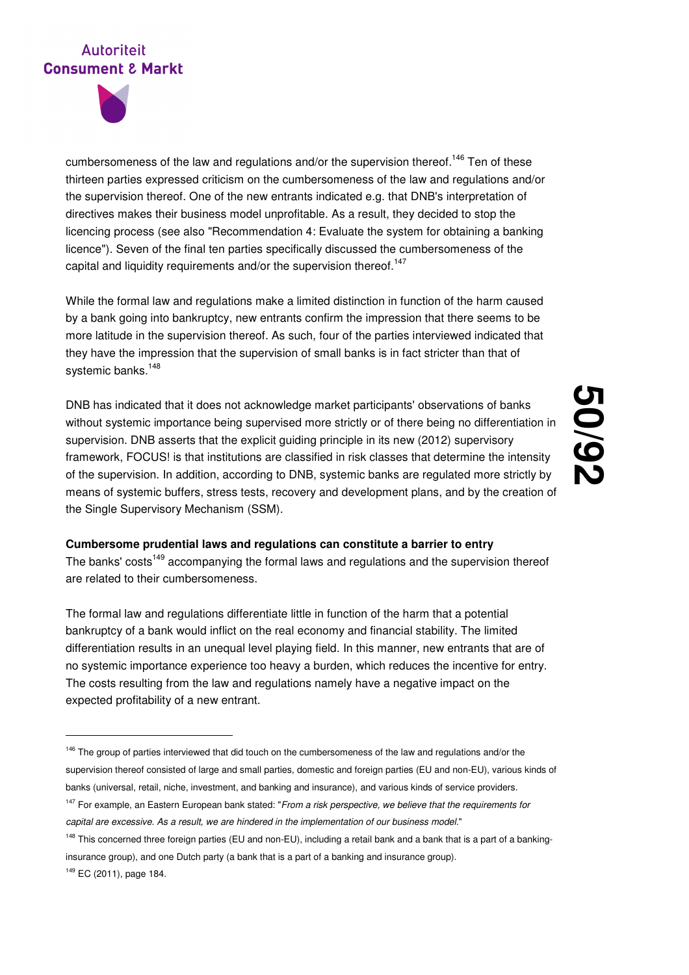

cumbersomeness of the law and regulations and/or the supervision thereof.<sup>146</sup> Ten of these thirteen parties expressed criticism on the cumbersomeness of the law and regulations and/or the supervision thereof. One of the new entrants indicated e.g. that DNB's interpretation of directives makes their business model unprofitable. As a result, they decided to stop the licencing process (see also "Recommendation 4: Evaluate the system for obtaining a banking licence"). Seven of the final ten parties specifically discussed the cumbersomeness of the capital and liquidity requirements and/or the supervision thereof.<sup>147</sup>

While the formal law and regulations make a limited distinction in function of the harm caused by a bank going into bankruptcy, new entrants confirm the impression that there seems to be more latitude in the supervision thereof. As such, four of the parties interviewed indicated that they have the impression that the supervision of small banks is in fact stricter than that of systemic banks.<sup>148</sup>

DNB has indicated that it does not acknowledge market participants' observations of banks without systemic importance being supervised more strictly or of there being no differentiation in supervision. DNB asserts that the explicit guiding principle in its new (2012) supervisory framework, FOCUS! is that institutions are classified in risk classes that determine the intensity of the supervision. In addition, according to DNB, systemic banks are regulated more strictly by means of systemic buffers, stress tests, recovery and development plans, and by the creation of the Single Supervisory Mechanism (SSM).

# **50 /92**

#### **Cumbersome prudential laws and regulations can constitute a barrier to entry**

The banks' costs<sup>149</sup> accompanying the formal laws and regulations and the supervision thereof are related to their cumbersomeness.

The formal law and regulations differentiate little in function of the harm that a potential bankruptcy of a bank would inflict on the real economy and financial stability. The limited differentiation results in an unequal level playing field. In this manner, new entrants that are of no systemic importance experience too heavy a burden, which reduces the incentive for entry. The costs resulting from the law and regulations namely have a negative impact on the expected profitability of a new entrant.

<sup>149</sup> EC (2011), page 184.

<sup>&</sup>lt;sup>146</sup> The group of parties interviewed that did touch on the cumbersomeness of the law and regulations and/or the supervision thereof consisted of large and small parties, domestic and foreign parties (EU and non-EU), various kinds of banks (universal, retail, niche, investment, and banking and insurance), and various kinds of service providers.

<sup>&</sup>lt;sup>147</sup> For example, an Eastern European bank stated: "From a risk perspective, we believe that the requirements for capital are excessive. As a result, we are hindered in the implementation of our business model."

<sup>&</sup>lt;sup>148</sup> This concerned three foreign parties (EU and non-EU), including a retail bank and a bank that is a part of a bankinginsurance group), and one Dutch party (a bank that is a part of a banking and insurance group).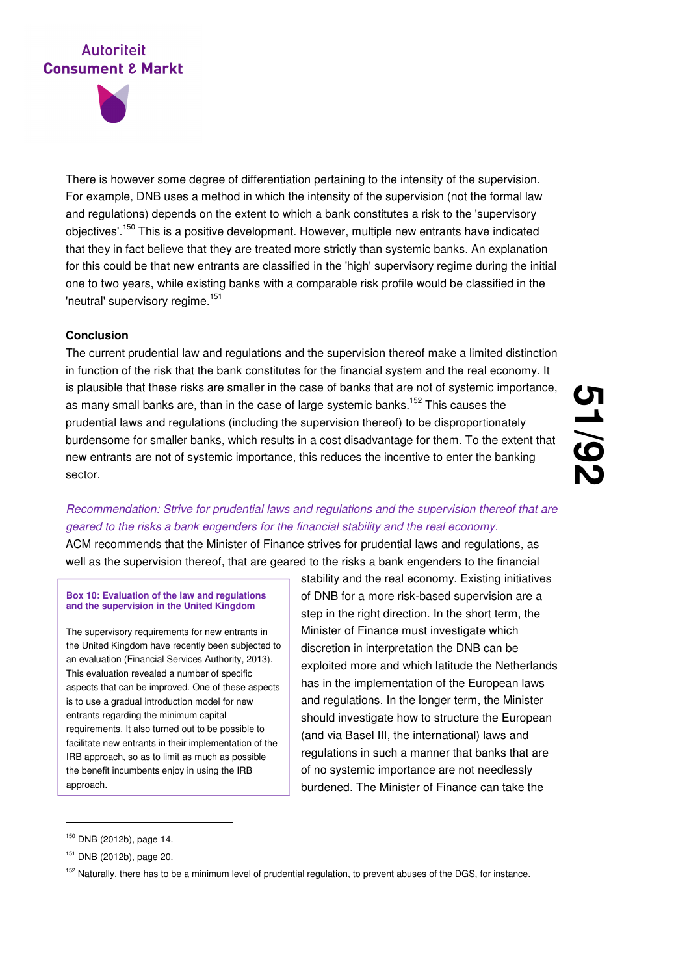

There is however some degree of differentiation pertaining to the intensity of the supervision. For example, DNB uses a method in which the intensity of the supervision (not the formal law and regulations) depends on the extent to which a bank constitutes a risk to the 'supervisory objectives'.<sup>150</sup> This is a positive development. However, multiple new entrants have indicated that they in fact believe that they are treated more strictly than systemic banks. An explanation for this could be that new entrants are classified in the 'high' supervisory regime during the initial one to two years, while existing banks with a comparable risk profile would be classified in the 'neutral' supervisory regime.<sup>151</sup>

#### **Conclusion**

The current prudential law and regulations and the supervision thereof make a limited distinction in function of the risk that the bank constitutes for the financial system and the real economy. It is plausible that these risks are smaller in the case of banks that are not of systemic importance, as many small banks are, than in the case of large systemic banks.<sup>152</sup> This causes the prudential laws and regulations (including the supervision thereof) to be disproportionately burdensome for smaller banks, which results in a cost disadvantage for them. To the extent that new entrants are not of systemic importance, this reduces the incentive to enter the banking sector.

**51 /92**

# Recommendation: Strive for prudential laws and regulations and the supervision thereof that are geared to the risks a bank engenders for the financial stability and the real economy.

ACM recommends that the Minister of Finance strives for prudential laws and regulations, as well as the supervision thereof, that are geared to the risks a bank engenders to the financial

#### **Box 10: Evaluation of the law and regulations and the supervision in the United Kingdom**

The supervisory requirements for new entrants in the United Kingdom have recently been subjected to an evaluation (Financial Services Authority, 2013). This evaluation revealed a number of specific aspects that can be improved. One of these aspects is to use a gradual introduction model for new entrants regarding the minimum capital requirements. It also turned out to be possible to facilitate new entrants in their implementation of the IRB approach, so as to limit as much as possible the benefit incumbents enjoy in using the IRB approach.

stability and the real economy. Existing initiatives of DNB for a more risk-based supervision are a step in the right direction. In the short term, the Minister of Finance must investigate which discretion in interpretation the DNB can be exploited more and which latitude the Netherlands has in the implementation of the European laws and regulations. In the longer term, the Minister should investigate how to structure the European (and via Basel III, the international) laws and regulations in such a manner that banks that are of no systemic importance are not needlessly burdened. The Minister of Finance can take the

<sup>150</sup> DNB (2012b), page 14.

<sup>151</sup> DNB (2012b), page 20.

<sup>&</sup>lt;sup>152</sup> Naturally, there has to be a minimum level of prudential regulation, to prevent abuses of the DGS, for instance.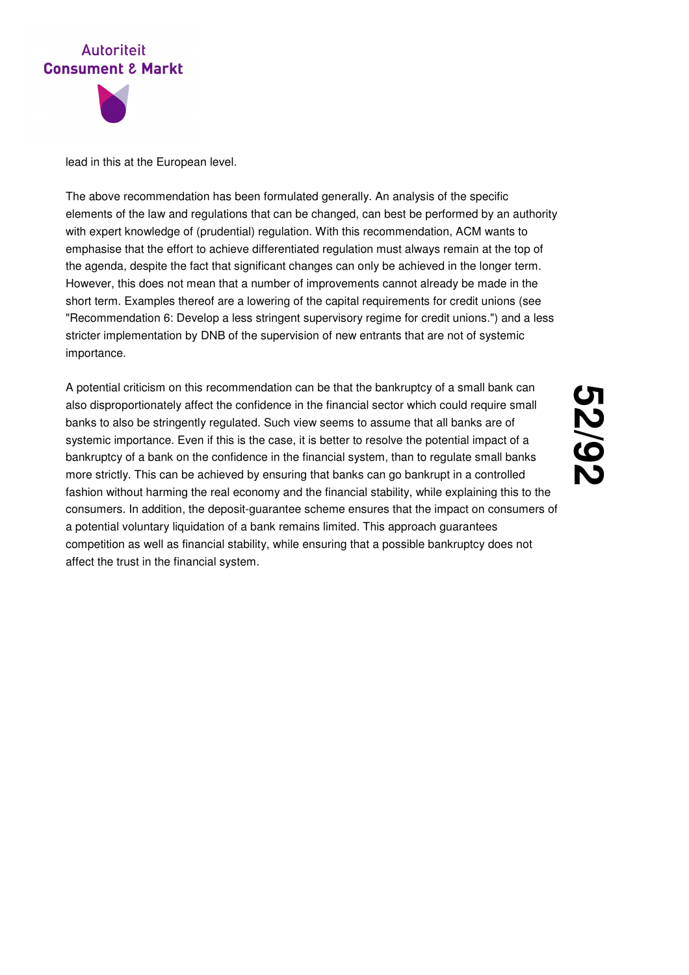



lead in this at the European level.

The above recommendation has been formulated generally. An analysis of the specific elements of the law and regulations that can be changed, can best be performed by an authority with expert knowledge of (prudential) regulation. With this recommendation, ACM wants to emphasise that the effort to achieve differentiated regulation must always remain at the top of the agenda, despite the fact that significant changes can only be achieved in the longer term. However, this does not mean that a number of improvements cannot already be made in the short term. Examples thereof are a lowering of the capital requirements for credit unions (see "Recommendation 6: Develop a less stringent supervisory regime for credit unions.") and a less stricter implementation by DNB of the supervision of new entrants that are not of systemic importance.

A potential criticism on this recommendation can be that the bankruptcy of a small bank can also disproportionately affect the confidence in the financial sector which could require small banks to also be stringently regulated. Such view seems to assume that all banks are of systemic importance. Even if this is the case, it is better to resolve the potential impact of a bankruptcy of a bank on the confidence in the financial system, than to regulate small banks more strictly. This can be achieved by ensuring that banks can go bankrupt in a controlled fashion without harming the real economy and the financial stability, while explaining this to the consumers. In addition, the deposit-guarantee scheme ensures that the impact on consumers of a potential voluntary liquidation of a bank remains limited. This approach guarantees competition as well as financial stability, while ensuring that a possible bankruptcy does not affect the trust in the financial system.

# 23<br>22 **/92**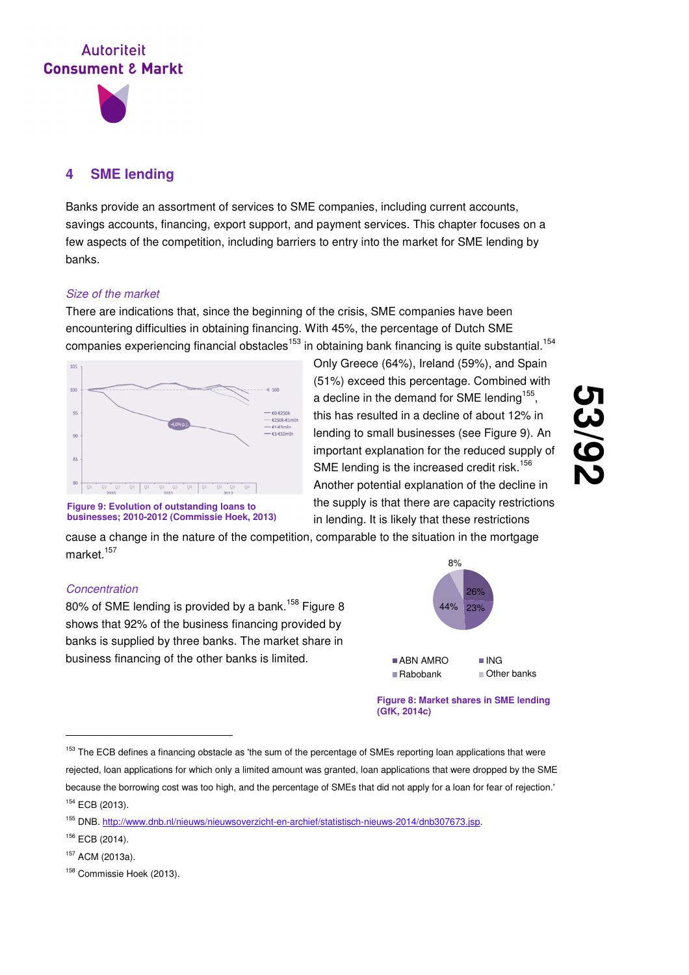

## **4 SME lending**

Banks provide an assortment of services to SME companies, including current accounts, savings accounts, financing, export support, and payment services. This chapter focuses on a few aspects of the competition, including barriers to entry into the market for SME lending by banks.

## Size of the market

There are indications that, since the beginning of the crisis, SME companies have been encountering difficulties in obtaining financing. With 45%, the percentage of Dutch SME companies experiencing financial obstacles<sup>153</sup> in obtaining bank financing is quite substantial.<sup>154</sup>



Only Greece (64%), Ireland (59%), and Spain (51%) exceed this percentage. Combined with a decline in the demand for SME lending<sup>155</sup>, this has resulted in a decline of about 12% in lending to small businesses (see Figure 9). An important explanation for the reduced supply of SME lending is the increased credit risk.<sup>156</sup> Another potential explanation of the decline in the supply is that there are capacity restrictions in lending. It is likely that these restrictions

# (၂<br>(၂ **/92**

**Figure 9: Evolution of outstanding loans to businesses; 2010-2012 (Commissie Hoek, 2013)**

cause a change in the nature of the competition, comparable to the situation in the mortgage market $157$ 

## **Concentration**

80% of SME lending is provided by a bank.<sup>158</sup> Figure 8 shows that 92% of the business financing provided by banks is supplied by three banks. The market share in business financing of the other banks is limited.



**Figure 8: Market shares in SME lending (GfK, 2014c)**

<sup>&</sup>lt;sup>153</sup> The ECB defines a financing obstacle as 'the sum of the percentage of SMEs reporting loan applications that were rejected, loan applications for which only a limited amount was granted, loan applications that were dropped by the SME because the borrowing cost was too high, and the percentage of SMEs that did not apply for a loan for fear of rejection.' <sup>154</sup> ECB (2013).

<sup>155</sup> DNB. http://www.dnb.nl/nieuws/nieuwsoverzicht-en-archief/statistisch-nieuws-2014/dnb307673.jsp.

<sup>156</sup> ECB (2014).

<sup>157</sup> ACM (2013a).

<sup>&</sup>lt;sup>158</sup> Commissie Hoek (2013).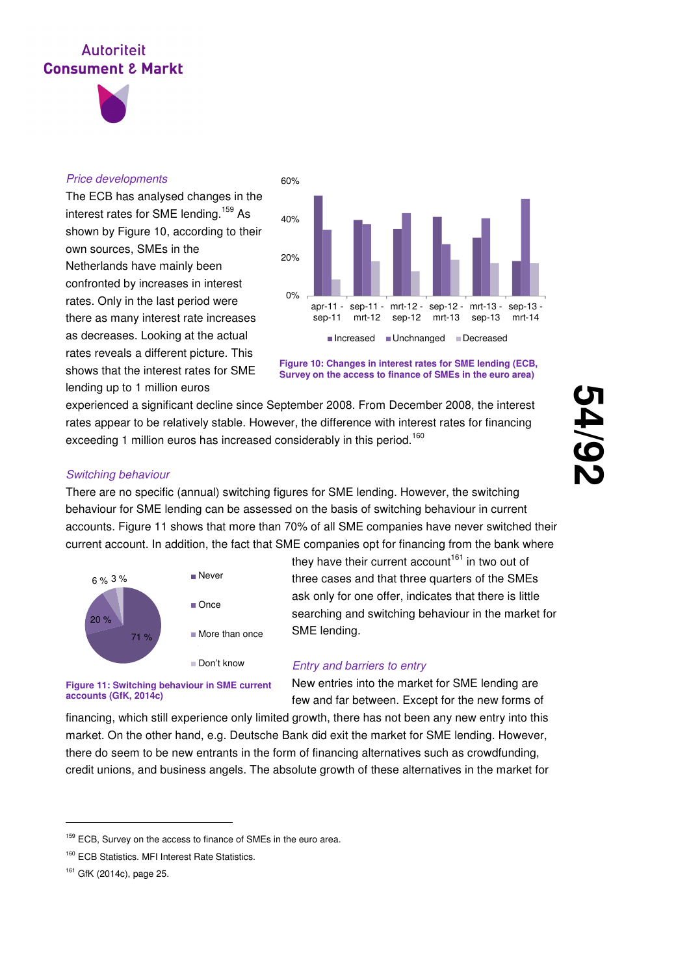

### Price developments

The ECB has analysed changes in the interest rates for SME lending.<sup>159</sup> As shown by Figure 10, according to their own sources, SMEs in the Netherlands have mainly been confronted by increases in interest rates. Only in the last period were there as many interest rate increases as decreases. Looking at the actual rates reveals a different picture. This shows that the interest rates for SME lending up to 1 million euros



**Figure 10: Changes in interest rates for SME lending (ECB, Survey on the access to finance of SMEs in the euro area)**

experienced a significant decline since September 2008. From December 2008, the interest rates appear to be relatively stable. However, the difference with interest rates for financing exceeding 1 million euros has increased considerably in this period.<sup>160</sup>

**54 /92**

#### Switching behaviour

There are no specific (annual) switching figures for SME lending. However, the switching behaviour for SME lending can be assessed on the basis of switching behaviour in current accounts. Figure 11 shows that more than 70% of all SME companies have never switched their current account. In addition, the fact that SME companies opt for financing from the bank where



**Figure 11: Switching behaviour in SME current** 

they have their current account<sup>161</sup> in two out of three cases and that three quarters of the SMEs ask only for one offer, indicates that there is little searching and switching behaviour in the market for SME lending.

## Entry and barriers to entry

New entries into the market for SME lending are few and far between. Except for the new forms of

financing, which still experience only limited growth, there has not been any new entry into this market. On the other hand, e.g. Deutsche Bank did exit the market for SME lending. However, there do seem to be new entrants in the form of financing alternatives such as crowdfunding, credit unions, and business angels. The absolute growth of these alternatives in the market for

**accounts (GfK, 2014c)**

<sup>&</sup>lt;sup>159</sup> ECB, Survey on the access to finance of SMEs in the euro area.

<sup>&</sup>lt;sup>160</sup> ECB Statistics. MFI Interest Rate Statistics.

<sup>161</sup> GfK (2014c), page 25.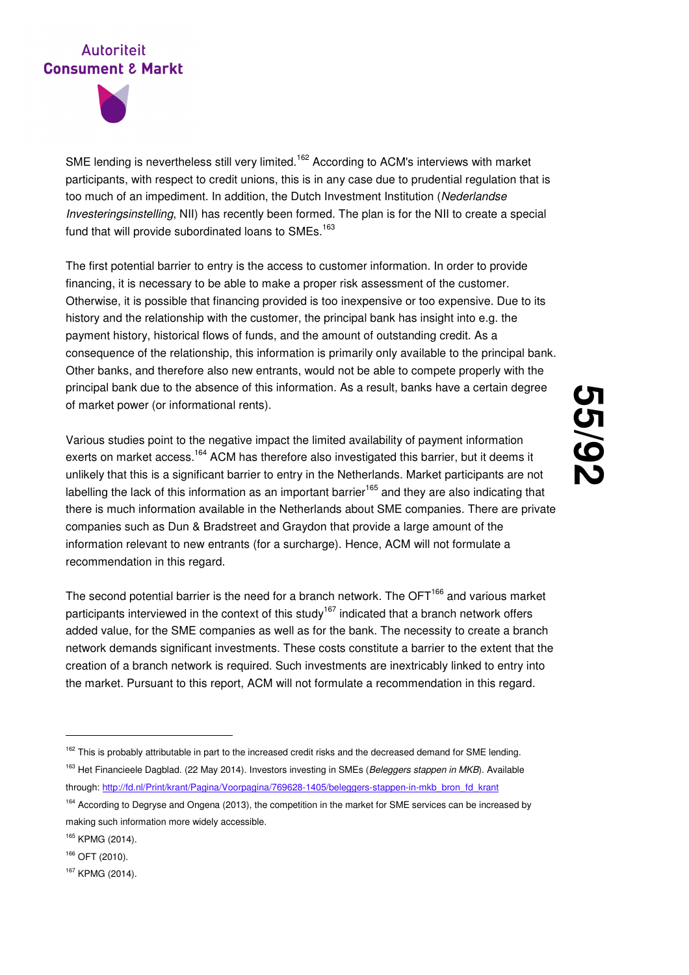

SME lending is nevertheless still very limited.<sup>162</sup> According to ACM's interviews with market participants, with respect to credit unions, this is in any case due to prudential regulation that is too much of an impediment. In addition, the Dutch Investment Institution (Nederlandse Investeringsinstelling, NII) has recently been formed. The plan is for the NII to create a special fund that will provide subordinated loans to  $SMEs$ .<sup>163</sup>

The first potential barrier to entry is the access to customer information. In order to provide financing, it is necessary to be able to make a proper risk assessment of the customer. Otherwise, it is possible that financing provided is too inexpensive or too expensive. Due to its history and the relationship with the customer, the principal bank has insight into e.g. the payment history, historical flows of funds, and the amount of outstanding credit. As a consequence of the relationship, this information is primarily only available to the principal bank. Other banks, and therefore also new entrants, would not be able to compete properly with the principal bank due to the absence of this information. As a result, banks have a certain degree of market power (or informational rents).

Various studies point to the negative impact the limited availability of payment information exerts on market access.<sup>164</sup> ACM has therefore also investigated this barrier, but it deems it unlikely that this is a significant barrier to entry in the Netherlands. Market participants are not labelling the lack of this information as an important barrier<sup>165</sup> and they are also indicating that there is much information available in the Netherlands about SME companies. There are private companies such as Dun & Bradstreet and Graydon that provide a large amount of the information relevant to new entrants (for a surcharge). Hence, ACM will not formulate a recommendation in this regard.

The second potential barrier is the need for a branch network. The  $\text{OFT}^{166}$  and various market participants interviewed in the context of this study<sup>167</sup> indicated that a branch network offers added value, for the SME companies as well as for the bank. The necessity to create a branch network demands significant investments. These costs constitute a barrier to the extent that the creation of a branch network is required. Such investments are inextricably linked to entry into the market. Pursuant to this report, ACM will not formulate a recommendation in this regard.

<sup>&</sup>lt;sup>162</sup> This is probably attributable in part to the increased credit risks and the decreased demand for SME lending. <sup>163</sup> Het Financieele Dagblad. (22 May 2014). Investors investing in SMEs (Beleggers stappen in MKB). Available through: http://fd.nl/Print/krant/Pagina/Voorpagina/769628-1405/beleggers-stappen-in-mkb\_bron\_fd\_krant

<sup>&</sup>lt;sup>164</sup> According to Degryse and Ongena (2013), the competition in the market for SME services can be increased by making such information more widely accessible.

<sup>165</sup> KPMG (2014).

<sup>166</sup> OFT (2010).

<sup>167</sup> KPMG (2014).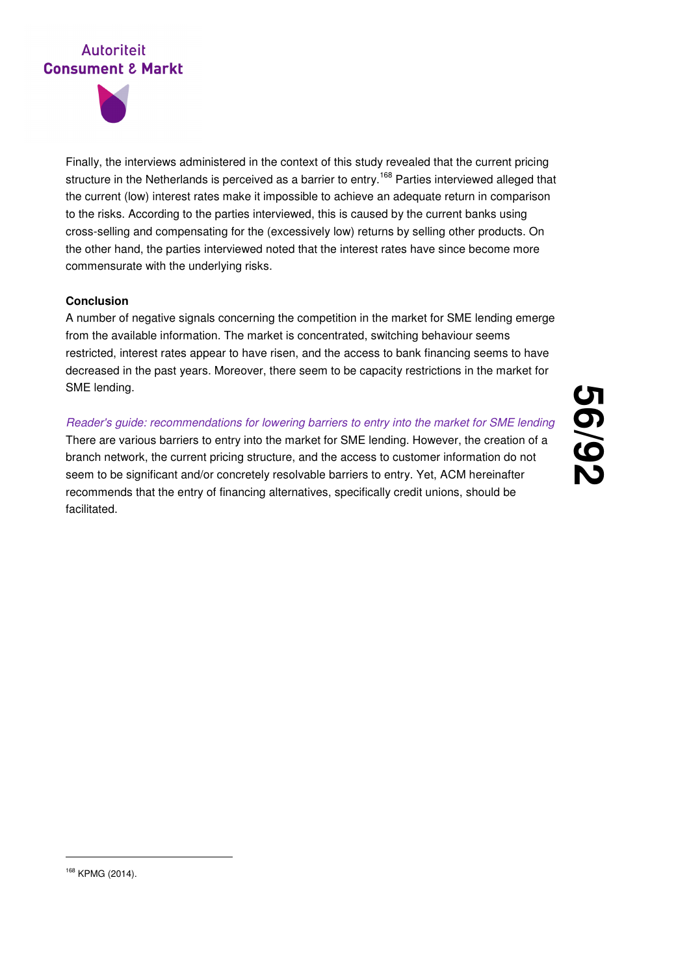

Finally, the interviews administered in the context of this study revealed that the current pricing structure in the Netherlands is perceived as a barrier to entry.<sup>168</sup> Parties interviewed alleged that the current (low) interest rates make it impossible to achieve an adequate return in comparison to the risks. According to the parties interviewed, this is caused by the current banks using cross-selling and compensating for the (excessively low) returns by selling other products. On the other hand, the parties interviewed noted that the interest rates have since become more commensurate with the underlying risks.

## **Conclusion**

A number of negative signals concerning the competition in the market for SME lending emerge from the available information. The market is concentrated, switching behaviour seems restricted, interest rates appear to have risen, and the access to bank financing seems to have decreased in the past years. Moreover, there seem to be capacity restrictions in the market for SME lending.

Reader's guide: recommendations for lowering barriers to entry into the market for SME lending There are various barriers to entry into the market for SME lending. However, the creation of a branch network, the current pricing structure, and the access to customer information do not seem to be significant and/or concretely resolvable barriers to entry. Yet, ACM hereinafter recommends that the entry of financing alternatives, specifically credit unions, should be facilitated.

**56 /92**

<sup>168</sup> KPMG (2014).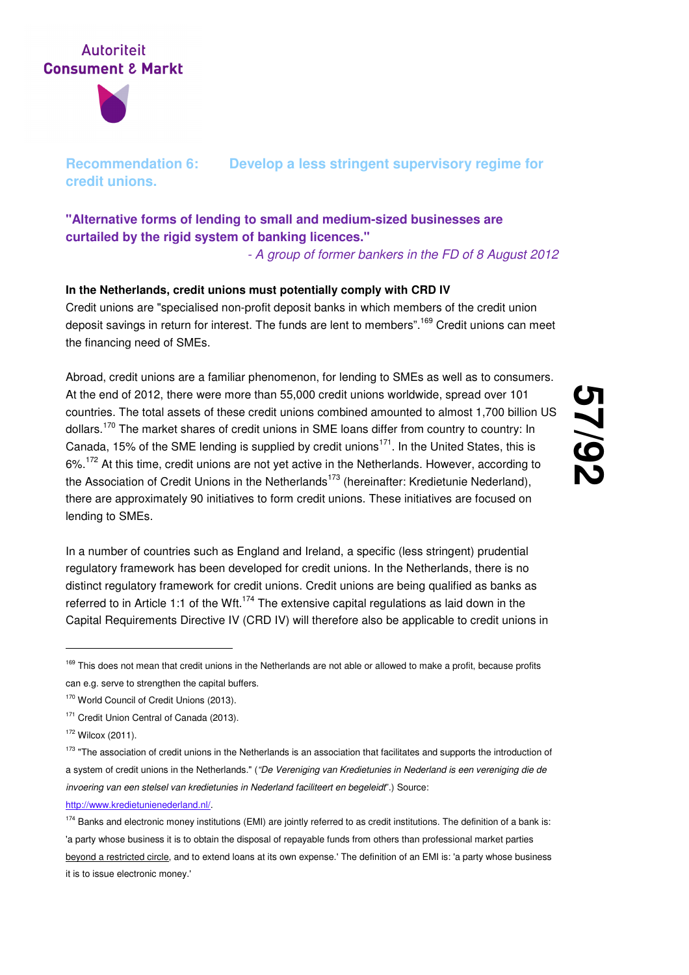

**Recommendation 6: Develop a less stringent supervisory regime for credit unions.** 

## **"Alternative forms of lending to small and medium-sized businesses are curtailed by the rigid system of banking licences."**

- A group of former bankers in the FD of 8 August 2012

## **In the Netherlands, credit unions must potentially comply with CRD IV**

Credit unions are "specialised non-profit deposit banks in which members of the credit union deposit savings in return for interest. The funds are lent to members".<sup>169</sup> Credit unions can meet the financing need of SMEs.

Abroad, credit unions are a familiar phenomenon, for lending to SMEs as well as to consumers. At the end of 2012, there were more than 55,000 credit unions worldwide, spread over 101 countries. The total assets of these credit unions combined amounted to almost 1,700 billion US dollars.<sup>170</sup> The market shares of credit unions in SME loans differ from country to country: In Canada, 15% of the SME lending is supplied by credit unions<sup>171</sup>. In the United States, this is 6%.<sup>172</sup> At this time, credit unions are not yet active in the Netherlands. However, according to the Association of Credit Unions in the Netherlands<sup>173</sup> (hereinafter: Kredietunie Nederland), there are approximately 90 initiatives to form credit unions. These initiatives are focused on lending to SMEs.

**57 /92**

In a number of countries such as England and Ireland, a specific (less stringent) prudential regulatory framework has been developed for credit unions. In the Netherlands, there is no distinct regulatory framework for credit unions. Credit unions are being qualified as banks as referred to in Article 1:1 of the Wft.<sup>174</sup> The extensive capital regulations as laid down in the Capital Requirements Directive IV (CRD IV) will therefore also be applicable to credit unions in

<sup>&</sup>lt;sup>169</sup> This does not mean that credit unions in the Netherlands are not able or allowed to make a profit, because profits can e.g. serve to strengthen the capital buffers.

<sup>&</sup>lt;sup>170</sup> World Council of Credit Unions (2013).

<sup>&</sup>lt;sup>171</sup> Credit Union Central of Canada (2013).

<sup>172</sup> Wilcox (2011).

<sup>&</sup>lt;sup>173</sup> "The association of credit unions in the Netherlands is an association that facilitates and supports the introduction of a system of credit unions in the Netherlands." ("De Vereniging van Kredietunies in Nederland is een vereniging die de invoering van een stelsel van kredietunies in Nederland faciliteert en begeleidt".) Source: http://www.kredietunienederland.nl/.

<sup>&</sup>lt;sup>174</sup> Banks and electronic money institutions (EMI) are jointly referred to as credit institutions. The definition of a bank is: 'a party whose business it is to obtain the disposal of repayable funds from others than professional market parties beyond a restricted circle, and to extend loans at its own expense.' The definition of an EMI is: 'a party whose business it is to issue electronic money.'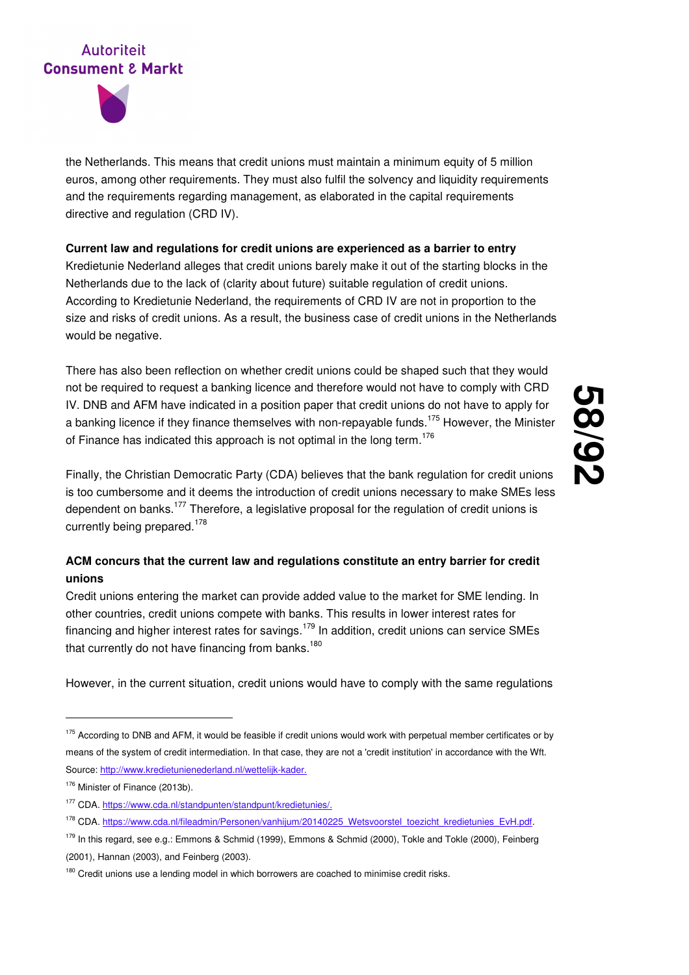

the Netherlands. This means that credit unions must maintain a minimum equity of 5 million euros, among other requirements. They must also fulfil the solvency and liquidity requirements and the requirements regarding management, as elaborated in the capital requirements directive and regulation (CRD IV).

## **Current law and regulations for credit unions are experienced as a barrier to entry**

Kredietunie Nederland alleges that credit unions barely make it out of the starting blocks in the Netherlands due to the lack of (clarity about future) suitable regulation of credit unions. According to Kredietunie Nederland, the requirements of CRD IV are not in proportion to the size and risks of credit unions. As a result, the business case of credit unions in the Netherlands would be negative.

There has also been reflection on whether credit unions could be shaped such that they would not be required to request a banking licence and therefore would not have to comply with CRD IV. DNB and AFM have indicated in a position paper that credit unions do not have to apply for a banking licence if they finance themselves with non-repayable funds.<sup>175</sup> However, the Minister of Finance has indicated this approach is not optimal in the long term.<sup>176</sup>

Finally, the Christian Democratic Party (CDA) believes that the bank regulation for credit unions is too cumbersome and it deems the introduction of credit unions necessary to make SMEs less dependent on banks.<sup>177</sup> Therefore, a legislative proposal for the regulation of credit unions is currently being prepared.<sup>178</sup>

## **ACM concurs that the current law and regulations constitute an entry barrier for credit unions**

Credit unions entering the market can provide added value to the market for SME lending. In other countries, credit unions compete with banks. This results in lower interest rates for financing and higher interest rates for savings.<sup>179</sup> In addition, credit unions can service SMEs that currently do not have financing from banks.<sup>180</sup>

However, in the current situation, credit unions would have to comply with the same regulations

<sup>&</sup>lt;sup>175</sup> According to DNB and AFM, it would be feasible if credit unions would work with perpetual member certificates or by means of the system of credit intermediation. In that case, they are not a 'credit institution' in accordance with the Wft. Source: http://www.kredietunienederland.nl/wettelijk-kader.

<sup>176</sup> Minister of Finance (2013b).

<sup>177</sup> CDA. https://www.cda.nl/standpunten/standpunt/kredietunies/.

<sup>178</sup> CDA. https://www.cda.nl/fileadmin/Personen/vanhijum/20140225\_Wetsvoorstel\_toezicht\_kredietunies\_EvH.pdf.

<sup>179</sup> In this regard, see e.g.: Emmons & Schmid (1999), Emmons & Schmid (2000), Tokle and Tokle (2000), Feinberg (2001), Hannan (2003), and Feinberg (2003).

 $180$  Credit unions use a lending model in which borrowers are coached to minimise credit risks.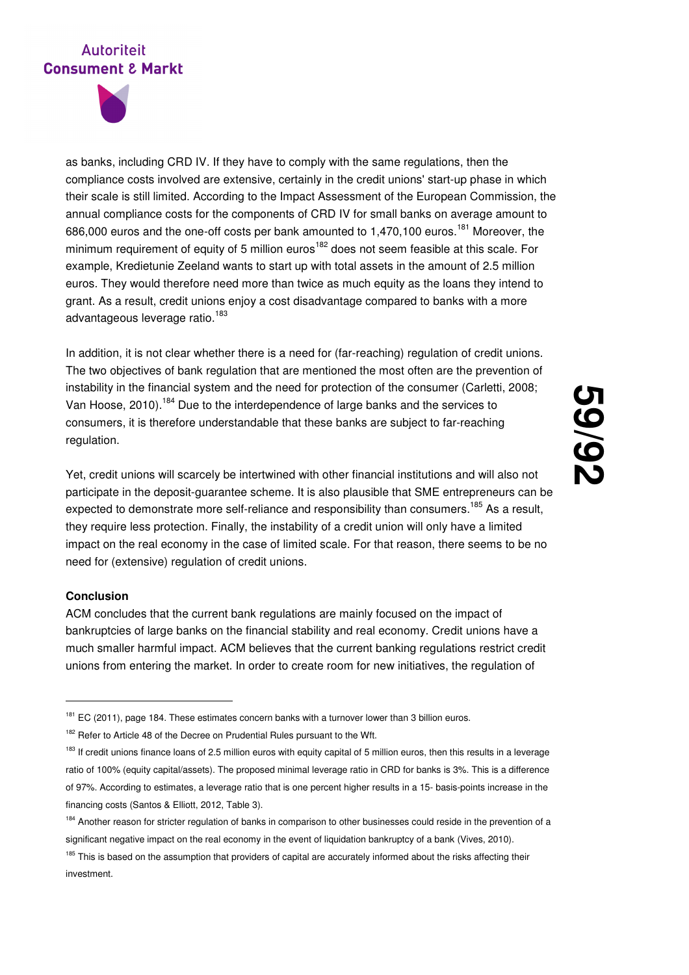

as banks, including CRD IV. If they have to comply with the same regulations, then the compliance costs involved are extensive, certainly in the credit unions' start-up phase in which their scale is still limited. According to the Impact Assessment of the European Commission, the annual compliance costs for the components of CRD IV for small banks on average amount to 686,000 euros and the one-off costs per bank amounted to 1,470,100 euros.<sup>181</sup> Moreover, the minimum requirement of equity of 5 million euros<sup>182</sup> does not seem feasible at this scale. For example, Kredietunie Zeeland wants to start up with total assets in the amount of 2.5 million euros. They would therefore need more than twice as much equity as the loans they intend to grant. As a result, credit unions enjoy a cost disadvantage compared to banks with a more advantageous leverage ratio.<sup>183</sup>

In addition, it is not clear whether there is a need for (far-reaching) regulation of credit unions. The two objectives of bank regulation that are mentioned the most often are the prevention of instability in the financial system and the need for protection of the consumer (Carletti, 2008; Van Hoose, 2010).<sup>184</sup> Due to the interdependence of large banks and the services to consumers, it is therefore understandable that these banks are subject to far-reaching regulation.

Yet, credit unions will scarcely be intertwined with other financial institutions and will also not participate in the deposit-guarantee scheme. It is also plausible that SME entrepreneurs can be expected to demonstrate more self-reliance and responsibility than consumers.<sup>185</sup> As a result, they require less protection. Finally, the instability of a credit union will only have a limited impact on the real economy in the case of limited scale. For that reason, there seems to be no need for (extensive) regulation of credit unions.

#### **Conclusion**

-

ACM concludes that the current bank regulations are mainly focused on the impact of bankruptcies of large banks on the financial stability and real economy. Credit unions have a much smaller harmful impact. ACM believes that the current banking regulations restrict credit unions from entering the market. In order to create room for new initiatives, the regulation of

<sup>&</sup>lt;sup>181</sup> EC (2011), page 184. These estimates concern banks with a turnover lower than 3 billion euros.

<sup>&</sup>lt;sup>182</sup> Refer to Article 48 of the Decree on Prudential Rules pursuant to the Wft.

<sup>&</sup>lt;sup>183</sup> If credit unions finance loans of 2.5 million euros with equity capital of 5 million euros, then this results in a leverage ratio of 100% (equity capital/assets). The proposed minimal leverage ratio in CRD for banks is 3%. This is a difference of 97%. According to estimates, a leverage ratio that is one percent higher results in a 15- basis-points increase in the financing costs (Santos & Elliott, 2012, Table 3).

<sup>&</sup>lt;sup>184</sup> Another reason for stricter regulation of banks in comparison to other businesses could reside in the prevention of a significant negative impact on the real economy in the event of liquidation bankruptcy of a bank (Vives, 2010).

<sup>&</sup>lt;sup>185</sup> This is based on the assumption that providers of capital are accurately informed about the risks affecting their investment.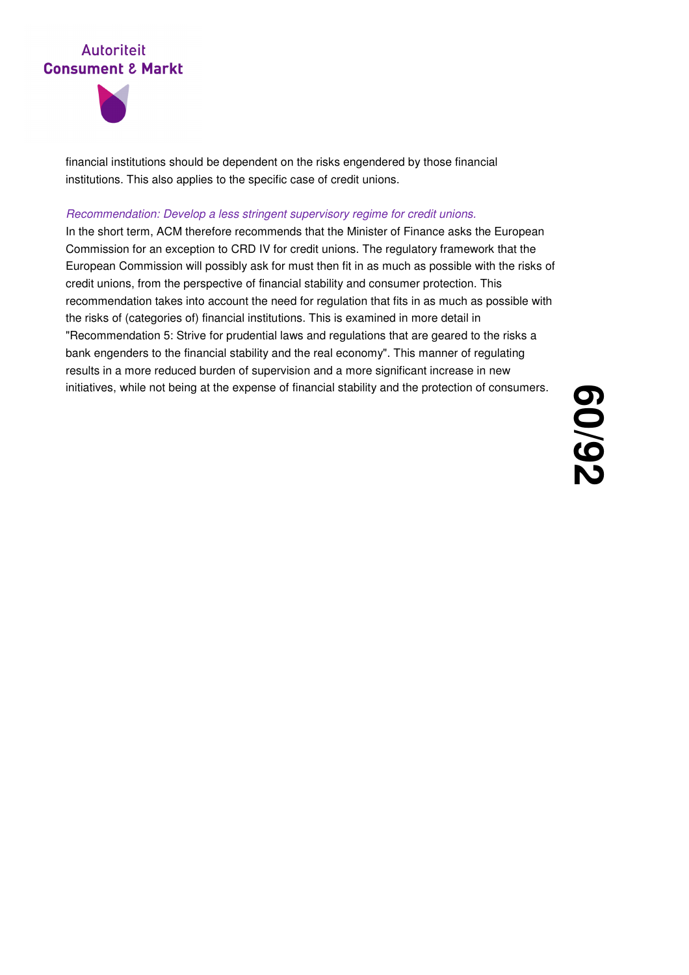



financial institutions should be dependent on the risks engendered by those financial institutions. This also applies to the specific case of credit unions.

#### Recommendation: Develop a less stringent supervisory regime for credit unions.

In the short term, ACM therefore recommends that the Minister of Finance asks the European Commission for an exception to CRD IV for credit unions. The regulatory framework that the European Commission will possibly ask for must then fit in as much as possible with the risks of credit unions, from the perspective of financial stability and consumer protection. This recommendation takes into account the need for regulation that fits in as much as possible with the risks of (categories of) financial institutions. This is examined in more detail in "Recommendation 5: Strive for prudential laws and regulations that are geared to the risks a bank engenders to the financial stability and the real economy". This manner of regulating results in a more reduced burden of supervision and a more significant increase in new initiatives, while not being at the expense of financial stability and the protection of consumers.

**60 /92**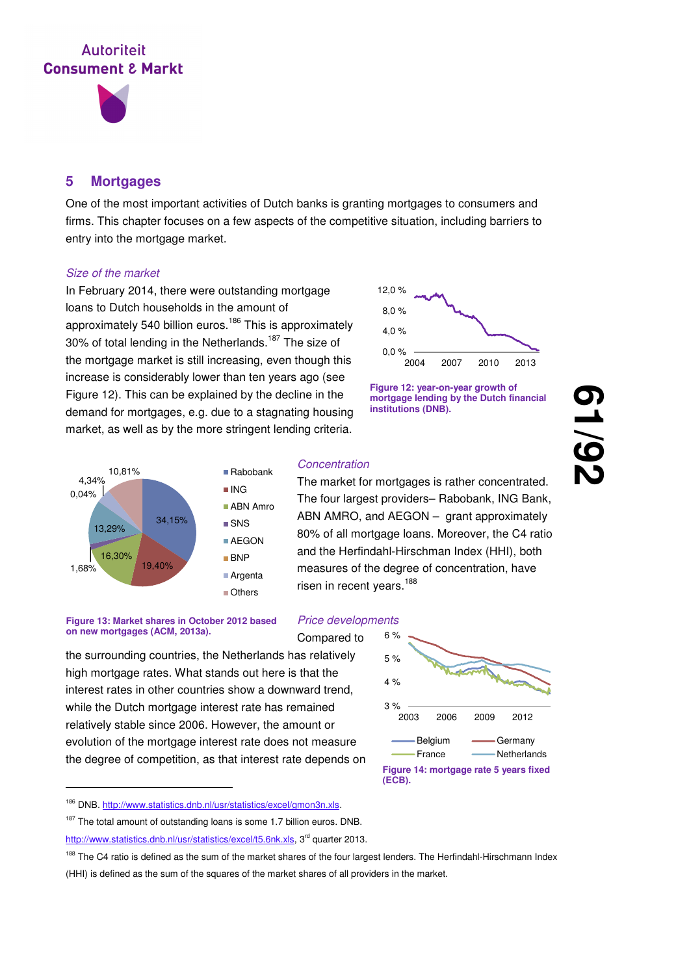

## **5 Mortgages**

One of the most important activities of Dutch banks is granting mortgages to consumers and firms. This chapter focuses on a few aspects of the competitive situation, including barriers to entry into the mortgage market.

#### Size of the market

In February 2014, there were outstanding mortgage loans to Dutch households in the amount of approximately 540 billion euros.<sup>186</sup> This is approximately 30% of total lending in the Netherlands.<sup>187</sup> The size of the mortgage market is still increasing, even though this increase is considerably lower than ten years ago (see Figure 12). This can be explained by the decline in the demand for mortgages, e.g. due to a stagnating housing market, as well as by the more stringent lending criteria.





**61**

**/92**



#### **Concentration**

Compared to

The market for mortgages is rather concentrated. The four largest providers– Rabobank, ING Bank, ABN AMRO, and AEGON – grant approximately 80% of all mortgage loans. Moreover, the C4 ratio and the Herfindahl-Hirschman Index (HHI), both measures of the degree of concentration, have risen in recent years.<sup>188</sup>

#### **Figure 13: Market shares in October 2012 based on new mortgages (ACM, 2013a).**

-

the surrounding countries, the Netherlands has relatively high mortgage rates. What stands out here is that the interest rates in other countries show a downward trend, while the Dutch mortgage interest rate has remained relatively stable since 2006. However, the amount or evolution of the mortgage interest rate does not measure the degree of competition, as that interest rate depends on



<sup>186</sup> DNB. http://www.statistics.dnb.nl/usr/statistics/excel/gmon3n.xls.

<sup>&</sup>lt;sup>187</sup> The total amount of outstanding loans is some 1.7 billion euros. DNB. http://www.statistics.dnb.nl/usr/statistics/excel/t5.6nk.xls, 3<sup>rd</sup> quarter 2013.

<sup>&</sup>lt;sup>188</sup> The C4 ratio is defined as the sum of the market shares of the four largest lenders. The Herfindahl-Hirschmann Index (HHI) is defined as the sum of the squares of the market shares of all providers in the market.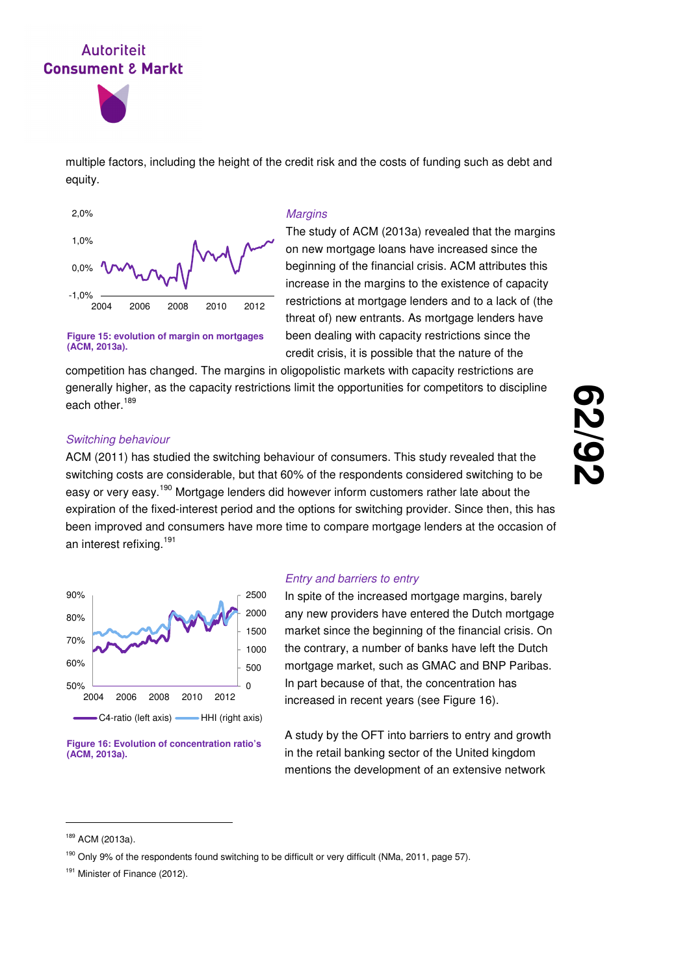



multiple factors, including the height of the credit risk and the costs of funding such as debt and equity.



**Figure 15: evolution of margin on mortgages** 

#### **Margins**

The study of ACM (2013a) revealed that the margins on new mortgage loans have increased since the beginning of the financial crisis. ACM attributes this increase in the margins to the existence of capacity restrictions at mortgage lenders and to a lack of (the threat of) new entrants. As mortgage lenders have been dealing with capacity restrictions since the credit crisis, it is possible that the nature of the

competition has changed. The margins in oligopolistic markets with capacity restrictions are generally higher, as the capacity restrictions limit the opportunities for competitors to discipline each other.<sup>189</sup>

#### Switching behaviour

**(ACM, 2013a).**

ACM (2011) has studied the switching behaviour of consumers. This study revealed that the switching costs are considerable, but that 60% of the respondents considered switching to be easy or very easy.<sup>190</sup> Mortgage lenders did however inform customers rather late about the expiration of the fixed-interest period and the options for switching provider. Since then, this has been improved and consumers have more time to compare mortgage lenders at the occasion of an interest refixing.<sup>191</sup>



**Figure 16: Evolution of concentration ratio's (ACM, 2013a).**

#### Entry and barriers to entry

In spite of the increased mortgage margins, barely any new providers have entered the Dutch mortgage market since the beginning of the financial crisis. On the contrary, a number of banks have left the Dutch mortgage market, such as GMAC and BNP Paribas. In part because of that, the concentration has increased in recent years (see Figure 16).

A study by the OFT into barriers to entry and growth in the retail banking sector of the United kingdom mentions the development of an extensive network

<sup>189</sup> ACM (2013a).

<sup>190</sup> Only 9% of the respondents found switching to be difficult or very difficult (NMa, 2011, page 57).

<sup>&</sup>lt;sup>191</sup> Minister of Finance (2012).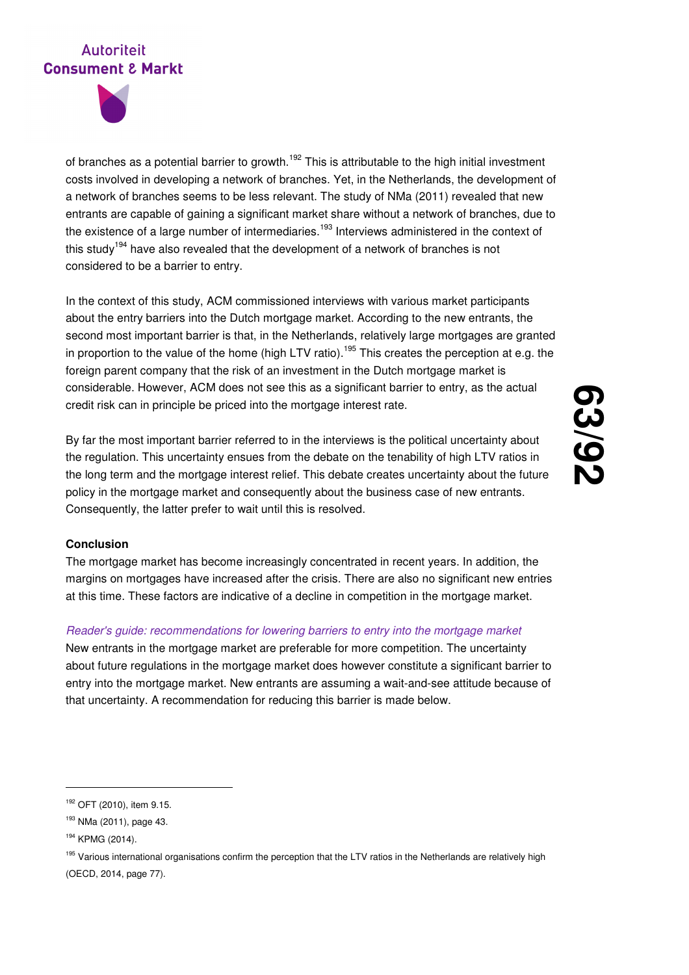

of branches as a potential barrier to growth.<sup>192</sup> This is attributable to the high initial investment costs involved in developing a network of branches. Yet, in the Netherlands, the development of a network of branches seems to be less relevant. The study of NMa (2011) revealed that new entrants are capable of gaining a significant market share without a network of branches, due to the existence of a large number of intermediaries.<sup>193</sup> Interviews administered in the context of this study<sup>194</sup> have also revealed that the development of a network of branches is not considered to be a barrier to entry.

In the context of this study, ACM commissioned interviews with various market participants about the entry barriers into the Dutch mortgage market. According to the new entrants, the second most important barrier is that, in the Netherlands, relatively large mortgages are granted in proportion to the value of the home (high LTV ratio).<sup>195</sup> This creates the perception at e.g. the foreign parent company that the risk of an investment in the Dutch mortgage market is considerable. However, ACM does not see this as a significant barrier to entry, as the actual credit risk can in principle be priced into the mortgage interest rate.

By far the most important barrier referred to in the interviews is the political uncertainty about the regulation. This uncertainty ensues from the debate on the tenability of high LTV ratios in the long term and the mortgage interest relief. This debate creates uncertainty about the future policy in the mortgage market and consequently about the business case of new entrants. Consequently, the latter prefer to wait until this is resolved.

# **63 /92**

## **Conclusion**

The mortgage market has become increasingly concentrated in recent years. In addition, the margins on mortgages have increased after the crisis. There are also no significant new entries at this time. These factors are indicative of a decline in competition in the mortgage market.

### Reader's guide: recommendations for lowering barriers to entry into the mortgage market

New entrants in the mortgage market are preferable for more competition. The uncertainty about future regulations in the mortgage market does however constitute a significant barrier to entry into the mortgage market. New entrants are assuming a wait-and-see attitude because of that uncertainty. A recommendation for reducing this barrier is made below.

-

<sup>195</sup> Various international organisations confirm the perception that the LTV ratios in the Netherlands are relatively high (OECD, 2014, page 77).

<sup>192</sup> OFT (2010), item 9.15.

<sup>193</sup> NMa (2011), page 43.

<sup>194</sup> KPMG (2014).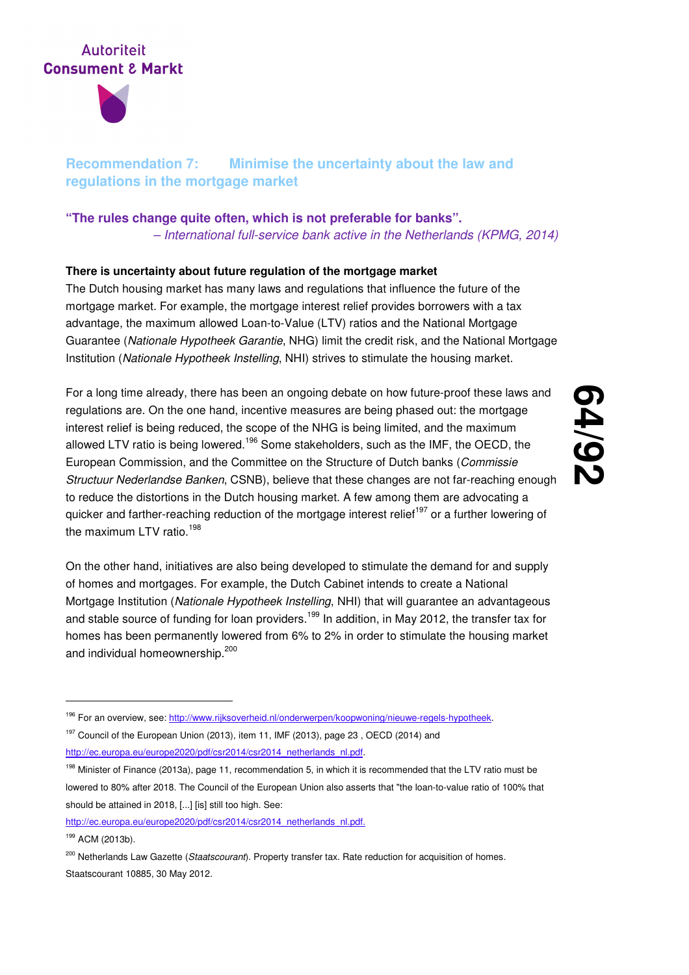

## **Recommendation 7: Minimise the uncertainty about the law and regulations in the mortgage market**

## **"The rules change quite often, which is not preferable for banks".**  – International full-service bank active in the Netherlands (KPMG, 2014)

## **There is uncertainty about future regulation of the mortgage market**

The Dutch housing market has many laws and regulations that influence the future of the mortgage market. For example, the mortgage interest relief provides borrowers with a tax advantage, the maximum allowed Loan-to-Value (LTV) ratios and the National Mortgage Guarantee (Nationale Hypotheek Garantie, NHG) limit the credit risk, and the National Mortgage Institution (Nationale Hypotheek Instelling, NHI) strives to stimulate the housing market.

For a long time already, there has been an ongoing debate on how future-proof these laws and regulations are. On the one hand, incentive measures are being phased out: the mortgage interest relief is being reduced, the scope of the NHG is being limited, and the maximum allowed LTV ratio is being lowered.<sup>196</sup> Some stakeholders, such as the IMF, the OECD, the European Commission, and the Committee on the Structure of Dutch banks (Commissie Structuur Nederlandse Banken, CSNB), believe that these changes are not far-reaching enough to reduce the distortions in the Dutch housing market. A few among them are advocating a quicker and farther-reaching reduction of the mortgage interest relief<sup>197</sup> or a further lowering of the maximum LTV ratio.<sup>198</sup>

# **64 /92**

On the other hand, initiatives are also being developed to stimulate the demand for and supply of homes and mortgages. For example, the Dutch Cabinet intends to create a National Mortgage Institution (Nationale Hypotheek Instelling, NHI) that will guarantee an advantageous and stable source of funding for loan providers.<sup>199</sup> In addition, in May 2012, the transfer tax for homes has been permanently lowered from 6% to 2% in order to stimulate the housing market and individual homeownership.<sup>200</sup>

<sup>197</sup> Council of the European Union (2013), item 11, IMF (2013), page 23, OECD (2014) and http://ec.europa.eu/europe2020/pdf/csr2014/csr2014\_netherlands\_nl.pdf.

<sup>&</sup>lt;sup>196</sup> For an overview, see: http://www.rijksoverheid.nl/onderwerpen/koopwoning/nieuwe-regels-hypotheek.

<sup>&</sup>lt;sup>198</sup> Minister of Finance (2013a), page 11, recommendation 5, in which it is recommended that the LTV ratio must be lowered to 80% after 2018. The Council of the European Union also asserts that "the loan-to-value ratio of 100% that should be attained in 2018, [...] [is] still too high. See:

http://ec.europa.eu/europe2020/pdf/csr2014/csr2014\_netherlands\_nl.pdf.

<sup>199</sup> ACM (2013b).

<sup>&</sup>lt;sup>200</sup> Netherlands Law Gazette (Staatscourant). Property transfer tax. Rate reduction for acquisition of homes. Staatscourant 10885, 30 May 2012.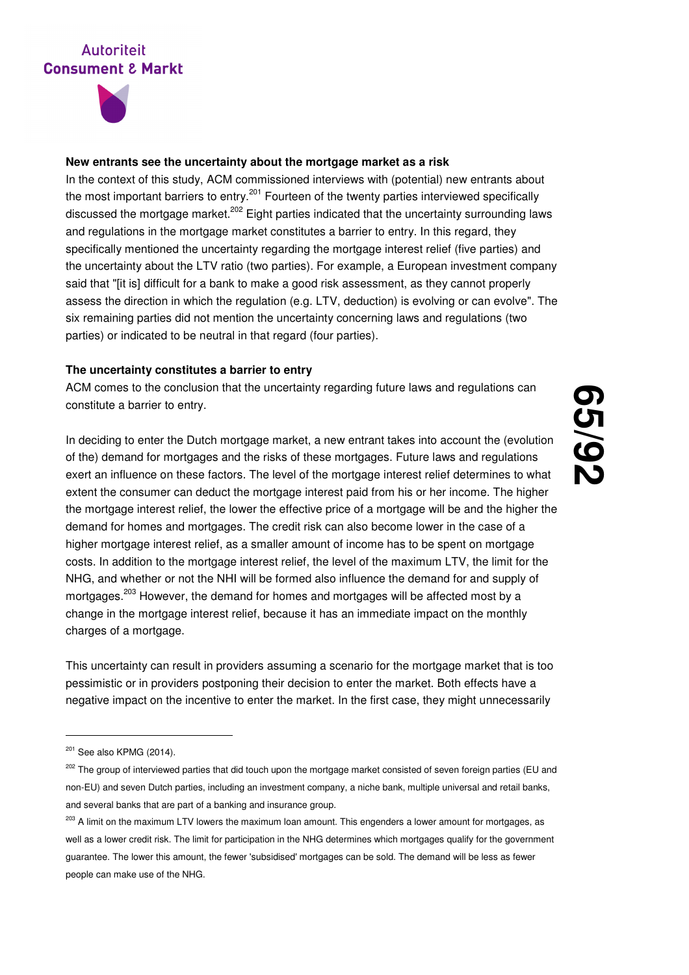

### **New entrants see the uncertainty about the mortgage market as a risk**

In the context of this study, ACM commissioned interviews with (potential) new entrants about the most important barriers to entry.<sup>201</sup> Fourteen of the twenty parties interviewed specifically discussed the mortgage market.<sup>202</sup> Eight parties indicated that the uncertainty surrounding laws and regulations in the mortgage market constitutes a barrier to entry. In this regard, they specifically mentioned the uncertainty regarding the mortgage interest relief (five parties) and the uncertainty about the LTV ratio (two parties). For example, a European investment company said that "[it is] difficult for a bank to make a good risk assessment, as they cannot properly assess the direction in which the regulation (e.g. LTV, deduction) is evolving or can evolve". The six remaining parties did not mention the uncertainty concerning laws and regulations (two parties) or indicated to be neutral in that regard (four parties).

#### **The uncertainty constitutes a barrier to entry**

ACM comes to the conclusion that the uncertainty regarding future laws and regulations can constitute a barrier to entry.

In deciding to enter the Dutch mortgage market, a new entrant takes into account the (evolution of the) demand for mortgages and the risks of these mortgages. Future laws and regulations exert an influence on these factors. The level of the mortgage interest relief determines to what extent the consumer can deduct the mortgage interest paid from his or her income. The higher the mortgage interest relief, the lower the effective price of a mortgage will be and the higher the demand for homes and mortgages. The credit risk can also become lower in the case of a higher mortgage interest relief, as a smaller amount of income has to be spent on mortgage costs. In addition to the mortgage interest relief, the level of the maximum LTV, the limit for the NHG, and whether or not the NHI will be formed also influence the demand for and supply of mortgages.<sup>203</sup> However, the demand for homes and mortgages will be affected most by a change in the mortgage interest relief, because it has an immediate impact on the monthly charges of a mortgage.

This uncertainty can result in providers assuming a scenario for the mortgage market that is too pessimistic or in providers postponing their decision to enter the market. Both effects have a negative impact on the incentive to enter the market. In the first case, they might unnecessarily

 $201$  See also KPMG (2014).

<sup>&</sup>lt;sup>202</sup> The group of interviewed parties that did touch upon the mortgage market consisted of seven foreign parties (EU and non-EU) and seven Dutch parties, including an investment company, a niche bank, multiple universal and retail banks, and several banks that are part of a banking and insurance group.

<sup>&</sup>lt;sup>203</sup> A limit on the maximum LTV lowers the maximum loan amount. This engenders a lower amount for mortgages, as well as a lower credit risk. The limit for participation in the NHG determines which mortgages qualify for the government guarantee. The lower this amount, the fewer 'subsidised' mortgages can be sold. The demand will be less as fewer people can make use of the NHG.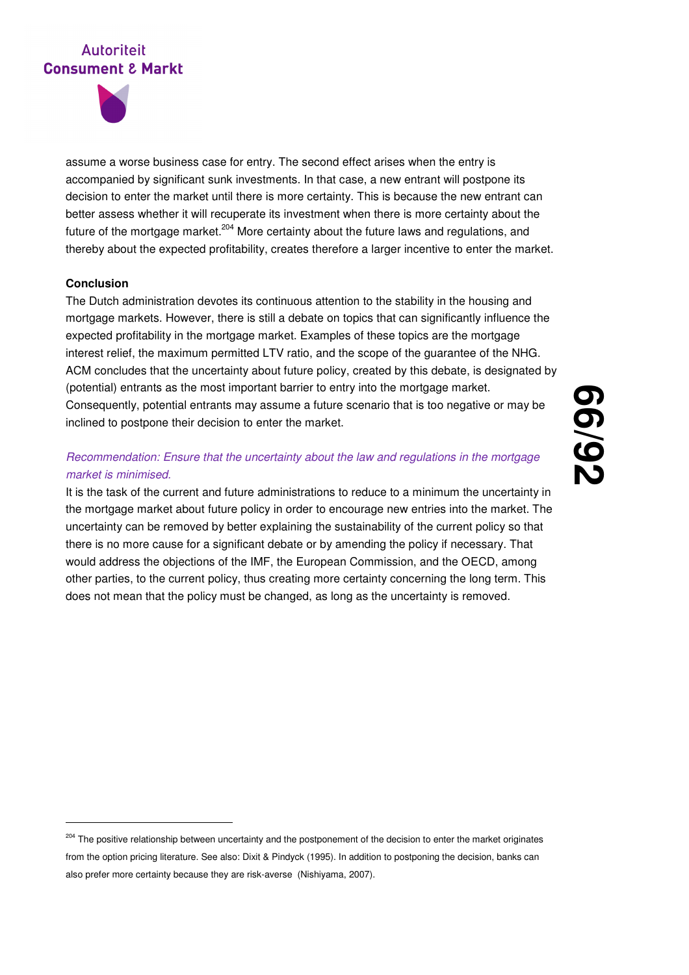

assume a worse business case for entry. The second effect arises when the entry is accompanied by significant sunk investments. In that case, a new entrant will postpone its decision to enter the market until there is more certainty. This is because the new entrant can better assess whether it will recuperate its investment when there is more certainty about the future of the mortgage market.<sup>204</sup> More certainty about the future laws and regulations, and thereby about the expected profitability, creates therefore a larger incentive to enter the market.

### **Conclusion**

-

The Dutch administration devotes its continuous attention to the stability in the housing and mortgage markets. However, there is still a debate on topics that can significantly influence the expected profitability in the mortgage market. Examples of these topics are the mortgage interest relief, the maximum permitted LTV ratio, and the scope of the guarantee of the NHG. ACM concludes that the uncertainty about future policy, created by this debate, is designated by (potential) entrants as the most important barrier to entry into the mortgage market. Consequently, potential entrants may assume a future scenario that is too negative or may be inclined to postpone their decision to enter the market.

## Recommendation: Ensure that the uncertainty about the law and regulations in the mortgage market is minimised.

It is the task of the current and future administrations to reduce to a minimum the uncertainty in the mortgage market about future policy in order to encourage new entries into the market. The uncertainty can be removed by better explaining the sustainability of the current policy so that there is no more cause for a significant debate or by amending the policy if necessary. That would address the objections of the IMF, the European Commission, and the OECD, among other parties, to the current policy, thus creating more certainty concerning the long term. This does not mean that the policy must be changed, as long as the uncertainty is removed.

**<sup>66</sup> /92**

<sup>&</sup>lt;sup>204</sup> The positive relationship between uncertainty and the postponement of the decision to enter the market originates from the option pricing literature. See also: Dixit & Pindyck (1995). In addition to postponing the decision, banks can also prefer more certainty because they are risk-averse (Nishiyama, 2007).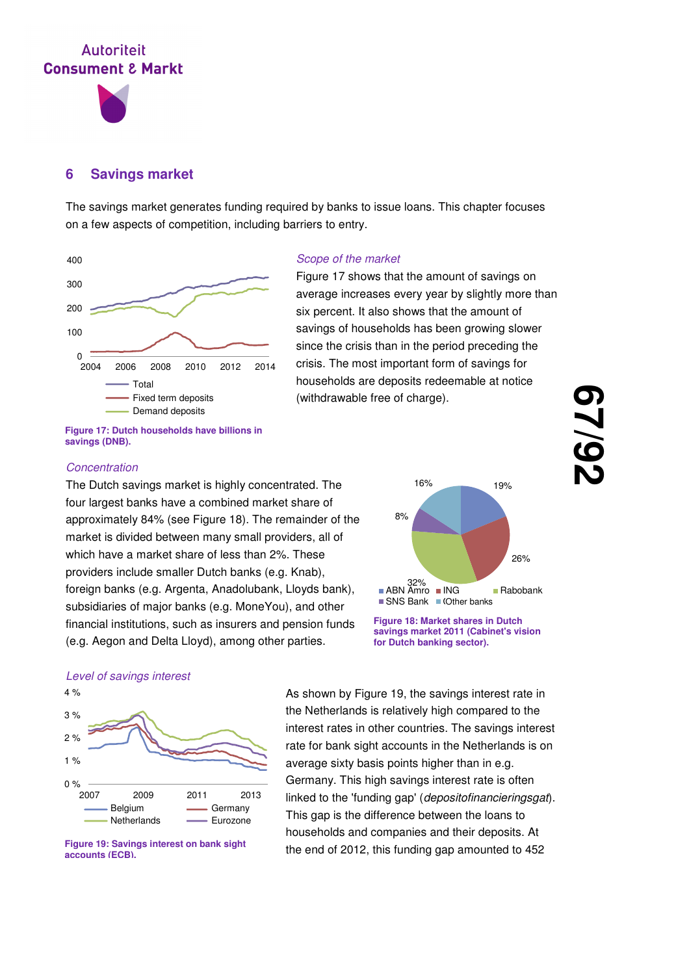

## **6 Savings market**

The savings market generates funding required by banks to issue loans. This chapter focuses on a few aspects of competition, including barriers to entry.



**Figure 17: Dutch households have billions in savings (DNB).**

#### Scope of the market

Figure 17 shows that the amount of savings on average increases every year by slightly more than six percent. It also shows that the amount of savings of households has been growing slower since the crisis than in the period preceding the crisis. The most important form of savings for households are deposits redeemable at notice (withdrawable free of charge).

### **Concentration**

The Dutch savings market is highly concentrated. The four largest banks have a combined market share of approximately 84% (see Figure 18). The remainder of the market is divided between many small providers, all of which have a market share of less than 2%. These providers include smaller Dutch banks (e.g. Knab), foreign banks (e.g. Argenta, Anadolubank, Lloyds bank), subsidiaries of major banks (e.g. MoneYou), and other financial institutions, such as insurers and pension funds (e.g. Aegon and Delta Lloyd), among other parties.



**Figure 18: Market shares in Dutch savings market 2011 (Cabinet's vision for Dutch banking sector).**

#### Level of savings interest





As shown by Figure 19, the savings interest rate in the Netherlands is relatively high compared to the interest rates in other countries. The savings interest rate for bank sight accounts in the Netherlands is on average sixty basis points higher than in e.g. Germany. This high savings interest rate is often linked to the 'funding gap' (*depositofinancieringsgat*). This gap is the difference between the loans to households and companies and their deposits. At the end of 2012, this funding gap amounted to 452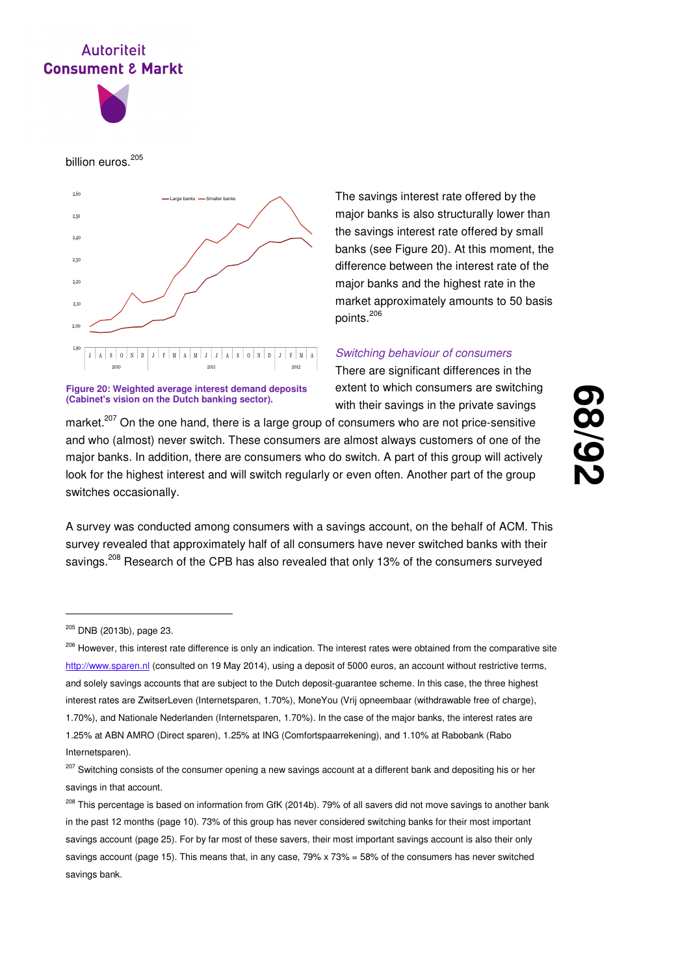

billion euros.<sup>205</sup>



**Figure 20: Weighted average interest demand deposits (Cabinet's vision on the Dutch banking sector).**

The savings interest rate offered by the major banks is also structurally lower than the savings interest rate offered by small banks (see Figure 20). At this moment, the difference between the interest rate of the major banks and the highest rate in the market approximately amounts to 50 basis points.<sup>206</sup>

#### Switching behaviour of consumers

There are significant differences in the extent to which consumers are switching with their savings in the private savings

market.<sup>207</sup> On the one hand, there is a large group of consumers who are not price-sensitive and who (almost) never switch. These consumers are almost always customers of one of the major banks. In addition, there are consumers who do switch. A part of this group will actively look for the highest interest and will switch regularly or even often. Another part of the group switches occasionally.

**68 /92**

A survey was conducted among consumers with a savings account, on the behalf of ACM. This survey revealed that approximately half of all consumers have never switched banks with their savings.<sup>208</sup> Research of the CPB has also revealed that only 13% of the consumers surveyed

<sup>205</sup> DNB (2013b), page 23.

<sup>&</sup>lt;sup>206</sup> However, this interest rate difference is only an indication. The interest rates were obtained from the comparative site http://www.sparen.nl (consulted on 19 May 2014), using a deposit of 5000 euros, an account without restrictive terms, and solely savings accounts that are subject to the Dutch deposit-guarantee scheme. In this case, the three highest interest rates are ZwitserLeven (Internetsparen, 1.70%), MoneYou (Vrij opneembaar (withdrawable free of charge), 1.70%), and Nationale Nederlanden (Internetsparen, 1.70%). In the case of the major banks, the interest rates are 1.25% at ABN AMRO (Direct sparen), 1.25% at ING (Comfortspaarrekening), and 1.10% at Rabobank (Rabo Internetsparen).

<sup>&</sup>lt;sup>207</sup> Switching consists of the consumer opening a new savings account at a different bank and depositing his or her savings in that account.

<sup>&</sup>lt;sup>208</sup> This percentage is based on information from GfK (2014b). 79% of all savers did not move savings to another bank in the past 12 months (page 10). 73% of this group has never considered switching banks for their most important savings account (page 25). For by far most of these savers, their most important savings account is also their only savings account (page 15). This means that, in any case, 79% x 73% = 58% of the consumers has never switched savings bank.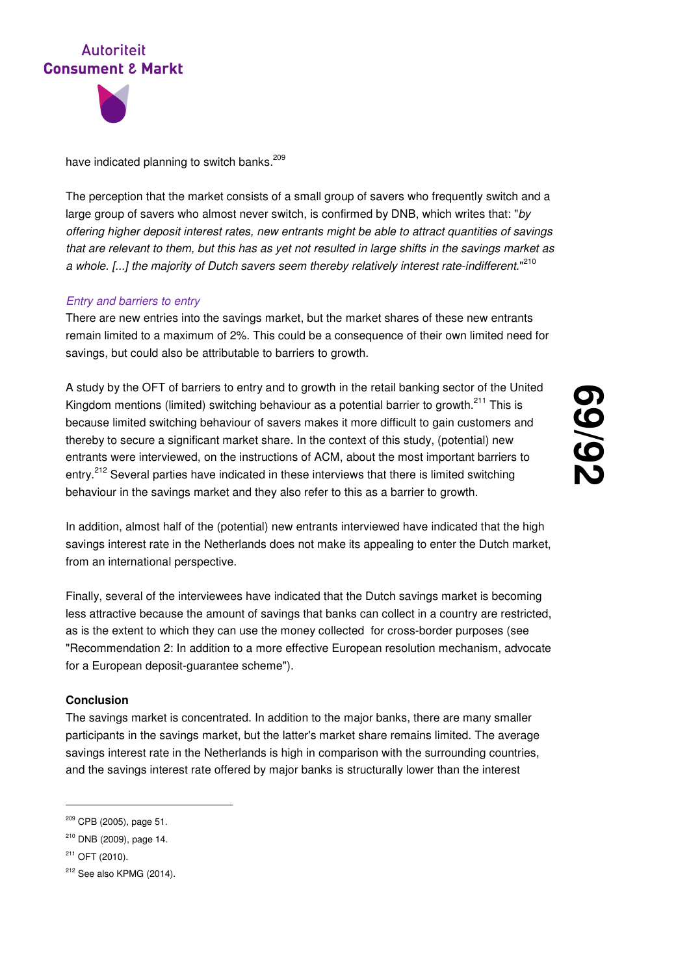



have indicated planning to switch banks.<sup>209</sup>

The perception that the market consists of a small group of savers who frequently switch and a large group of savers who almost never switch, is confirmed by DNB, which writes that: "by offering higher deposit interest rates, new entrants might be able to attract quantities of savings that are relevant to them, but this has as yet not resulted in large shifts in the savings market as a whole. [...] the majority of Dutch savers seem thereby relatively interest rate-indifferent."<sup>210</sup>

### Entry and barriers to entry

There are new entries into the savings market, but the market shares of these new entrants remain limited to a maximum of 2%. This could be a consequence of their own limited need for savings, but could also be attributable to barriers to growth.

A study by the OFT of barriers to entry and to growth in the retail banking sector of the United Kingdom mentions (limited) switching behaviour as a potential barrier to growth.<sup>211</sup> This is because limited switching behaviour of savers makes it more difficult to gain customers and thereby to secure a significant market share. In the context of this study, (potential) new entrants were interviewed, on the instructions of ACM, about the most important barriers to entry.<sup>212</sup> Several parties have indicated in these interviews that there is limited switching behaviour in the savings market and they also refer to this as a barrier to growth.

**69 /92**

In addition, almost half of the (potential) new entrants interviewed have indicated that the high savings interest rate in the Netherlands does not make its appealing to enter the Dutch market, from an international perspective.

Finally, several of the interviewees have indicated that the Dutch savings market is becoming less attractive because the amount of savings that banks can collect in a country are restricted, as is the extent to which they can use the money collected for cross-border purposes (see "Recommendation 2: In addition to a more effective European resolution mechanism, advocate for a European deposit-guarantee scheme").

#### **Conclusion**

The savings market is concentrated. In addition to the major banks, there are many smaller participants in the savings market, but the latter's market share remains limited. The average savings interest rate in the Netherlands is high in comparison with the surrounding countries, and the savings interest rate offered by major banks is structurally lower than the interest

<sup>209</sup> CPB (2005), page 51.

<sup>210</sup> DNB (2009), page 14.

<sup>211</sup> OFT (2010).

 $212$  See also KPMG (2014).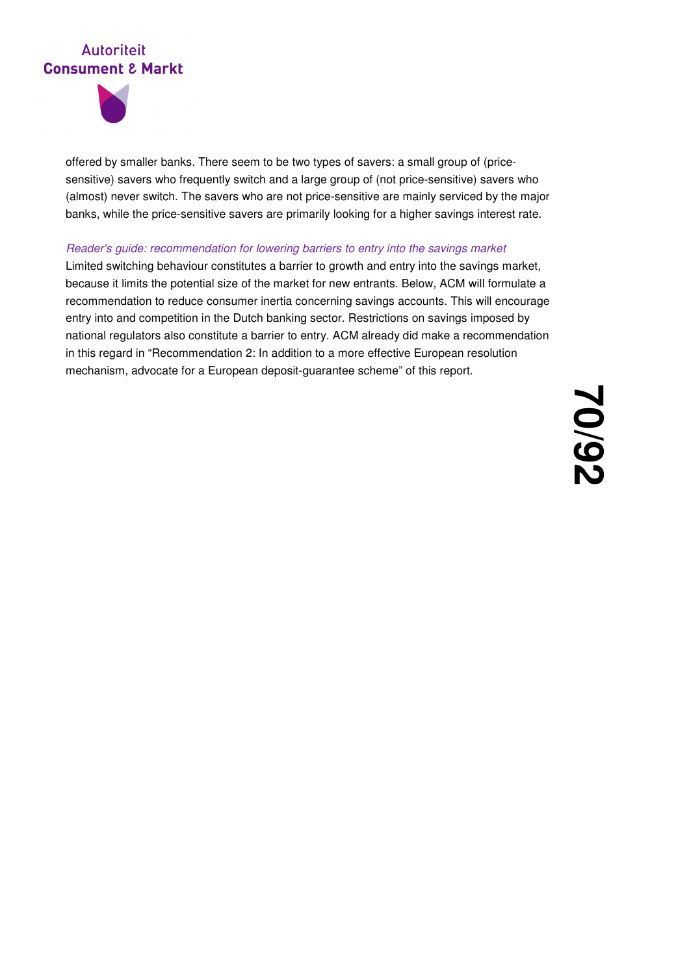

offered by smaller banks. There seem to be two types of savers: a small group of (pricesensitive) savers who frequently switch and a large group of (not price-sensitive) savers who (almost) never switch. The savers who are not price-sensitive are mainly serviced by the major banks, while the price-sensitive savers are primarily looking for a higher savings interest rate.

### Reader's guide: recommendation for lowering barriers to entry into the savings market

Limited switching behaviour constitutes a barrier to growth and entry into the savings market, because it limits the potential size of the market for new entrants. Below, ACM will formulate a recommendation to reduce consumer inertia concerning savings accounts. This will encourage entry into and competition in the Dutch banking sector. Restrictions on savings imposed by national regulators also constitute a barrier to entry. ACM already did make a recommendation in this regard in "Recommendation 2: In addition to a more effective European resolution mechanism, advocate for a European deposit-guarantee scheme" of this report.

> **70 /92**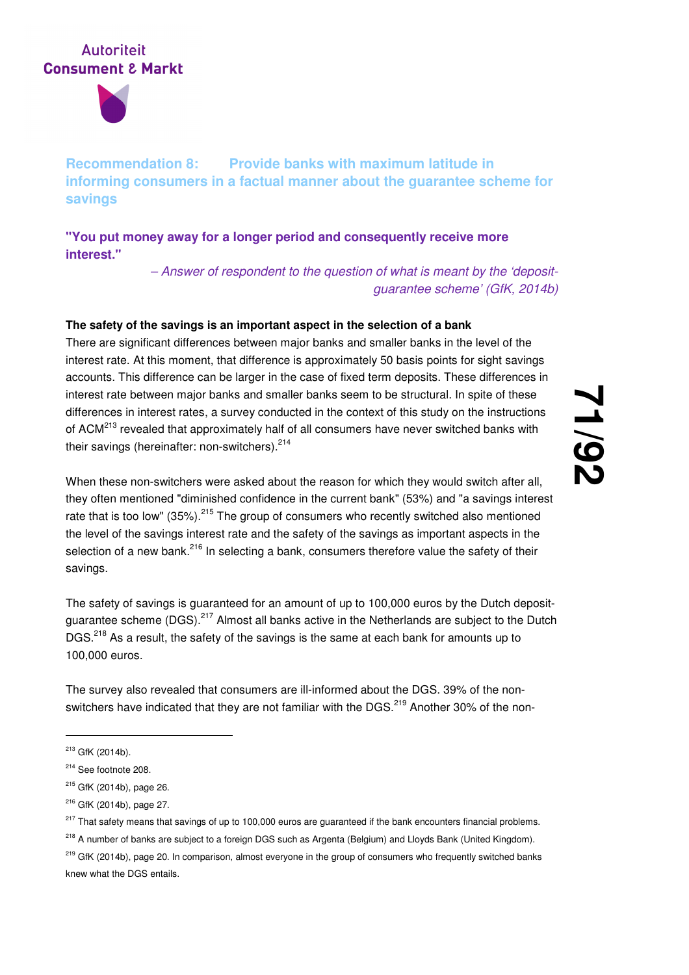

**Recommendation 8: Provide banks with maximum latitude in informing consumers in a factual manner about the guarantee scheme for savings** 

**"You put money away for a longer period and consequently receive more interest."** 

> – Answer of respondent to the question of what is meant by the 'depositguarantee scheme' (GfK, 2014b)

## **The safety of the savings is an important aspect in the selection of a bank**

There are significant differences between major banks and smaller banks in the level of the interest rate. At this moment, that difference is approximately 50 basis points for sight savings accounts. This difference can be larger in the case of fixed term deposits. These differences in interest rate between major banks and smaller banks seem to be structural. In spite of these differences in interest rates, a survey conducted in the context of this study on the instructions of ACM<sup>213</sup> revealed that approximately half of all consumers have never switched banks with their savings (hereinafter: non-switchers). $214$ 

When these non-switchers were asked about the reason for which they would switch after all, they often mentioned "diminished confidence in the current bank" (53%) and "a savings interest rate that is too low" (35%).<sup>215</sup> The group of consumers who recently switched also mentioned the level of the savings interest rate and the safety of the savings as important aspects in the selection of a new bank.<sup>216</sup> In selecting a bank, consumers therefore value the safety of their savings.

The safety of savings is guaranteed for an amount of up to 100,000 euros by the Dutch depositquarantee scheme (DGS).<sup>217</sup> Almost all banks active in the Netherlands are subject to the Dutch DGS.<sup>218</sup> As a result, the safety of the savings is the same at each bank for amounts up to 100,000 euros.

The survey also revealed that consumers are ill-informed about the DGS. 39% of the nonswitchers have indicated that they are not familiar with the DGS.<sup>219</sup> Another 30% of the non-

-

<sup>215</sup> GfK (2014b), page 26.

<sup>213</sup> GfK (2014b).

<sup>214</sup> See footnote 208.

<sup>216</sup> GfK (2014b), page 27.

 $217$  That safety means that savings of up to 100,000 euros are guaranteed if the bank encounters financial problems.

<sup>&</sup>lt;sup>218</sup> A number of banks are subject to a foreign DGS such as Argenta (Belgium) and Lloyds Bank (United Kingdom).

<sup>&</sup>lt;sup>219</sup> GfK (2014b), page 20. In comparison, almost everyone in the group of consumers who frequently switched banks knew what the DGS entails.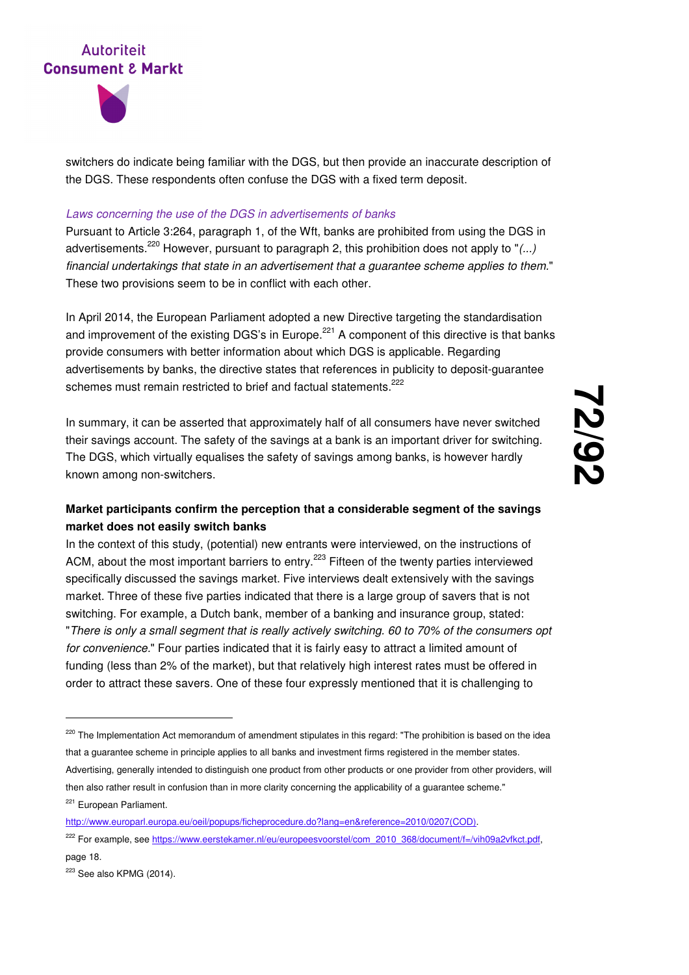



switchers do indicate being familiar with the DGS, but then provide an inaccurate description of the DGS. These respondents often confuse the DGS with a fixed term deposit.

#### Laws concerning the use of the DGS in advertisements of banks

Pursuant to Article 3:264, paragraph 1, of the Wft, banks are prohibited from using the DGS in advertisements.<sup>220</sup> However, pursuant to paragraph 2, this prohibition does not apply to " $(...)$ financial undertakings that state in an advertisement that a guarantee scheme applies to them." These two provisions seem to be in conflict with each other.

In April 2014, the European Parliament adopted a new Directive targeting the standardisation and improvement of the existing DGS's in Europe.<sup>221</sup> A component of this directive is that banks provide consumers with better information about which DGS is applicable. Regarding advertisements by banks, the directive states that references in publicity to deposit-guarantee schemes must remain restricted to brief and factual statements.<sup>222</sup>

In summary, it can be asserted that approximately half of all consumers have never switched their savings account. The safety of the savings at a bank is an important driver for switching. The DGS, which virtually equalises the safety of savings among banks, is however hardly known among non-switchers.

## **Market participants confirm the perception that a considerable segment of the savings market does not easily switch banks**

In the context of this study, (potential) new entrants were interviewed, on the instructions of ACM, about the most important barriers to entry.<sup>223</sup> Fifteen of the twenty parties interviewed specifically discussed the savings market. Five interviews dealt extensively with the savings market. Three of these five parties indicated that there is a large group of savers that is not switching. For example, a Dutch bank, member of a banking and insurance group, stated: "There is only a small segment that is really actively switching. 60 to 70% of the consumers opt for convenience." Four parties indicated that it is fairly easy to attract a limited amount of funding (less than 2% of the market), but that relatively high interest rates must be offered in order to attract these savers. One of these four expressly mentioned that it is challenging to

<sup>&</sup>lt;sup>220</sup> The Implementation Act memorandum of amendment stipulates in this regard: "The prohibition is based on the idea that a guarantee scheme in principle applies to all banks and investment firms registered in the member states. Advertising, generally intended to distinguish one product from other products or one provider from other providers, will then also rather result in confusion than in more clarity concerning the applicability of a guarantee scheme." <sup>221</sup> European Parliament.

http://www.europarl.europa.eu/oeil/popups/ficheprocedure.do?lang=en&reference=2010/0207(COD).

<sup>&</sup>lt;sup>222</sup> For example, see https://www.eerstekamer.nl/eu/europeesvoorstel/com\_2010\_368/document/f=/vih09a2vfkct.pdf, page 18.

 $223$  See also KPMG (2014).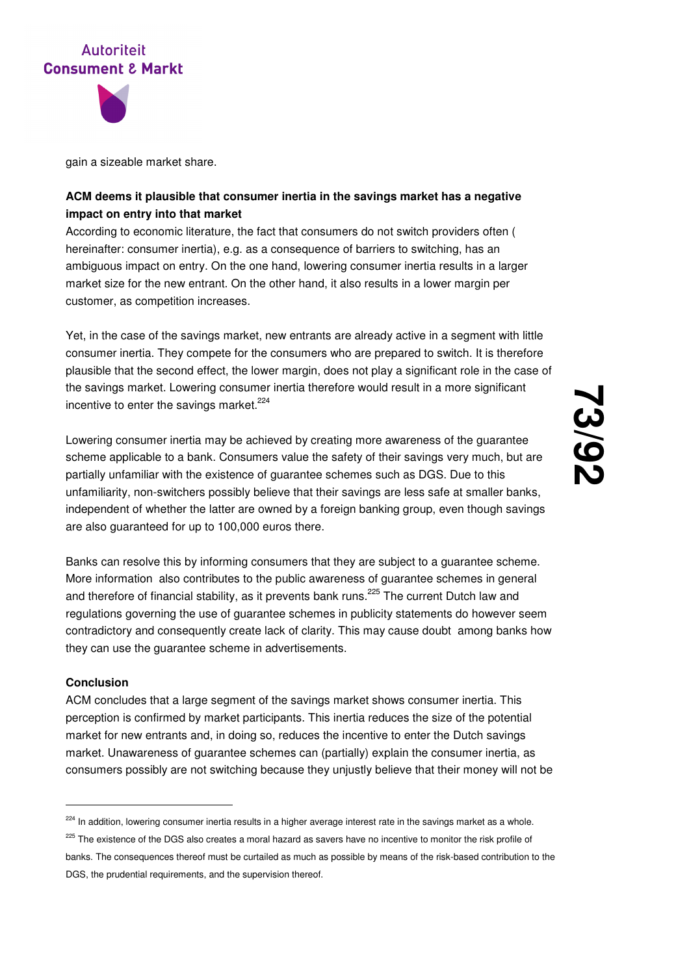



gain a sizeable market share.

## **ACM deems it plausible that consumer inertia in the savings market has a negative impact on entry into that market**

According to economic literature, the fact that consumers do not switch providers often ( hereinafter: consumer inertia), e.g. as a consequence of barriers to switching, has an ambiguous impact on entry. On the one hand, lowering consumer inertia results in a larger market size for the new entrant. On the other hand, it also results in a lower margin per customer, as competition increases.

Yet, in the case of the savings market, new entrants are already active in a segment with little consumer inertia. They compete for the consumers who are prepared to switch. It is therefore plausible that the second effect, the lower margin, does not play a significant role in the case of the savings market. Lowering consumer inertia therefore would result in a more significant incentive to enter the savings market. $224$ 

Lowering consumer inertia may be achieved by creating more awareness of the guarantee scheme applicable to a bank. Consumers value the safety of their savings very much, but are partially unfamiliar with the existence of guarantee schemes such as DGS. Due to this unfamiliarity, non-switchers possibly believe that their savings are less safe at smaller banks, independent of whether the latter are owned by a foreign banking group, even though savings are also guaranteed for up to 100,000 euros there.

Banks can resolve this by informing consumers that they are subject to a guarantee scheme. More information also contributes to the public awareness of guarantee schemes in general and therefore of financial stability, as it prevents bank runs.<sup>225</sup> The current Dutch law and regulations governing the use of guarantee schemes in publicity statements do however seem contradictory and consequently create lack of clarity. This may cause doubt among banks how they can use the guarantee scheme in advertisements.

#### **Conclusion**

-

ACM concludes that a large segment of the savings market shows consumer inertia. This perception is confirmed by market participants. This inertia reduces the size of the potential market for new entrants and, in doing so, reduces the incentive to enter the Dutch savings market. Unawareness of guarantee schemes can (partially) explain the consumer inertia, as consumers possibly are not switching because they unjustly believe that their money will not be

<sup>&</sup>lt;sup>224</sup> In addition, lowering consumer inertia results in a higher average interest rate in the savings market as a whole.

<sup>&</sup>lt;sup>225</sup> The existence of the DGS also creates a moral hazard as savers have no incentive to monitor the risk profile of banks. The consequences thereof must be curtailed as much as possible by means of the risk-based contribution to the DGS, the prudential requirements, and the supervision thereof.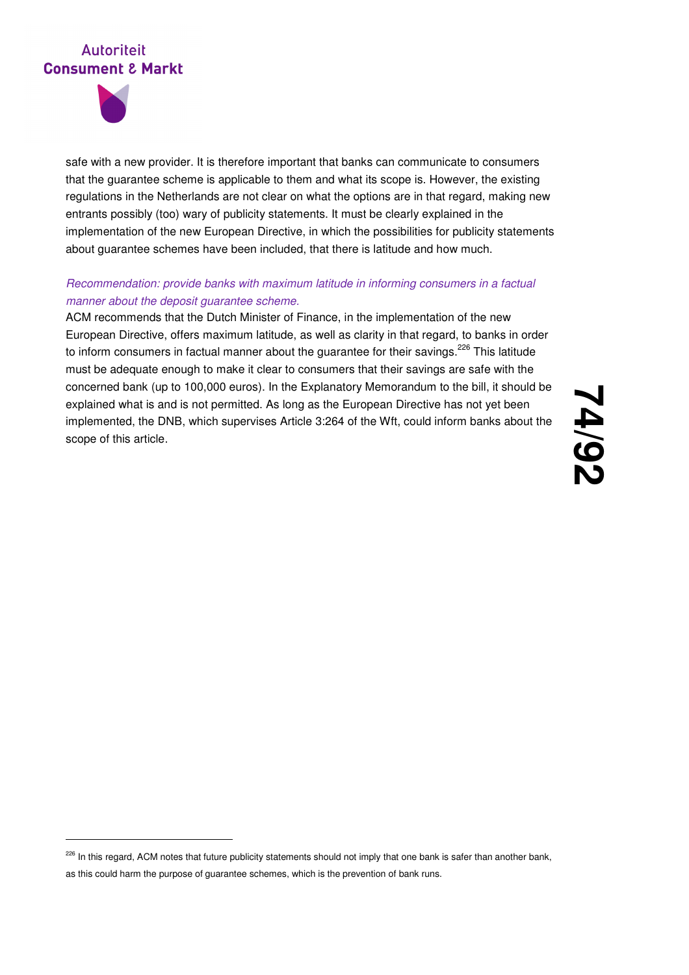

-

safe with a new provider. It is therefore important that banks can communicate to consumers that the guarantee scheme is applicable to them and what its scope is. However, the existing regulations in the Netherlands are not clear on what the options are in that regard, making new entrants possibly (too) wary of publicity statements. It must be clearly explained in the implementation of the new European Directive, in which the possibilities for publicity statements about guarantee schemes have been included, that there is latitude and how much.

## Recommendation: provide banks with maximum latitude in informing consumers in a factual manner about the deposit guarantee scheme.

ACM recommends that the Dutch Minister of Finance, in the implementation of the new European Directive, offers maximum latitude, as well as clarity in that regard, to banks in order to inform consumers in factual manner about the guarantee for their savings.<sup>226</sup> This latitude must be adequate enough to make it clear to consumers that their savings are safe with the concerned bank (up to 100,000 euros). In the Explanatory Memorandum to the bill, it should be explained what is and is not permitted. As long as the European Directive has not yet been implemented, the DNB, which supervises Article 3:264 of the Wft, could inform banks about the scope of this article.

<sup>&</sup>lt;sup>226</sup> In this regard, ACM notes that future publicity statements should not imply that one bank is safer than another bank, as this could harm the purpose of guarantee schemes, which is the prevention of bank runs.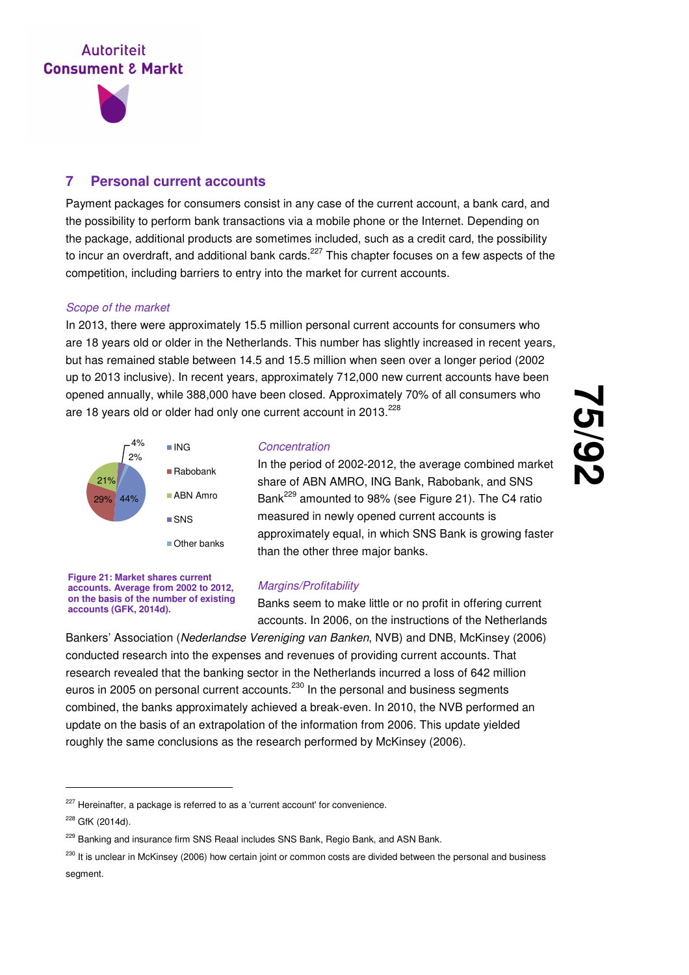

## **7 Personal current accounts**

Payment packages for consumers consist in any case of the current account, a bank card, and the possibility to perform bank transactions via a mobile phone or the Internet. Depending on the package, additional products are sometimes included, such as a credit card, the possibility to incur an overdraft, and additional bank cards.<sup>227</sup> This chapter focuses on a few aspects of the competition, including barriers to entry into the market for current accounts.

#### Scope of the market

In 2013, there were approximately 15.5 million personal current accounts for consumers who are 18 years old or older in the Netherlands. This number has slightly increased in recent years, but has remained stable between 14.5 and 15.5 million when seen over a longer period (2002 up to 2013 inclusive). In recent years, approximately 712,000 new current accounts have been opened annually, while 388,000 have been closed. Approximately 70% of all consumers who are 18 years old or older had only one current account in  $2013.<sup>228</sup>$ 



#### **Concentration**

In the period of 2002-2012, the average combined market share of ABN AMRO, ING Bank, Rabobank, and SNS Bank<sup>229</sup> amounted to 98% (see Figure 21). The C4 ratio measured in newly opened current accounts is approximately equal, in which SNS Bank is growing faster than the other three major banks.

**75**

**/92**

**Figure 21: Market shares current accounts. Average from 2002 to 2012, on the basis of the number of existing accounts (GFK, 2014d).**

#### Margins/Profitability

Banks seem to make little or no profit in offering current accounts. In 2006, on the instructions of the Netherlands

Bankers' Association (Nederlandse Vereniging van Banken, NVB) and DNB, McKinsey (2006) conducted research into the expenses and revenues of providing current accounts. That research revealed that the banking sector in the Netherlands incurred a loss of 642 million euros in 2005 on personal current accounts.<sup>230</sup> In the personal and business segments combined, the banks approximately achieved a break-even. In 2010, the NVB performed an update on the basis of an extrapolation of the information from 2006. This update yielded roughly the same conclusions as the research performed by McKinsey (2006).

<sup>&</sup>lt;sup>227</sup> Hereinafter, a package is referred to as a 'current account' for convenience.

<sup>228</sup> GfK (2014d).

<sup>&</sup>lt;sup>229</sup> Banking and insurance firm SNS Reaal includes SNS Bank, Regio Bank, and ASN Bank.

 $230$  It is unclear in McKinsey (2006) how certain joint or common costs are divided between the personal and business segment.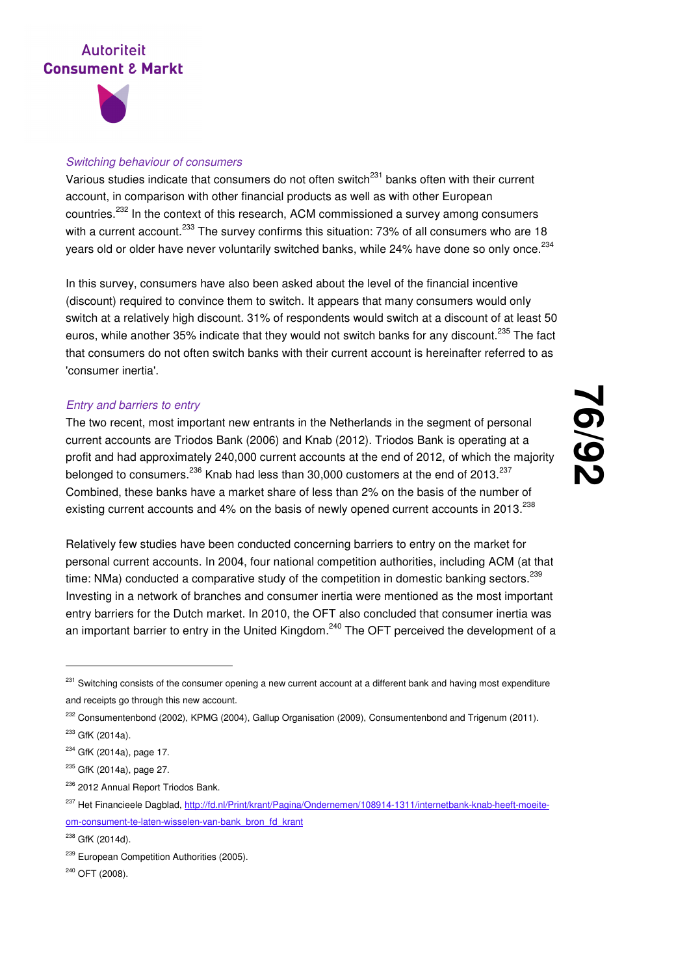

#### Switching behaviour of consumers

Various studies indicate that consumers do not often switch<sup>231</sup> banks often with their current account, in comparison with other financial products as well as with other European countries.<sup>232</sup> In the context of this research, ACM commissioned a survey among consumers with a current account.<sup>233</sup> The survey confirms this situation: 73% of all consumers who are 18 years old or older have never voluntarily switched banks, while 24% have done so only once. $^{234}$ 

In this survey, consumers have also been asked about the level of the financial incentive (discount) required to convince them to switch. It appears that many consumers would only switch at a relatively high discount. 31% of respondents would switch at a discount of at least 50 euros, while another 35% indicate that they would not switch banks for any discount.<sup>235</sup> The fact that consumers do not often switch banks with their current account is hereinafter referred to as 'consumer inertia'.

#### Entry and barriers to entry

The two recent, most important new entrants in the Netherlands in the segment of personal current accounts are Triodos Bank (2006) and Knab (2012). Triodos Bank is operating at a profit and had approximately 240,000 current accounts at the end of 2012, of which the majority belonged to consumers.<sup>236</sup> Knab had less than 30,000 customers at the end of 2013.<sup>237</sup> Combined, these banks have a market share of less than 2% on the basis of the number of existing current accounts and 4% on the basis of newly opened current accounts in 2013. $^{238}$ 

**76 /92**

Relatively few studies have been conducted concerning barriers to entry on the market for personal current accounts. In 2004, four national competition authorities, including ACM (at that time: NMa) conducted a comparative study of the competition in domestic banking sectors.<sup>239</sup> Investing in a network of branches and consumer inertia were mentioned as the most important entry barriers for the Dutch market. In 2010, the OFT also concluded that consumer inertia was an important barrier to entry in the United Kingdom.<sup>240</sup> The OFT perceived the development of a

-

<sup>236</sup> 2012 Annual Report Triodos Bank.

<sup>240</sup> OFT (2008).

<sup>&</sup>lt;sup>231</sup> Switching consists of the consumer opening a new current account at a different bank and having most expenditure and receipts go through this new account.

<sup>&</sup>lt;sup>232</sup> Consumentenbond (2002), KPMG (2004), Gallup Organisation (2009), Consumentenbond and Trigenum (2011).

<sup>&</sup>lt;sup>233</sup> GfK (2014a).

<sup>&</sup>lt;sup>234</sup> GfK (2014a), page 17.

<sup>&</sup>lt;sup>235</sup> GfK (2014a), page 27.

<sup>&</sup>lt;sup>237</sup> Het Financieele Dagblad, http://fd.nl/Print/krant/Pagina/Ondernemen/108914-1311/internetbank-knab-heeft-moeiteom-consument-te-laten-wisselen-van-bank\_bron\_fd\_krant

<sup>&</sup>lt;sup>238</sup> GfK (2014d).

<sup>&</sup>lt;sup>239</sup> European Competition Authorities (2005).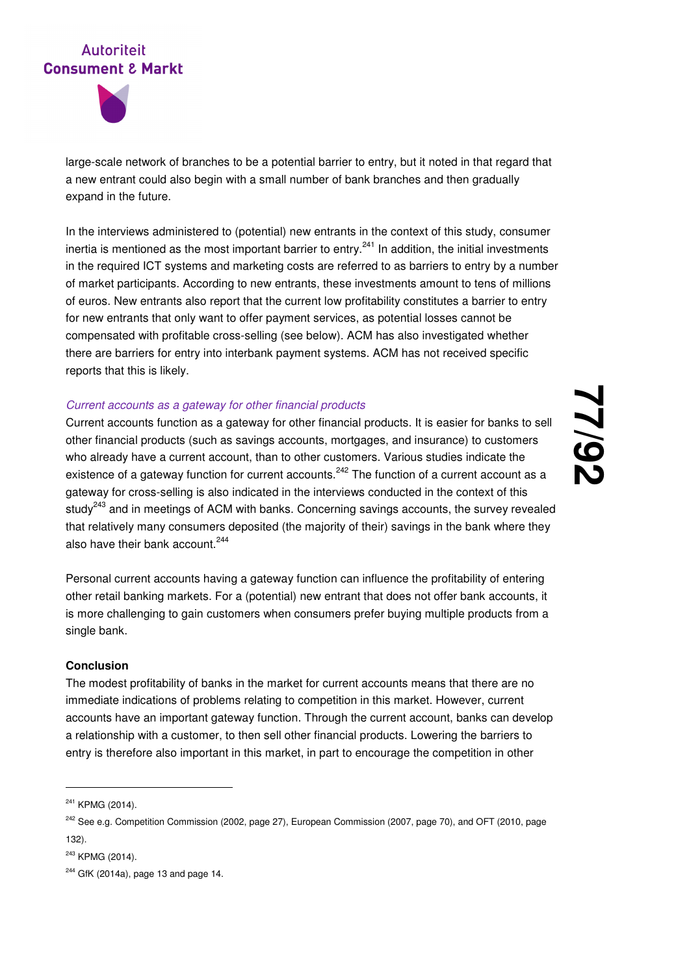



large-scale network of branches to be a potential barrier to entry, but it noted in that regard that a new entrant could also begin with a small number of bank branches and then gradually expand in the future.

In the interviews administered to (potential) new entrants in the context of this study, consumer inertia is mentioned as the most important barrier to entry.<sup>241</sup> In addition, the initial investments in the required ICT systems and marketing costs are referred to as barriers to entry by a number of market participants. According to new entrants, these investments amount to tens of millions of euros. New entrants also report that the current low profitability constitutes a barrier to entry for new entrants that only want to offer payment services, as potential losses cannot be compensated with profitable cross-selling (see below). ACM has also investigated whether there are barriers for entry into interbank payment systems. ACM has not received specific reports that this is likely.

#### Current accounts as a gateway for other financial products

Current accounts function as a gateway for other financial products. It is easier for banks to sell other financial products (such as savings accounts, mortgages, and insurance) to customers who already have a current account, than to other customers. Various studies indicate the existence of a gateway function for current accounts.<sup>242</sup> The function of a current account as a gateway for cross-selling is also indicated in the interviews conducted in the context of this study $^{243}$  and in meetings of ACM with banks. Concerning savings accounts, the survey revealed that relatively many consumers deposited (the majority of their) savings in the bank where they also have their bank account.<sup>244</sup>

Personal current accounts having a gateway function can influence the profitability of entering other retail banking markets. For a (potential) new entrant that does not offer bank accounts, it is more challenging to gain customers when consumers prefer buying multiple products from a single bank.

#### **Conclusion**

The modest profitability of banks in the market for current accounts means that there are no immediate indications of problems relating to competition in this market. However, current accounts have an important gateway function. Through the current account, banks can develop a relationship with a customer, to then sell other financial products. Lowering the barriers to entry is therefore also important in this market, in part to encourage the competition in other

-

<sup>&</sup>lt;sup>241</sup> KPMG (2014).

<sup>&</sup>lt;sup>242</sup> See e.g. Competition Commission (2002, page 27), European Commission (2007, page 70), and OFT (2010, page 132).

<sup>243</sup> KPMG (2014).

 $244$  GfK (2014a), page 13 and page 14.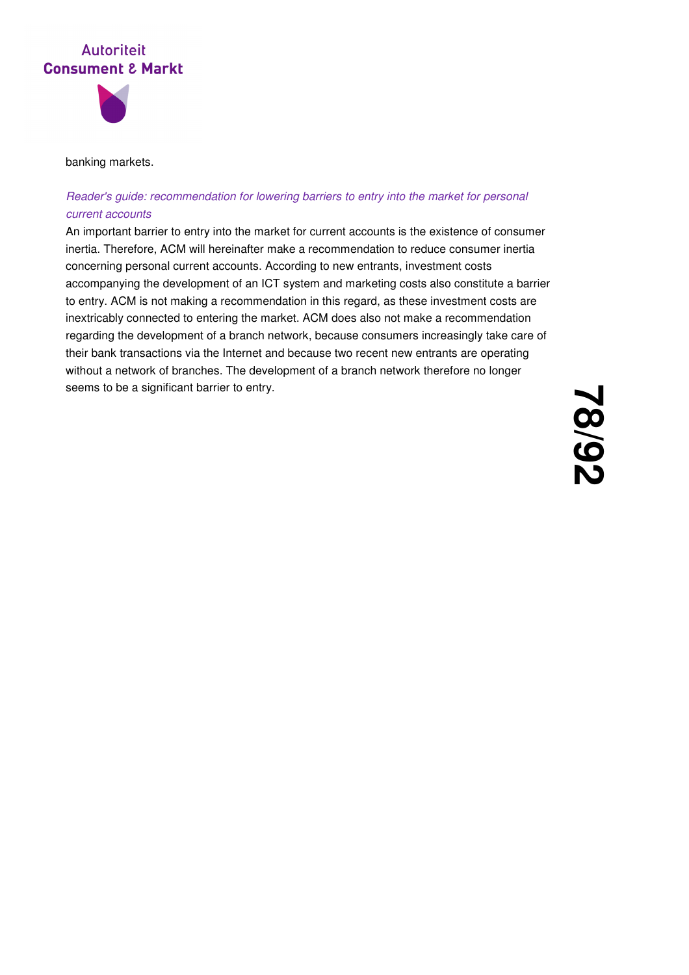

#### banking markets.

## Reader's guide: recommendation for lowering barriers to entry into the market for personal current accounts

An important barrier to entry into the market for current accounts is the existence of consumer inertia. Therefore, ACM will hereinafter make a recommendation to reduce consumer inertia concerning personal current accounts. According to new entrants, investment costs accompanying the development of an ICT system and marketing costs also constitute a barrier to entry. ACM is not making a recommendation in this regard, as these investment costs are inextricably connected to entering the market. ACM does also not make a recommendation regarding the development of a branch network, because consumers increasingly take care of their bank transactions via the Internet and because two recent new entrants are operating without a network of branches. The development of a branch network therefore no longer seems to be a significant barrier to entry.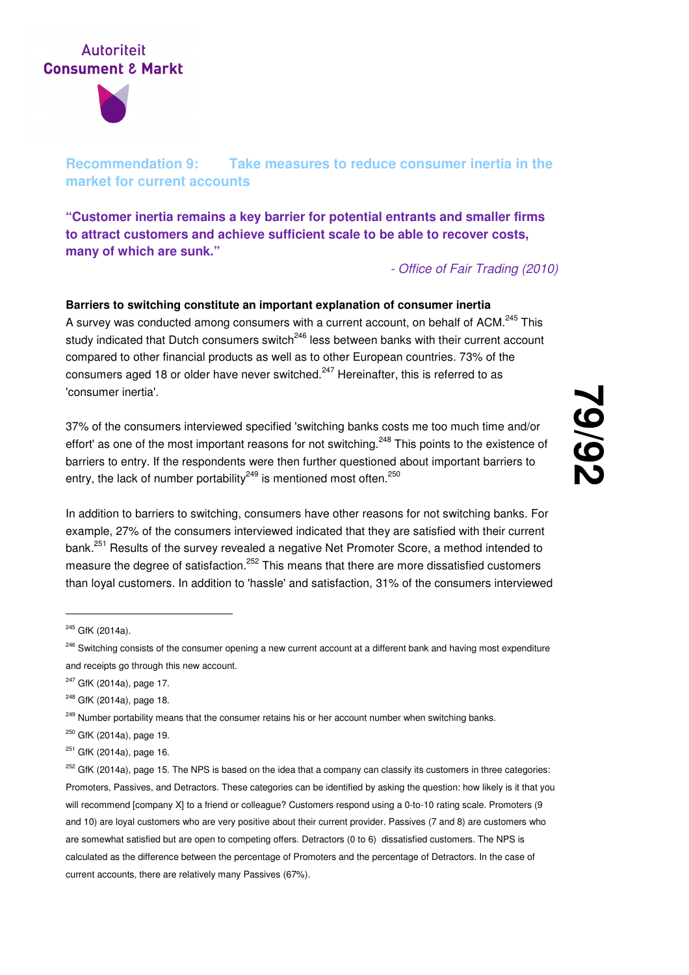

## **Recommendation 9: Take measures to reduce consumer inertia in the market for current accounts**

**"Customer inertia remains a key barrier for potential entrants and smaller firms to attract customers and achieve sufficient scale to be able to recover costs, many of which are sunk."**

- Office of Fair Trading (2010)

## **Barriers to switching constitute an important explanation of consumer inertia**  A survey was conducted among consumers with a current account, on behalf of ACM.<sup>245</sup> This study indicated that Dutch consumers switch<sup>246</sup> less between banks with their current account compared to other financial products as well as to other European countries. 73% of the consumers aged 18 or older have never switched.<sup>247</sup> Hereinafter, this is referred to as 'consumer inertia'.

37% of the consumers interviewed specified 'switching banks costs me too much time and/or effort' as one of the most important reasons for not switching.<sup>248</sup> This points to the existence of barriers to entry. If the respondents were then further questioned about important barriers to entry, the lack of number portability<sup>249</sup> is mentioned most often.<sup>250</sup>

In addition to barriers to switching, consumers have other reasons for not switching banks. For example, 27% of the consumers interviewed indicated that they are satisfied with their current bank.<sup>251</sup> Results of the survey revealed a negative Net Promoter Score, a method intended to measure the degree of satisfaction.<sup>252</sup> This means that there are more dissatisfied customers than loyal customers. In addition to 'hassle' and satisfaction, 31% of the consumers interviewed

<sup>245</sup> GfK (2014a).

<sup>&</sup>lt;sup>246</sup> Switching consists of the consumer opening a new current account at a different bank and having most expenditure and receipts go through this new account.

<sup>&</sup>lt;sup>247</sup> GfK (2014a), page 17.

<sup>&</sup>lt;sup>248</sup> GfK (2014a), page 18.

<sup>&</sup>lt;sup>249</sup> Number portability means that the consumer retains his or her account number when switching banks.

<sup>&</sup>lt;sup>250</sup> GfK (2014a), page 19.

<sup>&</sup>lt;sup>251</sup> GfK (2014a), page 16.

 $252$  GfK (2014a), page 15. The NPS is based on the idea that a company can classify its customers in three categories: Promoters, Passives, and Detractors. These categories can be identified by asking the question: how likely is it that you will recommend [company X] to a friend or colleague? Customers respond using a 0-to-10 rating scale. Promoters (9 and 10) are loyal customers who are very positive about their current provider. Passives (7 and 8) are customers who are somewhat satisfied but are open to competing offers. Detractors (0 to 6) dissatisfied customers. The NPS is calculated as the difference between the percentage of Promoters and the percentage of Detractors. In the case of current accounts, there are relatively many Passives (67%).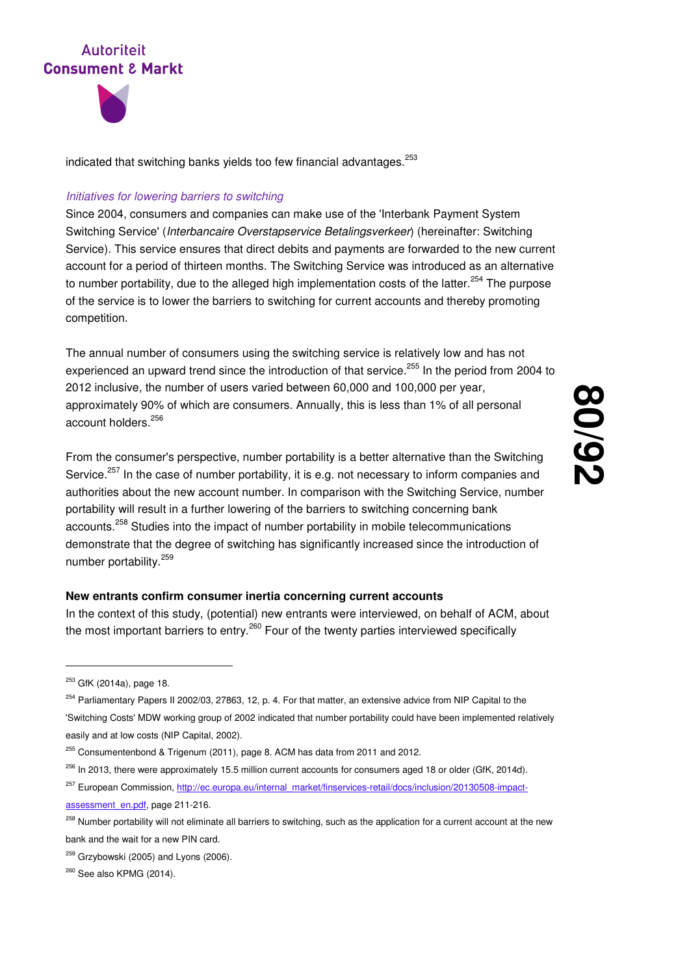

indicated that switching banks vields too few financial advantages.  $253$ 

#### Initiatives for lowering barriers to switching

Since 2004, consumers and companies can make use of the 'Interbank Payment System Switching Service' (Interbancaire Overstapservice Betalingsverkeer) (hereinafter: Switching Service). This service ensures that direct debits and payments are forwarded to the new current account for a period of thirteen months. The Switching Service was introduced as an alternative to number portability, due to the alleged high implementation costs of the latter.<sup>254</sup> The purpose of the service is to lower the barriers to switching for current accounts and thereby promoting competition.

The annual number of consumers using the switching service is relatively low and has not experienced an upward trend since the introduction of that service.<sup>255</sup> In the period from 2004 to 2012 inclusive, the number of users varied between 60,000 and 100,000 per year, approximately 90% of which are consumers. Annually, this is less than 1% of all personal account holders.<sup>256</sup>

From the consumer's perspective, number portability is a better alternative than the Switching Service.<sup>257</sup> In the case of number portability, it is e.g. not necessary to inform companies and authorities about the new account number. In comparison with the Switching Service, number portability will result in a further lowering of the barriers to switching concerning bank accounts.<sup>258</sup> Studies into the impact of number portability in mobile telecommunications demonstrate that the degree of switching has significantly increased since the introduction of number portability.<sup>259</sup>

#### **New entrants confirm consumer inertia concerning current accounts**

In the context of this study, (potential) new entrants were interviewed, on behalf of ACM, about the most important barriers to entry.<sup>260</sup> Four of the twenty parties interviewed specifically

- <sup>256</sup> In 2013, there were approximately 15.5 million current accounts for consumers aged 18 or older (GfK, 2014d).
- <sup>257</sup> European Commission, http://ec.europa.eu/internal\_market/finservices-retail/docs/inclusion/20130508-impactassessment\_en.pdf, page 211-216.
- <sup>258</sup> Number portability will not eliminate all barriers to switching, such as the application for a current account at the new bank and the wait for a new PIN card.

<sup>&</sup>lt;sup>253</sup> GfK (2014a), page 18.

<sup>&</sup>lt;sup>254</sup> Parliamentary Papers II 2002/03, 27863, 12, p. 4. For that matter, an extensive advice from NIP Capital to the 'Switching Costs' MDW working group of 2002 indicated that number portability could have been implemented relatively easily and at low costs (NIP Capital, 2002).

<sup>&</sup>lt;sup>255</sup> Consumentenbond & Trigenum (2011), page 8. ACM has data from 2011 and 2012.

 $259$  Grzybowski (2005) and Lyons (2006).

<sup>&</sup>lt;sup>260</sup> See also KPMG (2014).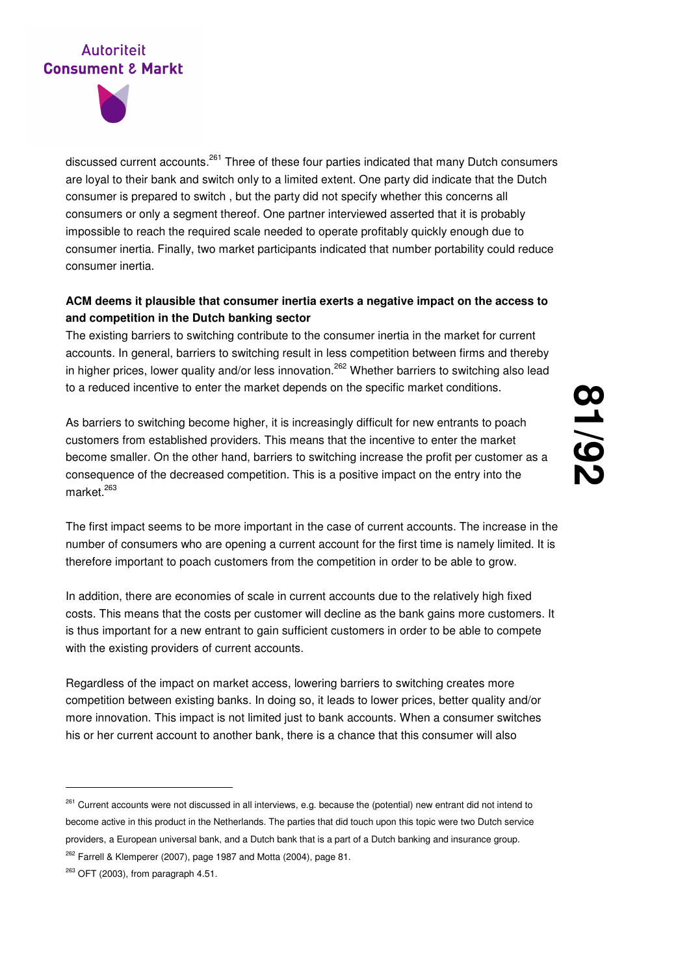

discussed current accounts.<sup>261</sup> Three of these four parties indicated that many Dutch consumers are loyal to their bank and switch only to a limited extent. One party did indicate that the Dutch consumer is prepared to switch , but the party did not specify whether this concerns all consumers or only a segment thereof. One partner interviewed asserted that it is probably impossible to reach the required scale needed to operate profitably quickly enough due to consumer inertia. Finally, two market participants indicated that number portability could reduce consumer inertia.

## **ACM deems it plausible that consumer inertia exerts a negative impact on the access to and competition in the Dutch banking sector**

The existing barriers to switching contribute to the consumer inertia in the market for current accounts. In general, barriers to switching result in less competition between firms and thereby in higher prices, lower quality and/or less innovation.<sup>262</sup> Whether barriers to switching also lead to a reduced incentive to enter the market depends on the specific market conditions.

As barriers to switching become higher, it is increasingly difficult for new entrants to poach customers from established providers. This means that the incentive to enter the market become smaller. On the other hand, barriers to switching increase the profit per customer as a consequence of the decreased competition. This is a positive impact on the entry into the market $^{263}$ 

The first impact seems to be more important in the case of current accounts. The increase in the number of consumers who are opening a current account for the first time is namely limited. It is therefore important to poach customers from the competition in order to be able to grow.

In addition, there are economies of scale in current accounts due to the relatively high fixed costs. This means that the costs per customer will decline as the bank gains more customers. It is thus important for a new entrant to gain sufficient customers in order to be able to compete with the existing providers of current accounts.

Regardless of the impact on market access, lowering barriers to switching creates more competition between existing banks. In doing so, it leads to lower prices, better quality and/or more innovation. This impact is not limited just to bank accounts. When a consumer switches his or her current account to another bank, there is a chance that this consumer will also

<sup>&</sup>lt;sup>261</sup> Current accounts were not discussed in all interviews, e.g. because the (potential) new entrant did not intend to become active in this product in the Netherlands. The parties that did touch upon this topic were two Dutch service providers, a European universal bank, and a Dutch bank that is a part of a Dutch banking and insurance group.

<sup>&</sup>lt;sup>262</sup> Farrell & Klemperer (2007), page 1987 and Motta (2004), page 81.

 $263$  OFT (2003), from paragraph 4.51.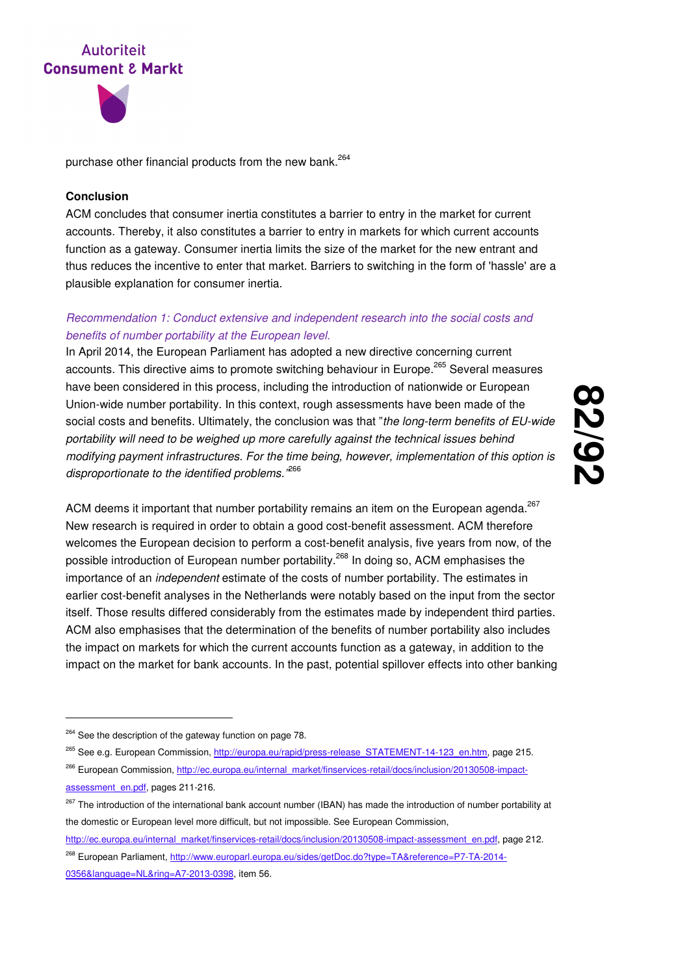



purchase other financial products from the new bank.<sup>264</sup>

#### **Conclusion**

ACM concludes that consumer inertia constitutes a barrier to entry in the market for current accounts. Thereby, it also constitutes a barrier to entry in markets for which current accounts function as a gateway. Consumer inertia limits the size of the market for the new entrant and thus reduces the incentive to enter that market. Barriers to switching in the form of 'hassle' are a plausible explanation for consumer inertia.

### Recommendation 1: Conduct extensive and independent research into the social costs and benefits of number portability at the European level.

In April 2014, the European Parliament has adopted a new directive concerning current accounts. This directive aims to promote switching behaviour in Europe.<sup>265</sup> Several measures have been considered in this process, including the introduction of nationwide or European Union-wide number portability. In this context, rough assessments have been made of the social costs and benefits. Ultimately, the conclusion was that "the long-term benefits of EU-wide portability will need to be weighed up more carefully against the technical issues behind modifying payment infrastructures. For the time being, however, implementation of this option is disproportionate to the identified problems.<sup>,266</sup>

**82 /92**

ACM deems it important that number portability remains an item on the European agenda. $^{267}$ New research is required in order to obtain a good cost-benefit assessment. ACM therefore welcomes the European decision to perform a cost-benefit analysis, five years from now, of the possible introduction of European number portability.<sup>268</sup> In doing so, ACM emphasises the importance of an independent estimate of the costs of number portability. The estimates in earlier cost-benefit analyses in the Netherlands were notably based on the input from the sector itself. Those results differed considerably from the estimates made by independent third parties. ACM also emphasises that the determination of the benefits of number portability also includes the impact on markets for which the current accounts function as a gateway, in addition to the impact on the market for bank accounts. In the past, potential spillover effects into other banking

-

http://ec.europa.eu/internal\_market/finservices-retail/docs/inclusion/20130508-impact-assessment\_en.pdf, page 212.

<sup>&</sup>lt;sup>264</sup> See the description of the gateway function on page 78.

<sup>&</sup>lt;sup>265</sup> See e.g. European Commission, http://europa.eu/rapid/press-release\_STATEMENT-14-123\_en.htm, page 215.

<sup>&</sup>lt;sup>266</sup> European Commission, http://ec.europa.eu/internal\_market/finservices-retail/docs/inclusion/20130508-impactassessment\_en.pdf, pages 211-216.

<sup>&</sup>lt;sup>267</sup> The introduction of the international bank account number (IBAN) has made the introduction of number portability at the domestic or European level more difficult, but not impossible. See European Commission,

<sup>268</sup> European Parliament, http://www.europarl.europa.eu/sides/getDoc.do?type=TA&reference=P7-TA-2014- 0356&language=NL&ring=A7-2013-0398, item 56.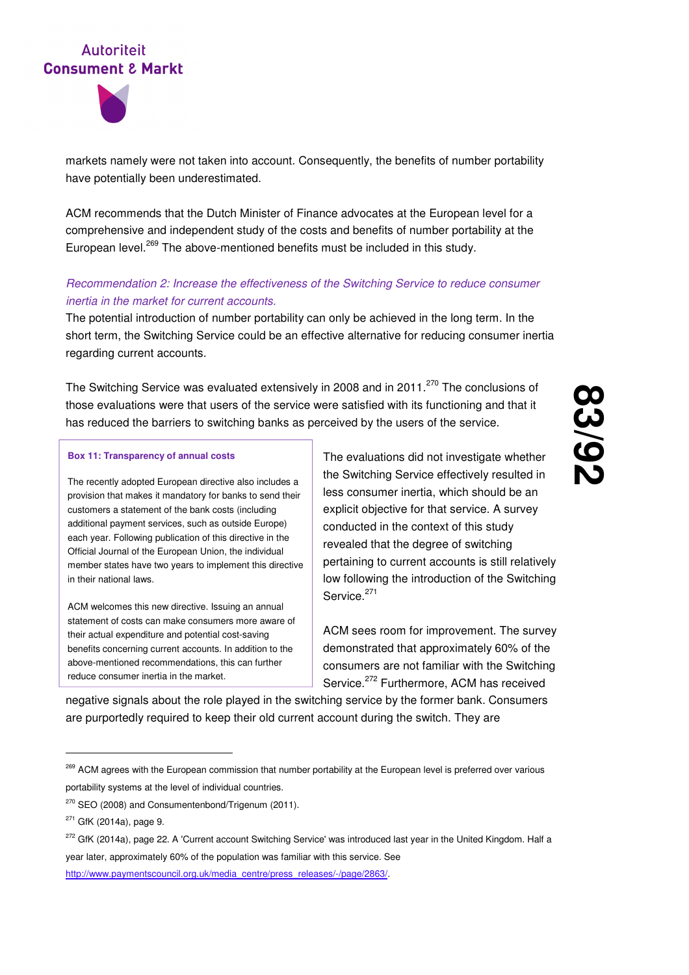

markets namely were not taken into account. Consequently, the benefits of number portability have potentially been underestimated.

ACM recommends that the Dutch Minister of Finance advocates at the European level for a comprehensive and independent study of the costs and benefits of number portability at the European level.<sup>269</sup> The above-mentioned benefits must be included in this study.

### Recommendation 2: Increase the effectiveness of the Switching Service to reduce consumer inertia in the market for current accounts.

The potential introduction of number portability can only be achieved in the long term. In the short term, the Switching Service could be an effective alternative for reducing consumer inertia regarding current accounts.

The Switching Service was evaluated extensively in 2008 and in 2011.<sup>270</sup> The conclusions of those evaluations were that users of the service were satisfied with its functioning and that it has reduced the barriers to switching banks as perceived by the users of the service.

#### **Box 11: Transparency of annual costs**

The recently adopted European directive also includes a provision that makes it mandatory for banks to send their customers a statement of the bank costs (including additional payment services, such as outside Europe) each year. Following publication of this directive in the Official Journal of the European Union, the individual member states have two years to implement this directive in their national laws.

ACM welcomes this new directive. Issuing an annual statement of costs can make consumers more aware of their actual expenditure and potential cost-saving benefits concerning current accounts. In addition to the above-mentioned recommendations, this can further reduce consumer inertia in the market.

The evaluations did not investigate whether the Switching Service effectively resulted in less consumer inertia, which should be an explicit objective for that service. A survey conducted in the context of this study revealed that the degree of switching pertaining to current accounts is still relatively low following the introduction of the Switching Service.<sup>271</sup>

ACM sees room for improvement. The survey demonstrated that approximately 60% of the consumers are not familiar with the Switching Service.<sup>272</sup> Furthermore, ACM has received

negative signals about the role played in the switching service by the former bank. Consumers are purportedly required to keep their old current account during the switch. They are

<sup>&</sup>lt;sup>269</sup> ACM agrees with the European commission that number portability at the European level is preferred over various portability systems at the level of individual countries.

<sup>&</sup>lt;sup>270</sup> SEO (2008) and Consumentenbond/Trigenum (2011).

 $271$  GfK (2014a), page 9.

<sup>&</sup>lt;sup>272</sup> GfK (2014a), page 22. A 'Current account Switching Service' was introduced last year in the United Kingdom. Half a year later, approximately 60% of the population was familiar with this service. See http://www.paymentscouncil.org.uk/media\_centre/press\_releases/-/page/2863/.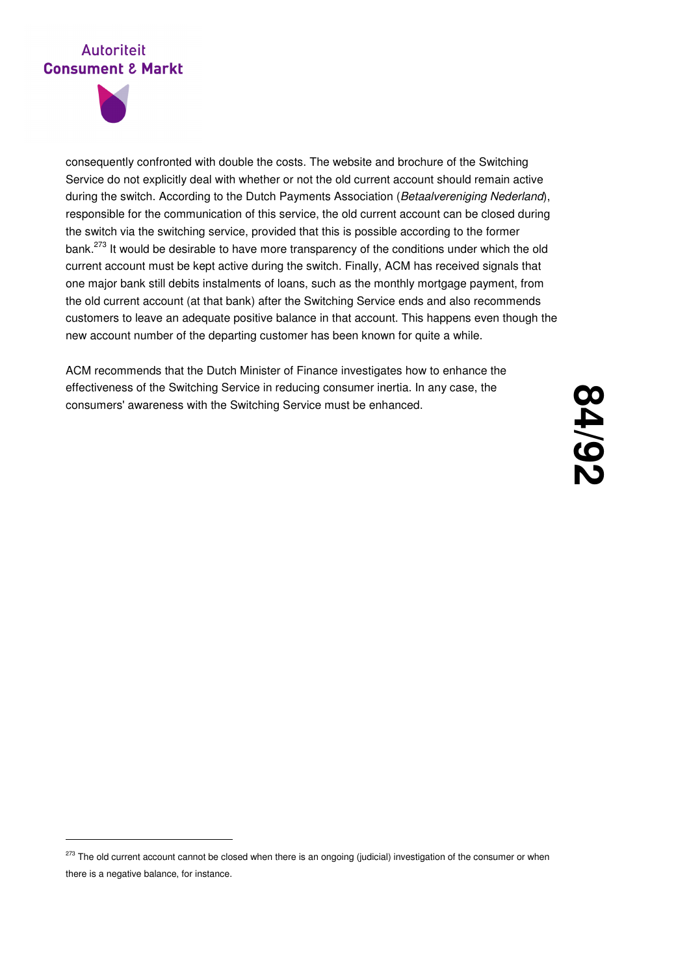

-

consequently confronted with double the costs. The website and brochure of the Switching Service do not explicitly deal with whether or not the old current account should remain active during the switch. According to the Dutch Payments Association (Betaalvereniging Nederland), responsible for the communication of this service, the old current account can be closed during the switch via the switching service, provided that this is possible according to the former bank.<sup>273</sup> It would be desirable to have more transparency of the conditions under which the old current account must be kept active during the switch. Finally, ACM has received signals that one major bank still debits instalments of loans, such as the monthly mortgage payment, from the old current account (at that bank) after the Switching Service ends and also recommends customers to leave an adequate positive balance in that account. This happens even though the new account number of the departing customer has been known for quite a while.

ACM recommends that the Dutch Minister of Finance investigates how to enhance the effectiveness of the Switching Service in reducing consumer inertia. In any case, the consumers' awareness with the Switching Service must be enhanced.

<sup>&</sup>lt;sup>273</sup> The old current account cannot be closed when there is an ongoing (judicial) investigation of the consumer or when there is a negative balance, for instance.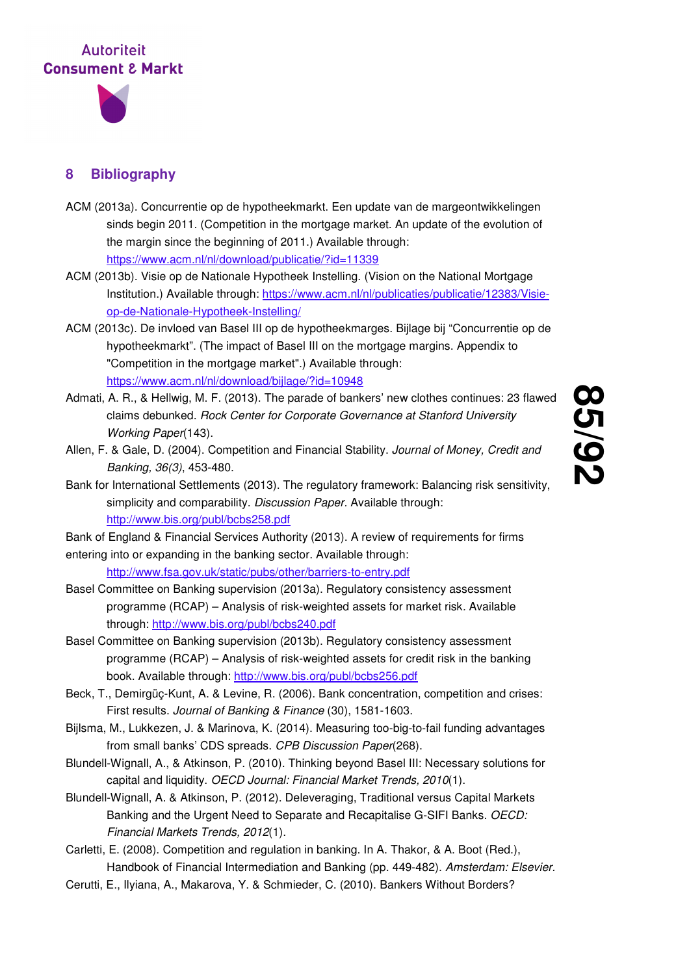

## **8 Bibliography**

- ACM (2013a). Concurrentie op de hypotheekmarkt. Een update van de margeontwikkelingen sinds begin 2011. (Competition in the mortgage market. An update of the evolution of the margin since the beginning of 2011.) Available through: https://www.acm.nl/nl/download/publicatie/?id=11339
- ACM (2013b). Visie op de Nationale Hypotheek Instelling. (Vision on the National Mortgage Institution.) Available through: https://www.acm.nl/nl/publicaties/publicatie/12383/Visieop-de-Nationale-Hypotheek-Instelling/
- ACM (2013c). De invloed van Basel III op de hypotheekmarges. Bijlage bij "Concurrentie op de hypotheekmarkt". (The impact of Basel III on the mortgage margins. Appendix to "Competition in the mortgage market".) Available through: https://www.acm.nl/nl/download/bijlage/?id=10948
- Admati, A. R., & Hellwig, M. F. (2013). The parade of bankers' new clothes continues: 23 flawed claims debunked. Rock Center for Corporate Governance at Stanford University Working Paper(143).
- Allen, F. & Gale, D. (2004). Competition and Financial Stability. Journal of Money, Credit and Banking, 36(3), 453-480.
- Bank for International Settlements (2013). The regulatory framework: Balancing risk sensitivity, simplicity and comparability. Discussion Paper. Available through: http://www.bis.org/publ/bcbs258.pdf
- Bank of England & Financial Services Authority (2013). A review of requirements for firms entering into or expanding in the banking sector. Available through:
	- http://www.fsa.gov.uk/static/pubs/other/barriers-to-entry.pdf
- Basel Committee on Banking supervision (2013a). Regulatory consistency assessment programme (RCAP) – Analysis of risk-weighted assets for market risk. Available through: http://www.bis.org/publ/bcbs240.pdf
- Basel Committee on Banking supervision (2013b). Regulatory consistency assessment programme (RCAP) – Analysis of risk-weighted assets for credit risk in the banking book. Available through: http://www.bis.org/publ/bcbs256.pdf
- Beck, T., Demirgüç-Kunt, A. & Levine, R. (2006). Bank concentration, competition and crises: First results. Journal of Banking & Finance (30), 1581-1603.
- Bijlsma, M., Lukkezen, J. & Marinova, K. (2014). Measuring too-big-to-fail funding advantages from small banks' CDS spreads. CPB Discussion Paper(268).
- Blundell-Wignall, A., & Atkinson, P. (2010). Thinking beyond Basel III: Necessary solutions for capital and liquidity. OECD Journal: Financial Market Trends, 2010(1).
- Blundell-Wignall, A. & Atkinson, P. (2012). Deleveraging, Traditional versus Capital Markets Banking and the Urgent Need to Separate and Recapitalise G-SIFI Banks. OECD: Financial Markets Trends, 2012(1).
- Carletti, E. (2008). Competition and regulation in banking. In A. Thakor, & A. Boot (Red.), Handbook of Financial Intermediation and Banking (pp. 449-482). Amsterdam: Elsevier.
- Cerutti, E., Ilyiana, A., Makarova, Y. & Schmieder, C. (2010). Bankers Without Borders?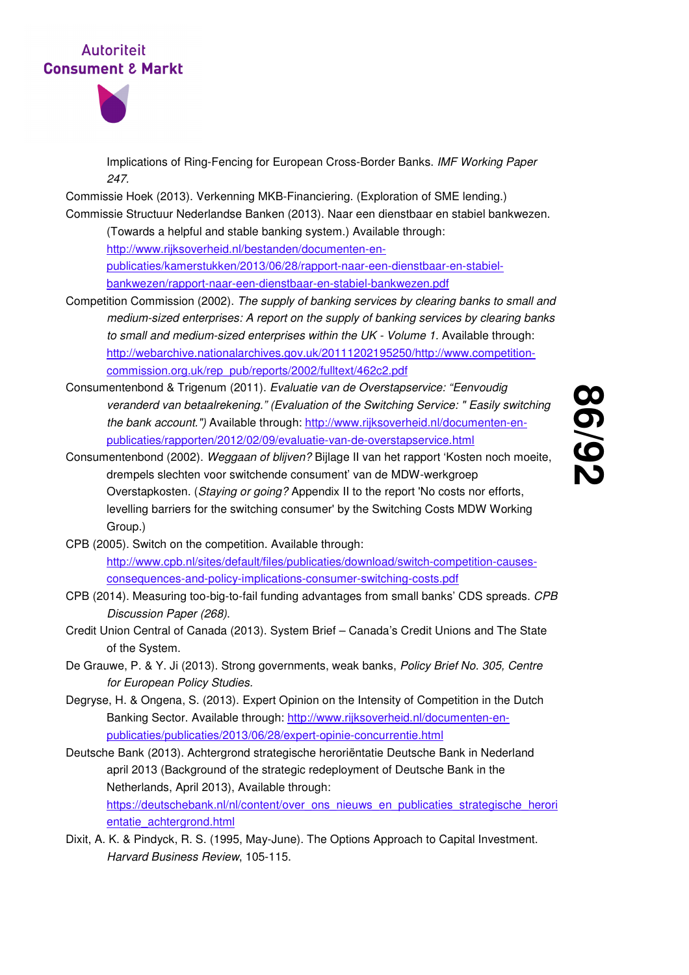

Implications of Ring-Fencing for European Cross-Border Banks. IMF Working Paper 247.

Commissie Hoek (2013). Verkenning MKB-Financiering. (Exploration of SME lending.) Commissie Structuur Nederlandse Banken (2013). Naar een dienstbaar en stabiel bankwezen.

(Towards a helpful and stable banking system.) Available through: http://www.rijksoverheid.nl/bestanden/documenten-enpublicaties/kamerstukken/2013/06/28/rapport-naar-een-dienstbaar-en-stabielbankwezen/rapport-naar-een-dienstbaar-en-stabiel-bankwezen.pdf

- Competition Commission (2002). The supply of banking services by clearing banks to small and medium-sized enterprises: A report on the supply of banking services by clearing banks to small and medium-sized enterprises within the UK - Volume 1. Available through: http://webarchive.nationalarchives.gov.uk/20111202195250/http://www.competitioncommission.org.uk/rep\_pub/reports/2002/fulltext/462c2.pdf
- Consumentenbond & Trigenum (2011). Evaluatie van de Overstapservice: "Eenvoudig veranderd van betaalrekening." (Evaluation of the Switching Service: " Easily switching the bank account.") Available through: http://www.rijksoverheid.nl/documenten-enpublicaties/rapporten/2012/02/09/evaluatie-van-de-overstapservice.html
- Consumentenbond (2002). Weggaan of blijven? Bijlage II van het rapport 'Kosten noch moeite, drempels slechten voor switchende consument' van de MDW-werkgroep Overstapkosten. (Staying or going? Appendix II to the report 'No costs nor efforts, levelling barriers for the switching consumer' by the Switching Costs MDW Working Group.)
- CPB (2005). Switch on the competition. Available through: http://www.cpb.nl/sites/default/files/publicaties/download/switch-competition-causesconsequences-and-policy-implications-consumer-switching-costs.pdf
- CPB (2014). Measuring too-big-to-fail funding advantages from small banks' CDS spreads. CPB Discussion Paper (268).
- Credit Union Central of Canada (2013). System Brief Canada's Credit Unions and The State of the System.
- De Grauwe, P. & Y. Ji (2013). Strong governments, weak banks, Policy Brief No. 305, Centre for European Policy Studies.
- Degryse, H. & Ongena, S. (2013). Expert Opinion on the Intensity of Competition in the Dutch Banking Sector. Available through: http://www.rijksoverheid.nl/documenten-enpublicaties/publicaties/2013/06/28/expert-opinie-concurrentie.html
- Deutsche Bank (2013). Achtergrond strategische heroriëntatie Deutsche Bank in Nederland april 2013 (Background of the strategic redeployment of Deutsche Bank in the Netherlands, April 2013), Available through: https://deutschebank.nl/nl/content/over\_ons\_nieuws\_en\_publicaties\_strategische\_herori entatie\_achtergrond.html
- Dixit, A. K. & Pindyck, R. S. (1995, May-June). The Options Approach to Capital Investment. Harvard Business Review, 105-115.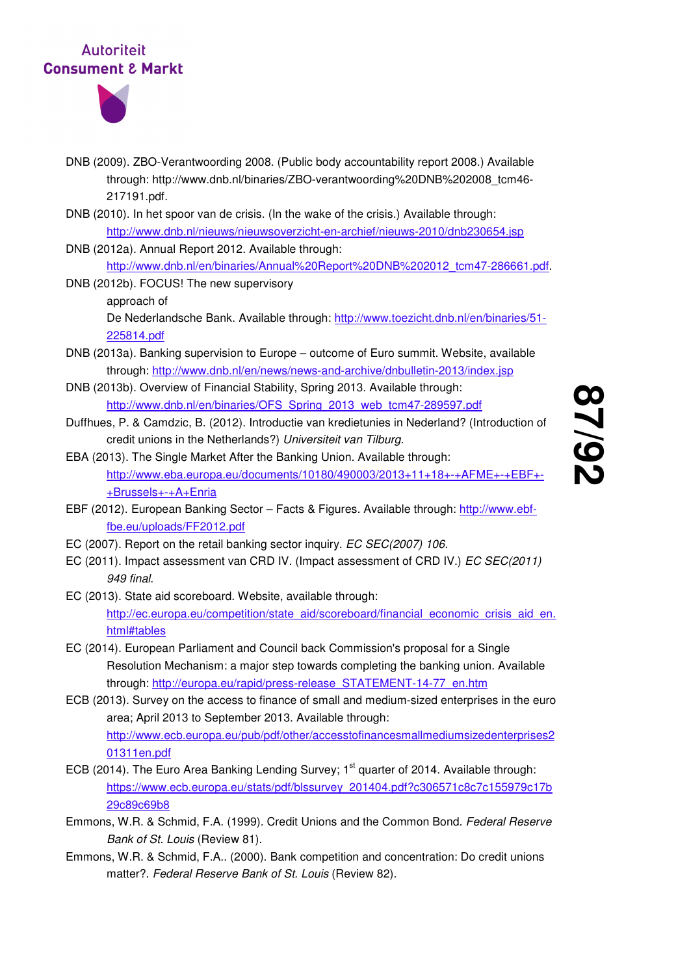

- DNB (2009). ZBO-Verantwoording 2008. (Public body accountability report 2008.) Available through: http://www.dnb.nl/binaries/ZBO-verantwoording%20DNB%202008\_tcm46- 217191.pdf.
- DNB (2010). In het spoor van de crisis. (In the wake of the crisis.) Available through: http://www.dnb.nl/nieuws/nieuwsoverzicht-en-archief/nieuws-2010/dnb230654.jsp
- DNB (2012a). Annual Report 2012. Available through: http://www.dnb.nl/en/binaries/Annual%20Report%20DNB%202012\_tcm47-286661.pdf.
- DNB (2012b). FOCUS! The new supervisory approach of

De Nederlandsche Bank. Available through: http://www.toezicht.dnb.nl/en/binaries/51- 225814.pdf

- DNB (2013a). Banking supervision to Europe outcome of Euro summit. Website, available through: http://www.dnb.nl/en/news/news-and-archive/dnbulletin-2013/index.jsp
- DNB (2013b). Overview of Financial Stability, Spring 2013. Available through: http://www.dnb.nl/en/binaries/OFS\_Spring\_2013\_web\_tcm47-289597.pdf
- Duffhues, P. & Camdzic, B. (2012). Introductie van kredietunies in Nederland? (Introduction of credit unions in the Netherlands?) Universiteit van Tilburg.
- EBA (2013). The Single Market After the Banking Union. Available through: http://www.eba.europa.eu/documents/10180/490003/2013+11+18+-+AFME+-+EBF+- +Brussels+-+A+Enria
- EBF (2012). European Banking Sector Facts & Figures. Available through: http://www.ebffbe.eu/uploads/FF2012.pdf
- EC (2007). Report on the retail banking sector inquiry. EC SEC(2007) 106.
- EC (2011). Impact assessment van CRD IV. (Impact assessment of CRD IV.) EC SEC(2011) 949 final.
- EC (2013). State aid scoreboard. Website, available through: http://ec.europa.eu/competition/state\_aid/scoreboard/financial\_economic\_crisis\_aid\_en. html#tables
- EC (2014). European Parliament and Council back Commission's proposal for a Single Resolution Mechanism: a major step towards completing the banking union. Available through: http://europa.eu/rapid/press-release\_STATEMENT-14-77\_en.htm
- ECB (2013). Survey on the access to finance of small and medium-sized enterprises in the euro area; April 2013 to September 2013. Available through: http://www.ecb.europa.eu/pub/pdf/other/accesstofinancesmallmediumsizedenterprises2 01311en.pdf
- ECB (2014). The Euro Area Banking Lending Survey: 1<sup>st</sup> quarter of 2014. Available through: https://www.ecb.europa.eu/stats/pdf/blssurvey\_201404.pdf?c306571c8c7c155979c17b 29c89c69b8
- Emmons, W.R. & Schmid, F.A. (1999). Credit Unions and the Common Bond. Federal Reserve Bank of St. Louis (Review 81).
- Emmons, W.R. & Schmid, F.A.. (2000). Bank competition and concentration: Do credit unions matter?. Federal Reserve Bank of St. Louis (Review 82).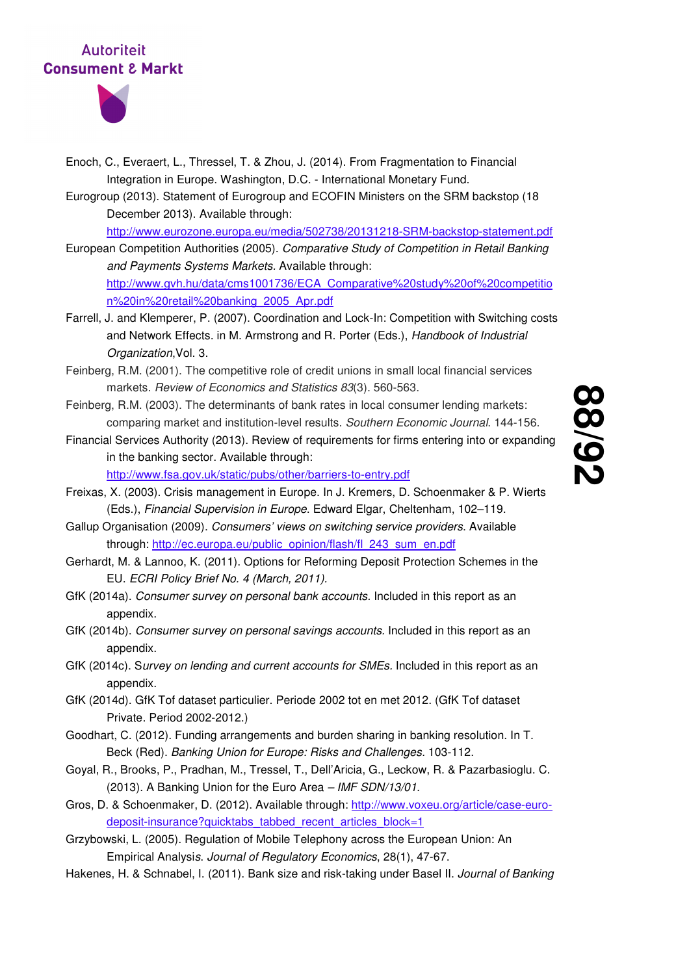

- Enoch, C., Everaert, L., Thressel, T. & Zhou, J. (2014). From Fragmentation to Financial Integration in Europe. Washington, D.C. - International Monetary Fund.
- Eurogroup (2013). Statement of Eurogroup and ECOFIN Ministers on the SRM backstop (18 December 2013). Available through:

http://www.eurozone.europa.eu/media/502738/20131218-SRM-backstop-statement.pdf

- European Competition Authorities (2005). Comparative Study of Competition in Retail Banking and Payments Systems Markets. Available through: http://www.gvh.hu/data/cms1001736/ECA\_Comparative%20study%20of%20competitio n%20in%20retail%20banking\_2005\_Apr.pdf
- Farrell, J. and Klemperer, P. (2007). Coordination and Lock-In: Competition with Switching costs and Network Effects. in M. Armstrong and R. Porter (Eds.), Handbook of Industrial Organization,Vol. 3.
- Feinberg, R.M. (2001). The competitive role of credit unions in small local financial services markets. Review of Economics and Statistics 83(3). 560-563.
- Feinberg, R.M. (2003). The determinants of bank rates in local consumer lending markets: comparing market and institution-level results. Southern Economic Journal. 144-156.
- Financial Services Authority (2013). Review of requirements for firms entering into or expanding in the banking sector. Available through: http://www.fsa.gov.uk/static/pubs/other/barriers-to-entry.pdf
- Freixas, X. (2003). Crisis management in Europe. In J. Kremers, D. Schoenmaker & P. Wierts (Eds.), Financial Supervision in Europe. Edward Elgar, Cheltenham, 102–119.
- Gallup Organisation (2009). Consumers' views on switching service providers. Available through: http://ec.europa.eu/public\_opinion/flash/fl\_243\_sum\_en.pdf
- Gerhardt, M. & Lannoo, K. (2011). Options for Reforming Deposit Protection Schemes in the EU. ECRI Policy Brief No. 4 (March, 2011).
- GfK (2014a). Consumer survey on personal bank accounts. Included in this report as an appendix.
- GfK (2014b). Consumer survey on personal savings accounts. Included in this report as an appendix.
- GfK (2014c). Survey on lending and current accounts for SMEs. Included in this report as an appendix.
- GfK (2014d). GfK Tof dataset particulier. Periode 2002 tot en met 2012. (GfK Tof dataset Private. Period 2002-2012.)
- Goodhart, C. (2012). Funding arrangements and burden sharing in banking resolution. In T. Beck (Red). Banking Union for Europe: Risks and Challenges. 103-112.
- Goyal, R., Brooks, P., Pradhan, M., Tressel, T., Dell'Aricia, G., Leckow, R. & Pazarbasioglu. C. (2013). A Banking Union for the Euro Area – IMF SDN/13/01.
- Gros, D. & Schoenmaker, D. (2012). Available through: http://www.voxeu.org/article/case-eurodeposit-insurance?quicktabs\_tabbed\_recent\_articles\_block=1
- Grzybowski, L. (2005). Regulation of Mobile Telephony across the European Union: An Empirical Analysis. Journal of Regulatory Economics, 28(1), 47-67.
- Hakenes, H. & Schnabel, I. (2011). Bank size and risk-taking under Basel II. Journal of Banking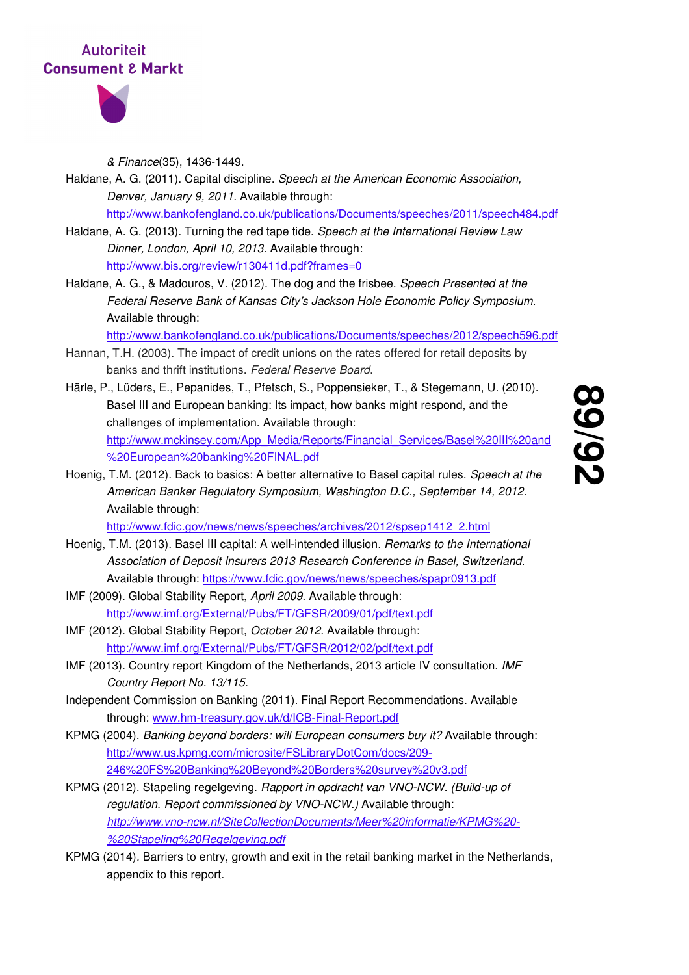



& Finance(35), 1436-1449.

- Haldane, A. G. (2011). Capital discipline. Speech at the American Economic Association, Denver, January 9, 2011. Available through: http://www.bankofengland.co.uk/publications/Documents/speeches/2011/speech484.pdf
- Haldane, A. G. (2013). Turning the red tape tide. Speech at the International Review Law Dinner, London, April 10, 2013. Available through: http://www.bis.org/review/r130411d.pdf?frames=0
- Haldane, A. G., & Madouros, V. (2012). The dog and the frisbee. Speech Presented at the Federal Reserve Bank of Kansas City's Jackson Hole Economic Policy Symposium. Available through:

http://www.bankofengland.co.uk/publications/Documents/speeches/2012/speech596.pdf

- Hannan, T.H. (2003). The impact of credit unions on the rates offered for retail deposits by banks and thrift institutions. Federal Reserve Board.
- Härle, P., Lüders, E., Pepanides, T., Pfetsch, S., Poppensieker, T., & Stegemann, U. (2010). Basel III and European banking: Its impact, how banks might respond, and the challenges of implementation. Available through: http://www.mckinsey.com/App\_Media/Reports/Financial\_Services/Basel%20III%20and %20European%20banking%20FINAL.pdf
- **89 /92**
- Hoenig, T.M. (2012). Back to basics: A better alternative to Basel capital rules. Speech at the American Banker Regulatory Symposium, Washington D.C., September 14, 2012. Available through:

http://www.fdic.gov/news/news/speeches/archives/2012/spsep1412\_2.html

- Hoenig, T.M. (2013). Basel III capital: A well-intended illusion. Remarks to the International Association of Deposit Insurers 2013 Research Conference in Basel, Switzerland. Available through: https://www.fdic.gov/news/news/speeches/spapr0913.pdf
- IMF (2009). Global Stability Report, April 2009. Available through: http://www.imf.org/External/Pubs/FT/GFSR/2009/01/pdf/text.pdf
- IMF (2012). Global Stability Report, October 2012. Available through: http://www.imf.org/External/Pubs/FT/GFSR/2012/02/pdf/text.pdf
- IMF (2013). Country report Kingdom of the Netherlands, 2013 article IV consultation. IMF Country Report No. 13/115.
- Independent Commission on Banking (2011). Final Report Recommendations. Available through: www.hm-treasury.gov.uk/d/ICB-Final-Report.pdf
- KPMG (2004). Banking beyond borders: will European consumers buy it? Available through: http://www.us.kpmg.com/microsite/FSLibraryDotCom/docs/209- 246%20FS%20Banking%20Beyond%20Borders%20survey%20v3.pdf
- KPMG (2012). Stapeling regelgeving. Rapport in opdracht van VNO-NCW. (Build-up of regulation. Report commissioned by VNO-NCW.) Available through: http://www.vno-ncw.nl/SiteCollectionDocuments/Meer%20informatie/KPMG%20- %20Stapeling%20Regelgeving.pdf
- KPMG (2014). Barriers to entry, growth and exit in the retail banking market in the Netherlands, appendix to this report.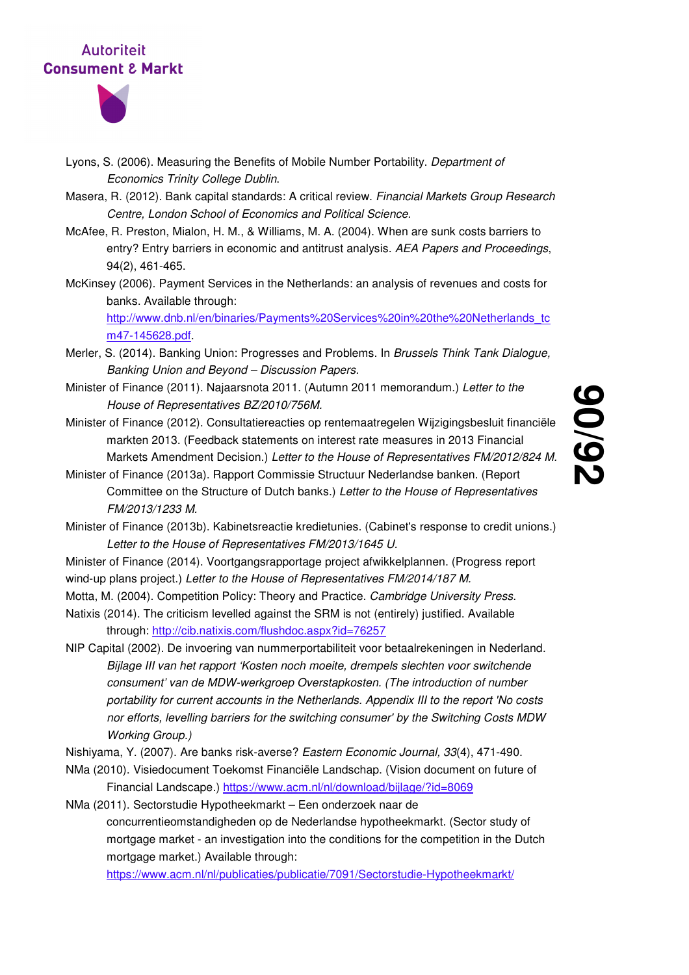

- Lyons, S. (2006). Measuring the Benefits of Mobile Number Portability. Department of Economics Trinity College Dublin.
- Masera, R. (2012). Bank capital standards: A critical review. Financial Markets Group Research Centre, London School of Economics and Political Science.
- McAfee, R. Preston, Mialon, H. M., & Williams, M. A. (2004). When are sunk costs barriers to entry? Entry barriers in economic and antitrust analysis. AEA Papers and Proceedings, 94(2), 461-465.
- McKinsey (2006). Payment Services in the Netherlands: an analysis of revenues and costs for banks. Available through:

http://www.dnb.nl/en/binaries/Payments%20Services%20in%20the%20Netherlands\_tc m47-145628.pdf.

- Merler, S. (2014). Banking Union: Progresses and Problems. In Brussels Think Tank Dialogue, Banking Union and Beyond – Discussion Papers.
- Minister of Finance (2011). Najaarsnota 2011. (Autumn 2011 memorandum.) Letter to the House of Representatives BZ/2010/756M.
- Minister of Finance (2012). Consultatiereacties op rentemaatregelen Wijzigingsbesluit financiële markten 2013. (Feedback statements on interest rate measures in 2013 Financial Markets Amendment Decision.) Letter to the House of Representatives FM/2012/824 M.
- Minister of Finance (2013a). Rapport Commissie Structuur Nederlandse banken. (Report Committee on the Structure of Dutch banks.) Letter to the House of Representatives FM/2013/1233 M.
- Minister of Finance (2013b). Kabinetsreactie kredietunies. (Cabinet's response to credit unions.) Letter to the House of Representatives FM/2013/1645 U.
- Minister of Finance (2014). Voortgangsrapportage project afwikkelplannen. (Progress report wind-up plans project.) Letter to the House of Representatives FM/2014/187 M.
- Motta, M. (2004). Competition Policy: Theory and Practice. Cambridge University Press.
- Natixis (2014). The criticism levelled against the SRM is not (entirely) justified. Available through: http://cib.natixis.com/flushdoc.aspx?id=76257
- NIP Capital (2002). De invoering van nummerportabiliteit voor betaalrekeningen in Nederland. Bijlage III van het rapport 'Kosten noch moeite, drempels slechten voor switchende consument' van de MDW-werkgroep Overstapkosten. (The introduction of number portability for current accounts in the Netherlands. Appendix III to the report 'No costs nor efforts, levelling barriers for the switching consumer' by the Switching Costs MDW Working Group.)
- Nishiyama, Y. (2007). Are banks risk-averse? Eastern Economic Journal, 33(4), 471-490.
- NMa (2010). Visiedocument Toekomst Financiële Landschap. (Vision document on future of Financial Landscape.) https://www.acm.nl/nl/download/bijlage/?id=8069

NMa (2011). Sectorstudie Hypotheekmarkt – Een onderzoek naar de concurrentieomstandigheden op de Nederlandse hypotheekmarkt. (Sector study of mortgage market - an investigation into the conditions for the competition in the Dutch mortgage market.) Available through:

https://www.acm.nl/nl/publicaties/publicatie/7091/Sectorstudie-Hypotheekmarkt/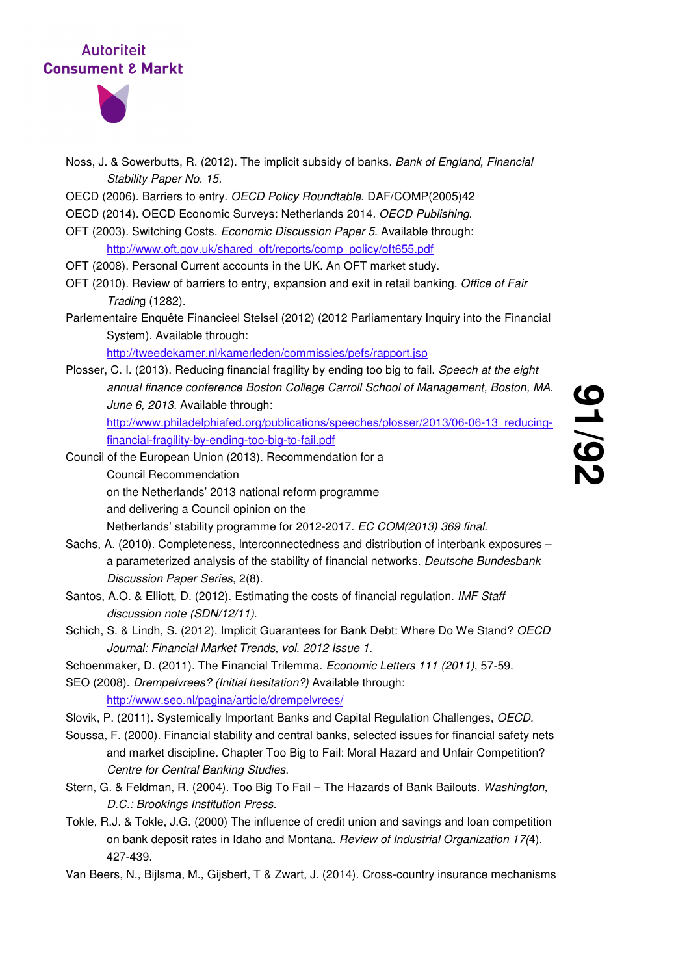

- Noss, J. & Sowerbutts, R. (2012). The implicit subsidy of banks. Bank of England, Financial Stability Paper No. 15.
- OECD (2006). Barriers to entry. OECD Policy Roundtable. DAF/COMP(2005)42
- OECD (2014). OECD Economic Surveys: Netherlands 2014. OECD Publishing.
- OFT (2003). Switching Costs. Economic Discussion Paper 5. Available through: http://www.oft.gov.uk/shared\_oft/reports/comp\_policy/oft655.pdf
- OFT (2008). Personal Current accounts in the UK. An OFT market study.
- OFT (2010). Review of barriers to entry, expansion and exit in retail banking. Office of Fair Trading (1282).
- Parlementaire Enquête Financieel Stelsel (2012) (2012 Parliamentary Inquiry into the Financial System). Available through:

http://tweedekamer.nl/kamerleden/commissies/pefs/rapport.jsp

- Plosser, C. I. (2013). Reducing financial fragility by ending too big to fail. Speech at the eight annual finance conference Boston College Carroll School of Management, Boston, MA. June 6, 2013. Available through: http://www.philadelphiafed.org/publications/speeches/plosser/2013/06-06-13\_reducingfinancial-fragility-by-ending-too-big-to-fail.pdf
- Council of the European Union (2013). Recommendation for a Council Recommendation on the Netherlands' 2013 national reform programme and delivering a Council opinion on the

Netherlands' stability programme for 2012-2017. EC COM(2013) 369 final.

- Sachs, A. (2010). Completeness, Interconnectedness and distribution of interbank exposures a parameterized analysis of the stability of financial networks. Deutsche Bundesbank Discussion Paper Series, 2(8).
- Santos, A.O. & Elliott, D. (2012). Estimating the costs of financial regulation. IMF Staff discussion note (SDN/12/11).
- Schich, S. & Lindh, S. (2012). Implicit Guarantees for Bank Debt: Where Do We Stand? OECD Journal: Financial Market Trends, vol. 2012 Issue 1.
- Schoenmaker, D. (2011). The Financial Trilemma. Economic Letters 111 (2011), 57-59.
- SEO (2008). Drempelvrees? (Initial hesitation?) Available through:

http://www.seo.nl/pagina/article/drempelvrees/

Slovik, P. (2011). Systemically Important Banks and Capital Regulation Challenges, OECD.

- Soussa, F. (2000). Financial stability and central banks, selected issues for financial safety nets and market discipline. Chapter Too Big to Fail: Moral Hazard and Unfair Competition? Centre for Central Banking Studies.
- Stern, G. & Feldman, R. (2004). Too Big To Fail The Hazards of Bank Bailouts. Washington, D.C.: Brookings Institution Press.
- Tokle, R.J. & Tokle, J.G. (2000) The influence of credit union and savings and loan competition on bank deposit rates in Idaho and Montana. Review of Industrial Organization 17(4). 427-439.
- Van Beers, N., Bijlsma, M., Gijsbert, T & Zwart, J. (2014). Cross-country insurance mechanisms

<u>ما</u> **/92**